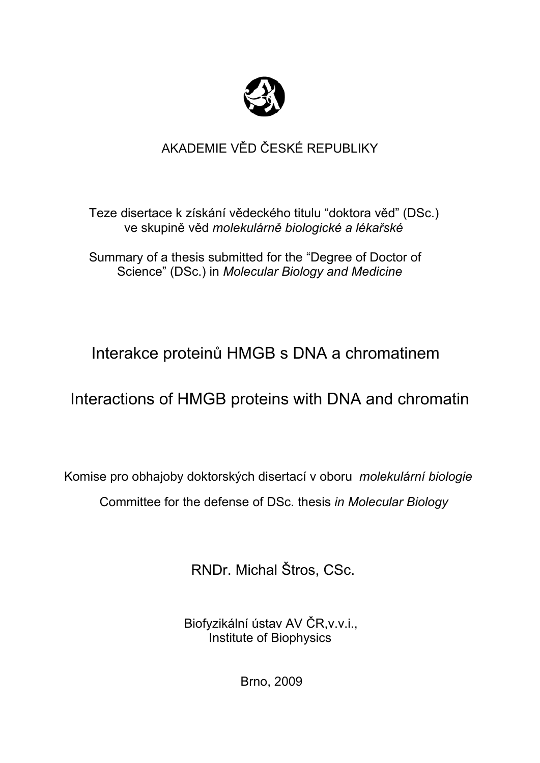

# AKADEMIE VĚD ČESKÉ REPUBLIKY

 Teze disertace k získání vědeckého titulu "doktora věd" (DSc.) ve skupině věd *molekulárně biologické a lékařské*

 Summary of a thesis submitted for the "Degree of Doctor of Science" (DSc.) in *Molecular Biology and Medicine*

# Interakce proteinů HMGB s DNA a chromatinem

# Interactions of HMGB proteins with DNA and chromatin

Komise pro obhajoby doktorských disertací v oboru *molekulární biologie* Committee for the defense of DSc. thesis *in Molecular Biology* 

RNDr. Michal Štros, CSc.

 Biofyzikální ústav AV ČR,v.v.i., Institute of Biophysics

Brno, 2009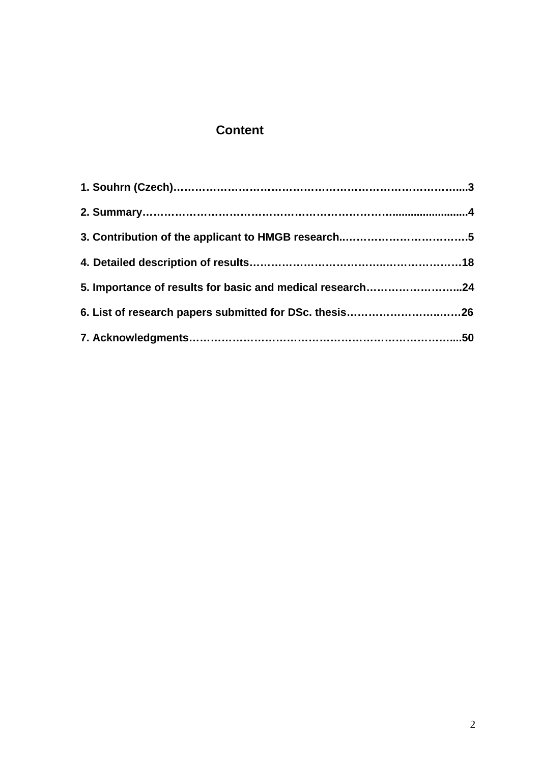## **Content**

| 5. Importance of results for basic and medical research24 |  |
|-----------------------------------------------------------|--|
|                                                           |  |
|                                                           |  |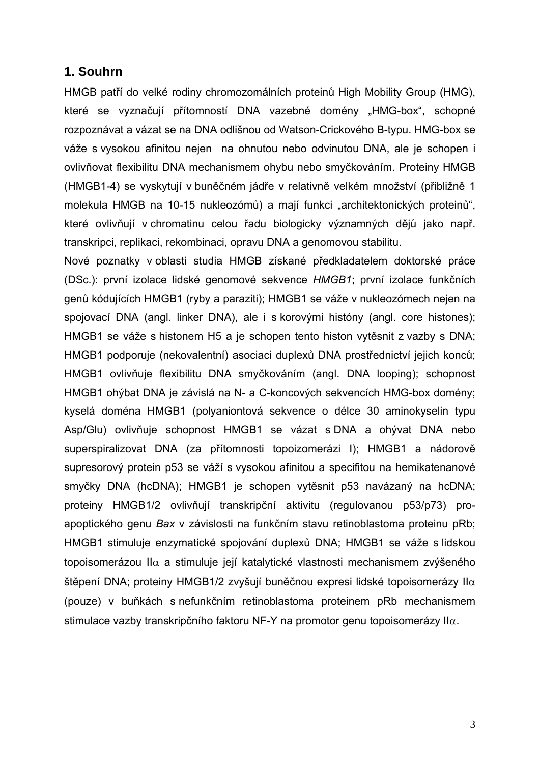#### **1. Souhrn**

HMGB patří do velké rodiny chromozomálních proteinů High Mobility Group (HMG), které se vyznačují přítomností DNA vazebné domény "HMG-box", schopné rozpoznávat a vázat se na DNA odlišnou od Watson-Crickového B-typu. HMG-box se váže s vysokou afinitou nejen na ohnutou nebo odvinutou DNA, ale je schopen i ovlivňovat flexibilitu DNA mechanismem ohybu nebo smyčkováním. Proteiny HMGB (HMGB1-4) se vyskytují v buněčném jádře v relativně velkém množství (přibližně 1 molekula HMGB na 10-15 nukleozómů) a mají funkci "architektonických proteinů", které ovlivňují v chromatinu celou řadu biologicky významných dějů jako např. transkripci, replikaci, rekombinaci, opravu DNA a genomovou stabilitu.

Nové poznatky v oblasti studia HMGB získané předkladatelem doktorské práce (DSc.): první izolace lidské genomové sekvence *HMGB1*; první izolace funkčních genů kódujících HMGB1 (ryby a paraziti); HMGB1 se váže v nukleozómech nejen na spojovací DNA (angl. linker DNA), ale i s korovými históny (angl. core histones); HMGB1 se váže s histonem H5 a je schopen tento histon vytěsnit z vazby s DNA; HMGB1 podporuje (nekovalentní) asociaci duplexů DNA prostřednictví jejich konců; HMGB1 ovlivňuje flexibilitu DNA smyčkováním (angl. DNA looping); schopnost HMGB1 ohýbat DNA je závislá na N- a C-koncových sekvencích HMG-box domény; kyselá doména HMGB1 (polyaniontová sekvence o délce 30 aminokyselin typu Asp/Glu) ovlivňuje schopnost HMGB1 se vázat s DNA a ohývat DNA nebo superspiralizovat DNA (za přítomnosti topoizomerázi I); HMGB1 a nádorově supresorový protein p53 se váží s vysokou afinitou a specifitou na hemikatenanové smyčky DNA (hcDNA); HMGB1 je schopen vytěsnit p53 navázaný na hcDNA; proteiny HMGB1/2 ovlivňují transkripční aktivitu (regulovanou p53/p73) proapoptického genu *Bax* v závislosti na funkčním stavu retinoblastoma proteinu pRb; HMGB1 stimuluje enzymatické spojování duplexů DNA; HMGB1 se váže s lidskou topoisomerázou II $\alpha$  a stimuluje její katalytické vlastnosti mechanismem zvýšeného štěpení DNA; proteiny HMGB1/2 zvyšují buněčnou expresi lidské topoisomerázy II $\alpha$ (pouze) v buňkách s nefunkčním retinoblastoma proteinem pRb mechanismem stimulace vazby transkripčního faktoru NF-Y na promotor genu topoisomerázy II $\alpha$ .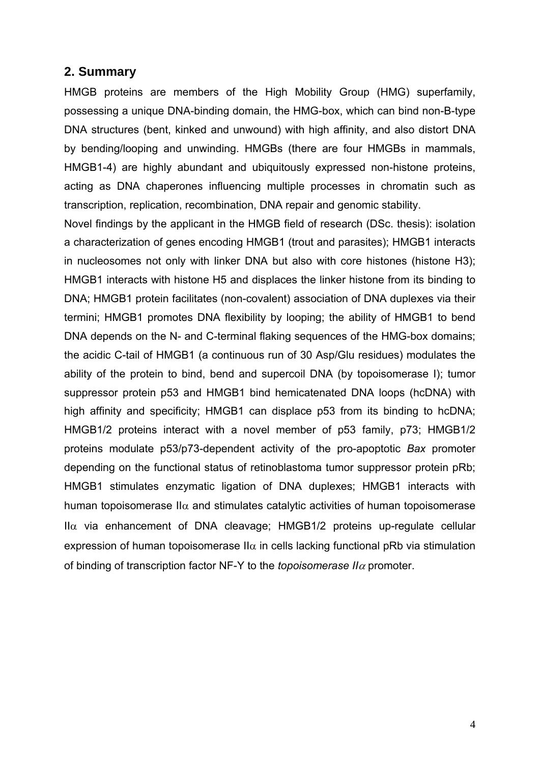#### **2. Summary**

HMGB proteins are members of the High Mobility Group (HMG) superfamily, possessing a unique DNA-binding domain, the HMG-box, which can bind non-B-type DNA structures (bent, kinked and unwound) with high affinity, and also distort DNA by bending/looping and unwinding. HMGBs (there are four HMGBs in mammals, HMGB1-4) are highly abundant and ubiquitously expressed non-histone proteins, acting as DNA chaperones influencing multiple processes in chromatin such as transcription, replication, recombination, DNA repair and genomic stability.

Novel findings by the applicant in the HMGB field of research (DSc. thesis): isolation a characterization of genes encoding HMGB1 (trout and parasites); HMGB1 interacts in nucleosomes not only with linker DNA but also with core histones (histone H3); HMGB1 interacts with histone H5 and displaces the linker histone from its binding to DNA; HMGB1 protein facilitates (non-covalent) association of DNA duplexes via their termini; HMGB1 promotes DNA flexibility by looping; the ability of HMGB1 to bend DNA depends on the N- and C-terminal flaking sequences of the HMG-box domains; the acidic C-tail of HMGB1 (a continuous run of 30 Asp/Glu residues) modulates the ability of the protein to bind, bend and supercoil DNA (by topoisomerase I); tumor suppressor protein p53 and HMGB1 bind hemicatenated DNA loops (hcDNA) with high affinity and specificity; HMGB1 can displace p53 from its binding to hcDNA; HMGB1/2 proteins interact with a novel member of p53 family, p73; HMGB1/2 proteins modulate p53/p73-dependent activity of the pro-apoptotic *Bax* promoter depending on the functional status of retinoblastoma tumor suppressor protein pRb; HMGB1 stimulates enzymatic ligation of DNA duplexes; HMGB1 interacts with human topoisomerase II $\alpha$  and stimulates catalytic activities of human topoisomerase  $II\alpha$  via enhancement of DNA cleavage; HMGB1/2 proteins up-regulate cellular expression of human topoisomerase II $\alpha$  in cells lacking functional pRb via stimulation of binding of transcription factor NF-Y to the *topoisomerase II*α promoter.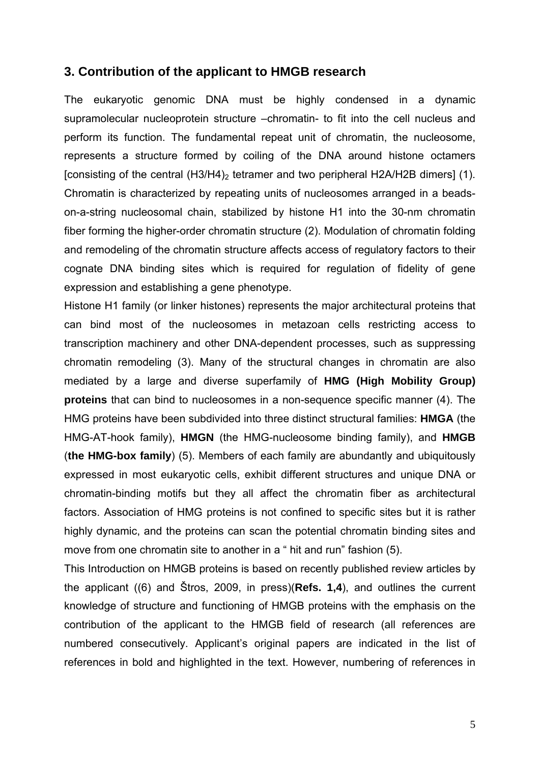#### **3. Contribution of the applicant to HMGB research**

The eukaryotic genomic DNA must be highly condensed in a dynamic supramolecular nucleoprotein structure –chromatin- to fit into the cell nucleus and perform its function. The fundamental repeat unit of chromatin, the nucleosome, represents a structure formed by coiling of the DNA around histone octamers [consisting of the central  $(H3/H4)_2$  tetramer and two peripheral H2A/H2B dimers] (1). Chromatin is characterized by repeating units of nucleosomes arranged in a beadson-a-string nucleosomal chain, stabilized by histone H1 into the 30-nm chromatin fiber forming the higher-order chromatin structure (2). Modulation of chromatin folding and remodeling of the chromatin structure affects access of regulatory factors to their cognate DNA binding sites which is required for regulation of fidelity of gene expression and establishing a gene phenotype.

Histone H1 family (or linker histones) represents the major architectural proteins that can bind most of the nucleosomes in metazoan cells restricting access to transcription machinery and other DNA-dependent processes, such as suppressing chromatin remodeling (3). Many of the structural changes in chromatin are also mediated by a large and diverse superfamily of **HMG (High Mobility Group) proteins** that can bind to nucleosomes in a non-sequence specific manner (4). The HMG proteins have been subdivided into three distinct structural families: **HMGA** (the HMG-AT-hook family), **HMGN** (the HMG-nucleosome binding family), and **HMGB** (**the HMG-box family**) (5). Members of each family are abundantly and ubiquitously expressed in most eukaryotic cells, exhibit different structures and unique DNA or chromatin-binding motifs but they all affect the chromatin fiber as architectural factors. Association of HMG proteins is not confined to specific sites but it is rather highly dynamic, and the proteins can scan the potential chromatin binding sites and move from one chromatin site to another in a " hit and run" fashion (5).

This Introduction on HMGB proteins is based on recently published review articles by the applicant ((6) and Štros, 2009, in press)(**Refs. 1,4**), and outlines the current knowledge of structure and functioning of HMGB proteins with the emphasis on the contribution of the applicant to the HMGB field of research (all references are numbered consecutively. Applicant's original papers are indicated in the list of references in bold and highlighted in the text. However, numbering of references in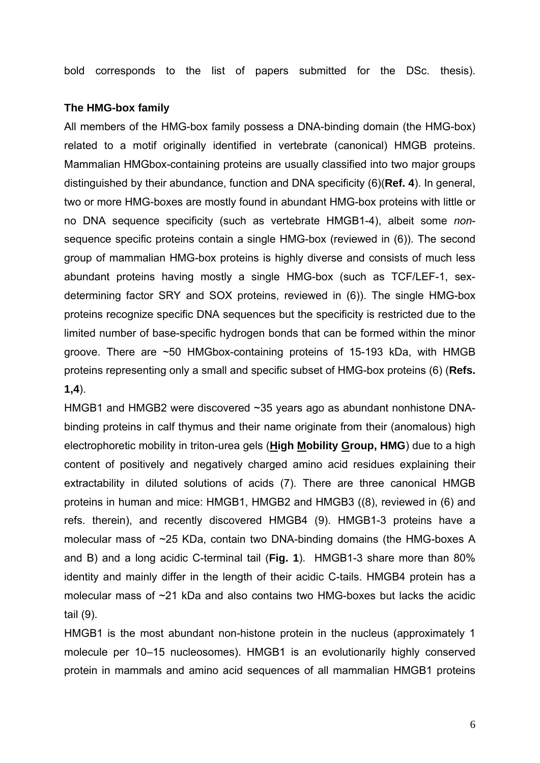bold corresponds to the list of papers submitted for the DSc. thesis).

#### **The HMG-box family**

All members of the HMG-box family possess a DNA-binding domain (the HMG-box) related to a motif originally identified in vertebrate (canonical) HMGB proteins. Mammalian HMGbox-containing proteins are usually classified into two major groups distinguished by their abundance, function and DNA specificity (6)(**Ref. 4**). In general, two or more HMG-boxes are mostly found in abundant HMG-box proteins with little or no DNA sequence specificity (such as vertebrate HMGB1-4), albeit some *non*sequence specific proteins contain a single HMG-box (reviewed in (6)). The second group of mammalian HMG-box proteins is highly diverse and consists of much less abundant proteins having mostly a single HMG-box (such as TCF/LEF-1, sexdetermining factor SRY and SOX proteins, reviewed in (6)). The single HMG-box proteins recognize specific DNA sequences but the specificity is restricted due to the limited number of base-specific hydrogen bonds that can be formed within the minor groove. There are ~50 HMGbox-containing proteins of 15-193 kDa, with HMGB proteins representing only a small and specific subset of HMG-box proteins (6) (**Refs. 1,4**).

HMGB1 and HMGB2 were discovered ~35 years ago as abundant nonhistone DNAbinding proteins in calf thymus and their name originate from their (anomalous) high electrophoretic mobility in triton-urea gels (**High Mobility Group, HMG**) due to a high content of positively and negatively charged amino acid residues explaining their extractability in diluted solutions of acids (7). There are three canonical HMGB proteins in human and mice: HMGB1, HMGB2 and HMGB3 ((8), reviewed in (6) and refs. therein), and recently discovered HMGB4 (9). HMGB1-3 proteins have a molecular mass of ~25 KDa, contain two DNA-binding domains (the HMG-boxes A and B) and a long acidic C-terminal tail (**Fig. 1**). HMGB1-3 share more than 80% identity and mainly differ in the length of their acidic C-tails. HMGB4 protein has a molecular mass of ~21 kDa and also contains two HMG-boxes but lacks the acidic tail (9).

HMGB1 is the most abundant non-histone protein in the nucleus (approximately 1 molecule per 10–15 nucleosomes). HMGB1 is an evolutionarily highly conserved protein in mammals and amino acid sequences of all mammalian HMGB1 proteins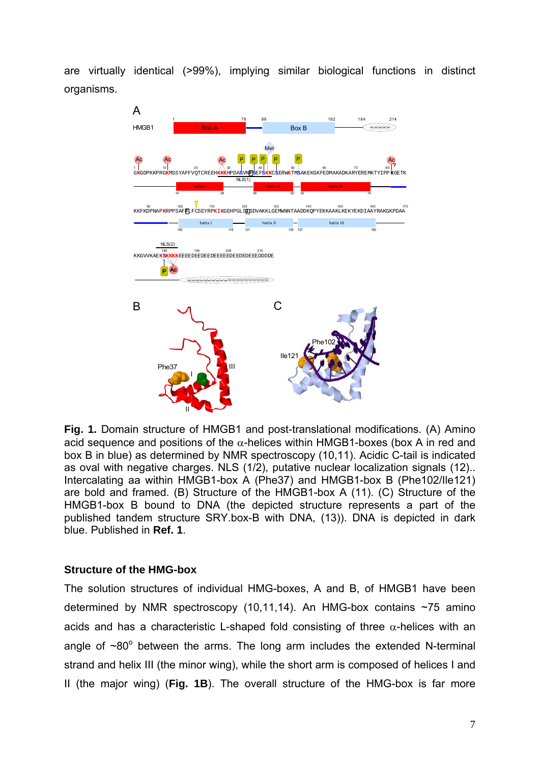are virtually identical (>99%), implying similar biological functions in distinct organisms.



**Fig. 1.** Domain structure of HMGB1 and post-translational modifications. (A) Amino acid sequence and positions of the  $\alpha$ -helices within HMGB1-boxes (box A in red and box B in blue) as determined by NMR spectroscopy (10,11). Acidic C-tail is indicated as oval with negative charges. NLS (1/2), putative nuclear localization signals (12).. Intercalating aa within HMGB1-box A (Phe37) and HMGB1-box B (Phe102/Ile121) are bold and framed. (B) Structure of the HMGB1-box A (11). (C) Structure of the HMGB1-box B bound to DNA (the depicted structure represents a part of the published tandem structure SRY.box-B with DNA, (13)). DNA is depicted in dark blue. Published in **Ref. 1**.

#### **Structure of the HMG-box**

The solution structures of individual HMG-boxes, A and B, of HMGB1 have been determined by NMR spectroscopy (10,11,14). An HMG-box contains  $\sim$ 75 amino acids and has a characteristic L-shaped fold consisting of three  $\alpha$ -helices with an angle of  $~80^{\circ}$  between the arms. The long arm includes the extended N-terminal strand and helix III (the minor wing), while the short arm is composed of helices I and II (the major wing) (**Fig. 1B**). The overall structure of the HMG-box is far more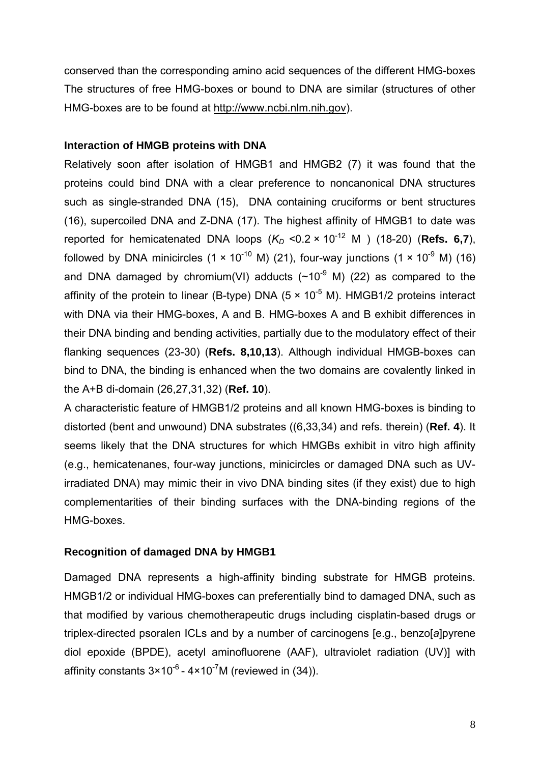conserved than the corresponding amino acid sequences of the different HMG-boxes The structures of free HMG-boxes or bound to DNA are similar (structures of other HMG-boxes are to be found at [http://www.ncbi.nlm.nih.gov\)](http://www.ncbi.nlm.nih.gov/).

#### **Interaction of HMGB proteins with DNA**

Relatively soon after isolation of HMGB1 and HMGB2 (7) it was found that the proteins could bind DNA with a clear preference to noncanonical DNA structures such as single-stranded DNA (15), DNA containing cruciforms or bent structures (16), supercoiled DNA and Z-DNA (17). The highest affinity of HMGB1 to date was reported for hemicatenated DNA loops  $(K_D < 0.2 \times 10^{-12} \text{ M})$  (18-20) (Refs. 6,7), followed by DNA minicircles (1  $\times$  10<sup>-10</sup> M) (21), four-way junctions (1  $\times$  10<sup>-9</sup> M) (16) and DNA damaged by chromium(VI) adducts  $(\sim 10^{-9}$  M) (22) as compared to the affinity of the protein to linear (B-type) DNA  $(5 \times 10^{-5}$  M). HMGB1/2 proteins interact with DNA via their HMG-boxes, A and B. HMG-boxes A and B exhibit differences in their DNA binding and bending activities, partially due to the modulatory effect of their flanking sequences (23-30) (**Refs. 8,10,13**). Although individual HMGB-boxes can bind to DNA, the binding is enhanced when the two domains are covalently linked in the A+B di-domain (26,27,31,32) (**Ref. 10**).

A characteristic feature of HMGB1/2 proteins and all known HMG-boxes is binding to distorted (bent and unwound) DNA substrates ((6,33,34) and refs. therein) (**Ref. 4**). It seems likely that the DNA structures for which HMGBs exhibit in vitro high affinity (e.g., hemicatenanes, four-way junctions, minicircles or damaged DNA such as UVirradiated DNA) may mimic their in vivo DNA binding sites (if they exist) due to high complementarities of their binding surfaces with the DNA-binding regions of the HMG-boxes.

#### **Recognition of damaged DNA by HMGB1**

Damaged DNA represents a high-affinity binding substrate for HMGB proteins. HMGB1/2 or individual HMG-boxes can preferentially bind to damaged DNA, such as that modified by various chemotherapeutic drugs including cisplatin-based drugs or triplex-directed psoralen ICLs and by a number of carcinogens [e.g., benzo[*a*]pyrene diol epoxide (BPDE), acetyl aminofluorene (AAF), ultraviolet radiation (UV)] with affinity constants  $3 \times 10^{-6}$  -  $4 \times 10^{-7}$ M (reviewed in (34)).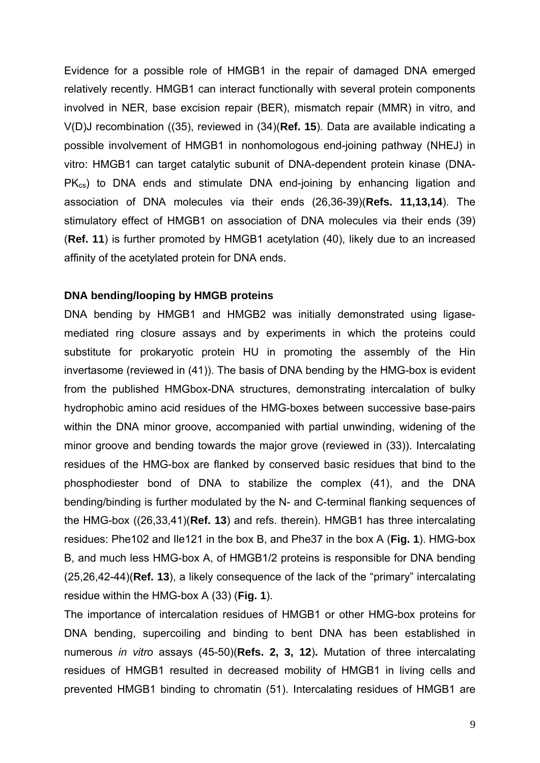Evidence for a possible role of HMGB1 in the repair of damaged DNA emerged relatively recently. HMGB1 can interact functionally with several protein components involved in NER, base excision repair (BER), mismatch repair (MMR) in vitro, and V(D)J recombination ((35), reviewed in (34)(**Ref. 15**). Data are available indicating a possible involvement of HMGB1 in nonhomologous end-joining pathway (NHEJ) in vitro: HMGB1 can target catalytic subunit of DNA-dependent protein kinase (DNA- $PK_{cs}$ ) to DNA ends and stimulate DNA end-joining by enhancing ligation and association of DNA molecules via their ends (26,36-39)(**Refs. 11,13,14**). The stimulatory effect of HMGB1 on association of DNA molecules via their ends (39) (**Ref. 11**) is further promoted by HMGB1 acetylation (40), likely due to an increased affinity of the acetylated protein for DNA ends.

#### **DNA bending/looping by HMGB proteins**

DNA bending by HMGB1 and HMGB2 was initially demonstrated using ligasemediated ring closure assays and by experiments in which the proteins could substitute for prokaryotic protein HU in promoting the assembly of the Hin invertasome (reviewed in (41)). The basis of DNA bending by the HMG-box is evident from the published HMGbox-DNA structures, demonstrating intercalation of bulky hydrophobic amino acid residues of the HMG-boxes between successive base-pairs within the DNA minor groove, accompanied with partial unwinding, widening of the minor groove and bending towards the major grove (reviewed in (33)). Intercalating residues of the HMG-box are flanked by conserved basic residues that bind to the phosphodiester bond of DNA to stabilize the complex (41), and the DNA bending/binding is further modulated by the N- and C-terminal flanking sequences of the HMG-box ((26,33,41)(**Ref. 13**) and refs. therein). HMGB1 has three intercalating residues: Phe102 and Ile121 in the box B, and Phe37 in the box A (**Fig. 1**). HMG-box B, and much less HMG-box A, of HMGB1/2 proteins is responsible for DNA bending (25,26,42-44)(**Ref. 13**), a likely consequence of the lack of the "primary" intercalating residue within the HMG-box A (33) (**Fig. 1**).

The importance of intercalation residues of HMGB1 or other HMG-box proteins for DNA bending, supercoiling and binding to bent DNA has been established in numerous *in vitro* assays (45-50)(**Refs. 2, 3, 12**)**.** Mutation of three intercalating residues of HMGB1 resulted in decreased mobility of HMGB1 in living cells and prevented HMGB1 binding to chromatin (51). Intercalating residues of HMGB1 are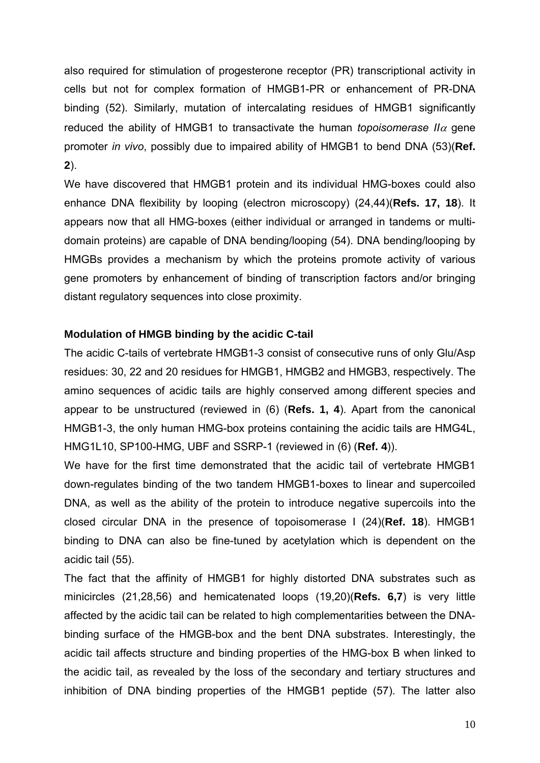also required for stimulation of progesterone receptor (PR) transcriptional activity in cells but not for complex formation of HMGB1-PR or enhancement of PR-DNA binding (52). Similarly, mutation of intercalating residues of HMGB1 significantly reduced the ability of HMGB1 to transactivate the human *topoisomerase II* $\alpha$  gene promoter *in vivo*, possibly due to impaired ability of HMGB1 to bend DNA (53)(**Ref. 2**).

We have discovered that HMGB1 protein and its individual HMG-boxes could also enhance DNA flexibility by looping (electron microscopy) (24,44)(**Refs. 17, 18**). It appears now that all HMG-boxes (either individual or arranged in tandems or multidomain proteins) are capable of DNA bending/looping (54). DNA bending/looping by HMGBs provides a mechanism by which the proteins promote activity of various gene promoters by enhancement of binding of transcription factors and/or bringing distant regulatory sequences into close proximity.

#### **Modulation of HMGB binding by the acidic C-tail**

The acidic C-tails of vertebrate HMGB1-3 consist of consecutive runs of only Glu/Asp residues: 30, 22 and 20 residues for HMGB1, HMGB2 and HMGB3, respectively. The amino sequences of acidic tails are highly conserved among different species and appear to be unstructured (reviewed in (6) (**Refs. 1, 4**). Apart from the canonical HMGB1-3, the only human HMG-box proteins containing the acidic tails are HMG4L, HMG1L10, SP100-HMG, UBF and SSRP-1 (reviewed in (6) (**Ref. 4**)).

We have for the first time demonstrated that the acidic tail of vertebrate HMGB1 down-regulates binding of the two tandem HMGB1-boxes to linear and supercoiled DNA, as well as the ability of the protein to introduce negative supercoils into the closed circular DNA in the presence of topoisomerase I (24)(**Ref. 18**). HMGB1 binding to DNA can also be fine-tuned by acetylation which is dependent on the acidic tail (55).

The fact that the affinity of HMGB1 for highly distorted DNA substrates such as minicircles (21,28,56) and hemicatenated loops (19,20)(**Refs. 6,7**) is very little affected by the acidic tail can be related to high complementarities between the DNAbinding surface of the HMGB-box and the bent DNA substrates. Interestingly, the acidic tail affects structure and binding properties of the HMG-box B when linked to the acidic tail, as revealed by the loss of the secondary and tertiary structures and inhibition of DNA binding properties of the HMGB1 peptide (57). The latter also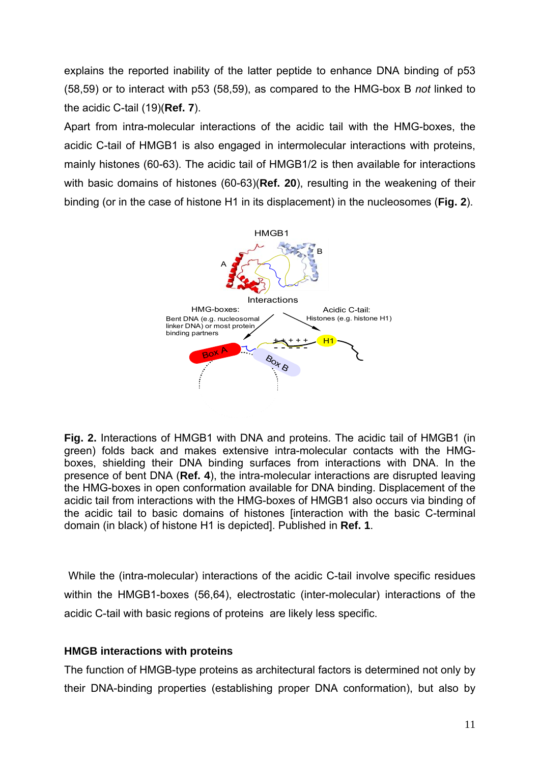explains the reported inability of the latter peptide to enhance DNA binding of p53 (58,59) or to interact with p53 (58,59), as compared to the HMG-box B *not* linked to the acidic C-tail (19)(**Ref. 7**).

Apart from intra-molecular interactions of the acidic tail with the HMG-boxes, the acidic C-tail of HMGB1 is also engaged in intermolecular interactions with proteins, mainly histones (60-63). The acidic tail of HMGB1/2 is then available for interactions with basic domains of histones (60-63)(**Ref. 20**), resulting in the weakening of their binding (or in the case of histone H1 in its displacement) in the nucleosomes (**Fig. 2**).



**Fig. 2.** Interactions of HMGB1 with DNA and proteins. The acidic tail of HMGB1 (in green) folds back and makes extensive intra-molecular contacts with the HMGboxes, shielding their DNA binding surfaces from interactions with DNA. In the presence of bent DNA (**Ref. 4**), the intra-molecular interactions are disrupted leaving the HMG-boxes in open conformation available for DNA binding. Displacement of the acidic tail from interactions with the HMG-boxes of HMGB1 also occurs via binding of the acidic tail to basic domains of histones [interaction with the basic C-terminal domain (in black) of histone H1 is depicted]. Published in **Ref. 1**.

 While the (intra-molecular) interactions of the acidic C-tail involve specific residues within the HMGB1-boxes (56,64), electrostatic (inter-molecular) interactions of the acidic C-tail with basic regions of proteins are likely less specific.

#### **HMGB interactions with proteins**

The function of HMGB-type proteins as architectural factors is determined not only by their DNA-binding properties (establishing proper DNA conformation), but also by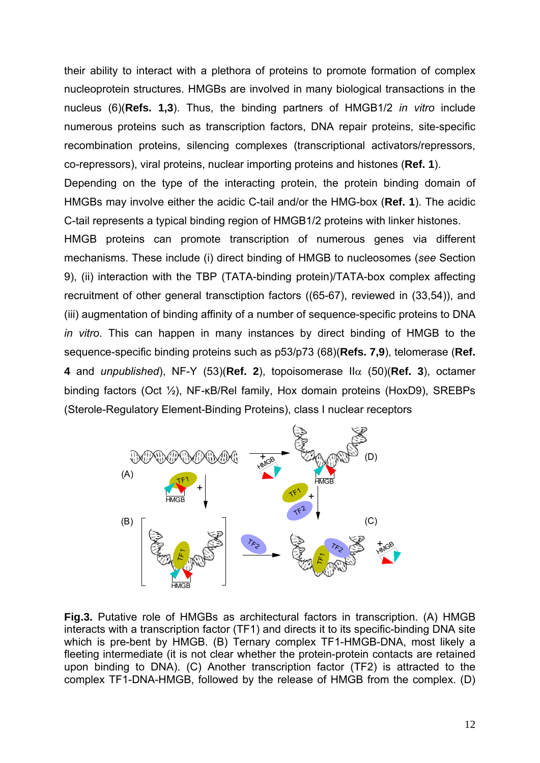their ability to interact with a plethora of proteins to promote formation of complex nucleoprotein structures. HMGBs are involved in many biological transactions in the nucleus (6)(**Refs. 1,3**). Thus, the binding partners of HMGB1/2 *in vitro* include numerous proteins such as transcription factors, DNA repair proteins, site-specific recombination proteins, silencing complexes (transcriptional activators/repressors, co-repressors), viral proteins, nuclear importing proteins and histones (**Ref. 1**).

Depending on the type of the interacting protein, the protein binding domain of HMGBs may involve either the acidic C-tail and/or the HMG-box (**Ref. 1**). The acidic C-tail represents a typical binding region of HMGB1/2 proteins with linker histones.

HMGB proteins can promote transcription of numerous genes via different mechanisms. These include (i) direct binding of HMGB to nucleosomes (*see* Section 9), (ii) interaction with the TBP (TATA-binding protein)/TATA-box complex affecting recruitment of other general transctiption factors ((65-67), reviewed in (33,54)), and (iii) augmentation of binding affinity of a number of sequence-specific proteins to DNA *in vitro*. This can happen in many instances by direct binding of HMGB to the sequence-specific binding proteins such as p53/p73 (68)(**Refs. 7,9**), telomerase (**Ref. 4** and *unpublished*), NF-Y (53)(Ref. 2), topoisomerase  $\Pi\alpha$  (50)(Ref. 3), octamer binding factors (Oct ½), NF-κB/Rel family, Hox domain proteins (HoxD9), SREBPs (Sterole-Regulatory Element-Binding Proteins), class I nuclear receptors



**Fig.3.** Putative role of HMGBs as architectural factors in transcription. (A) HMGB interacts with a transcription factor (TF1) and directs it to its specific-binding DNA site which is pre-bent by HMGB. (B) Ternary complex TF1-HMGB-DNA, most likely a fleeting intermediate (it is not clear whether the protein-protein contacts are retained upon binding to DNA). (C) Another transcription factor (TF2) is attracted to the complex TF1-DNA-HMGB, followed by the release of HMGB from the complex. (D)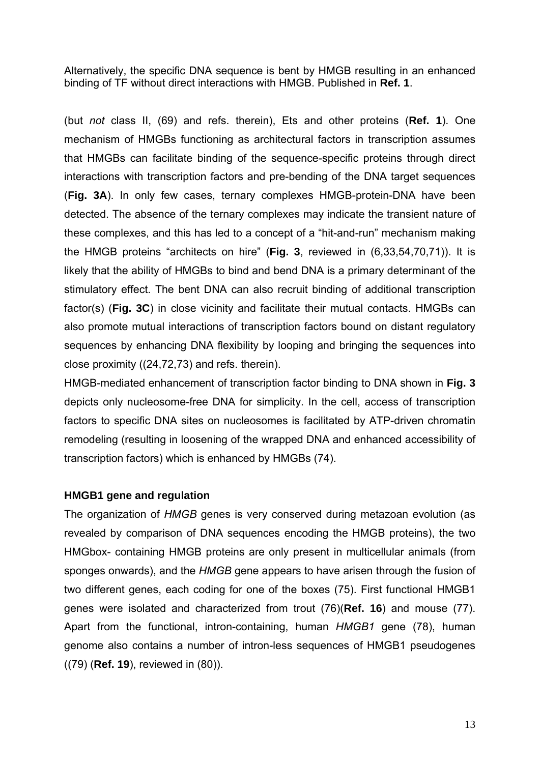Alternatively, the specific DNA sequence is bent by HMGB resulting in an enhanced binding of TF without direct interactions with HMGB. Published in **Ref. 1**.

(but *not* class II, (69) and refs. therein), Ets and other proteins (**Ref. 1**). One mechanism of HMGBs functioning as architectural factors in transcription assumes that HMGBs can facilitate binding of the sequence-specific proteins through direct interactions with transcription factors and pre-bending of the DNA target sequences (**Fig. 3A**). In only few cases, ternary complexes HMGB-protein-DNA have been detected. The absence of the ternary complexes may indicate the transient nature of these complexes, and this has led to a concept of a "hit-and-run" mechanism making the HMGB proteins "architects on hire" (**Fig. 3**, reviewed in (6,33,54,70,71)). It is likely that the ability of HMGBs to bind and bend DNA is a primary determinant of the stimulatory effect. The bent DNA can also recruit binding of additional transcription factor(s) (**Fig. 3C**) in close vicinity and facilitate their mutual contacts. HMGBs can also promote mutual interactions of transcription factors bound on distant regulatory sequences by enhancing DNA flexibility by looping and bringing the sequences into close proximity ((24,72,73) and refs. therein).

HMGB-mediated enhancement of transcription factor binding to DNA shown in **Fig. 3** depicts only nucleosome-free DNA for simplicity. In the cell, access of transcription factors to specific DNA sites on nucleosomes is facilitated by ATP-driven chromatin remodeling (resulting in loosening of the wrapped DNA and enhanced accessibility of transcription factors) which is enhanced by HMGBs (74).

#### **HMGB1 gene and regulation**

The organization of *HMGB* genes is very conserved during metazoan evolution (as revealed by comparison of DNA sequences encoding the HMGB proteins), the two HMGbox- containing HMGB proteins are only present in multicellular animals (from sponges onwards), and the *HMGB* gene appears to have arisen through the fusion of two different genes, each coding for one of the boxes (75). First functional HMGB1 genes were isolated and characterized from trout (76)(**Ref. 16**) and mouse (77). Apart from the functional, intron-containing, human *HMGB1* gene (78), human genome also contains a number of intron-less sequences of HMGB1 pseudogenes ((79) (**Ref. 19**), reviewed in (80)).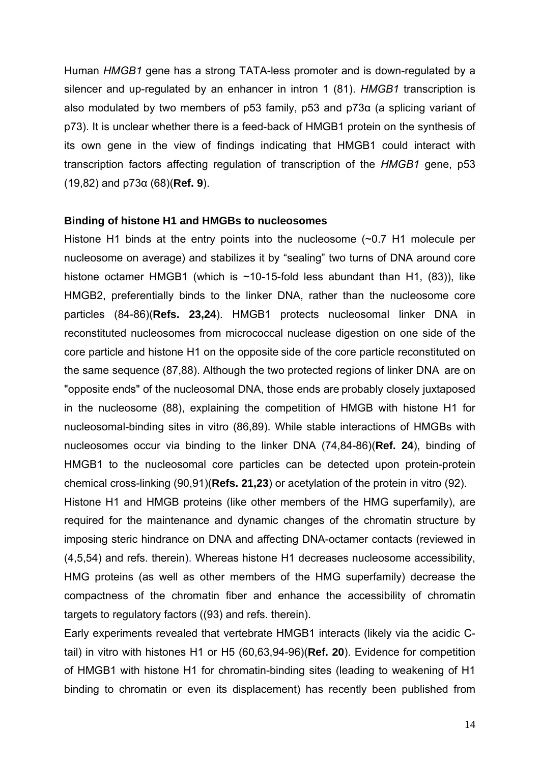Human *HMGB1* gene has a strong TATA-less promoter and is down-regulated by a silencer and up-regulated by an enhancer in intron 1 (81). *HMGB1* transcription is also modulated by two members of p53 family, p53 and p73α (a splicing variant of p73). It is unclear whether there is a feed-back of HMGB1 protein on the synthesis of its own gene in the view of findings indicating that HMGB1 could interact with transcription factors affecting regulation of transcription of the *HMGB1* gene, p53 (19,82) and p73α (68)(**Ref. 9**).

#### **Binding of histone H1 and HMGBs to nucleosomes**

Histone H1 binds at the entry points into the nucleosome (~0.7 H1 molecule per nucleosome on average) and stabilizes it by "sealing" two turns of DNA around core histone octamer HMGB1 (which is  $\sim$ 10-15-fold less abundant than H1, (83)), like HMGB2, preferentially binds to the linker DNA, rather than the nucleosome core particles (84-86)(**Refs. 23,24**). HMGB1 protects nucleosomal linker DNA in reconstituted nucleosomes from micrococcal nuclease digestion on one side of the core particle and histone H1 on the opposite side of the core particle reconstituted on the same sequence (87,88). Although the two protected regions of linker DNA are on "opposite ends" of the nucleosomal DNA, those ends are probably closely juxtaposed in the nucleosome (88), explaining the competition of HMGB with histone H1 for nucleosomal-binding sites in vitro (86,89). While stable interactions of HMGBs with nucleosomes occur via binding to the linker DNA (74,84-86)(**Ref. 24**), binding of HMGB1 to the nucleosomal core particles can be detected upon protein-protein chemical cross-linking (90,91)(**Refs. 21,23**) or acetylation of the protein in vitro (92).

Histone H1 and HMGB proteins (like other members of the HMG superfamily), are required for the maintenance and dynamic changes of the chromatin structure by imposing steric hindrance on DNA and affecting DNA-octamer contacts (reviewed in (4,5,54) and refs. therein). Whereas histone H1 decreases nucleosome accessibility, HMG proteins (as well as other members of the HMG superfamily) decrease the compactness of the chromatin fiber and enhance the accessibility of chromatin targets to regulatory factors ((93) and refs. therein).

Early experiments revealed that vertebrate HMGB1 interacts (likely via the acidic Ctail) in vitro with histones H1 or H5 (60,63,94-96)(**Ref. 20**). Evidence for competition of HMGB1 with histone H1 for chromatin-binding sites (leading to weakening of H1 binding to chromatin or even its displacement) has recently been published from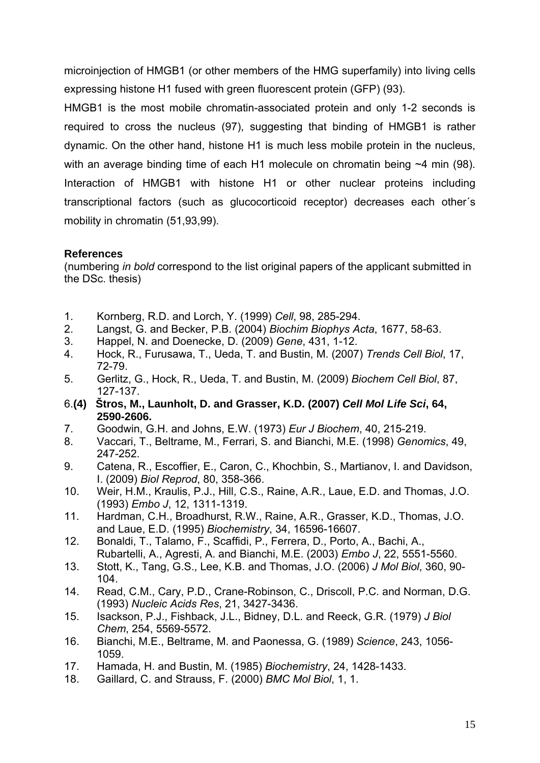microinjection of HMGB1 (or other members of the HMG superfamily) into living cells expressing histone H1 fused with green fluorescent protein (GFP) (93).

HMGB1 is the most mobile chromatin-associated protein and only 1-2 seconds is required to cross the nucleus (97), suggesting that binding of HMGB1 is rather dynamic. On the other hand, histone H1 is much less mobile protein in the nucleus, with an average binding time of each H1 molecule on chromatin being ~4 min (98). Interaction of HMGB1 with histone H1 or other nuclear proteins including transcriptional factors (such as glucocorticoid receptor) decreases each other´s mobility in chromatin (51,93,99).

#### **References**

(numbering *in bold* correspond to the list original papers of the applicant submitted in the DSc. thesis)

- 1. Kornberg, R.D. and Lorch, Y. (1999) *Cell*, 98, 285-294.
- 2. Langst, G. and Becker, P.B. (2004) *Biochim Biophys Acta*, 1677, 58-63.
- 3. Happel, N. and Doenecke, D. (2009) *Gene*, 431, 1-12.
- 4. Hock, R., Furusawa, T., Ueda, T. and Bustin, M. (2007) *Trends Cell Biol*, 17, 72-79.
- 5. Gerlitz, G., Hock, R., Ueda, T. and Bustin, M. (2009) *Biochem Cell Biol*, 87, 127-137.
- 6.**(4) Štros, M., Launholt, D. and Grasser, K.D. (2007)** *Cell Mol Life Sci***, 64, 2590-2606.**
- 7. Goodwin, G.H. and Johns, E.W. (1973) *Eur J Biochem*, 40, 215-219.
- 8. Vaccari, T., Beltrame, M., Ferrari, S. and Bianchi, M.E. (1998) *Genomics*, 49, 247-252.
- 9. Catena, R., Escoffier, E., Caron, C., Khochbin, S., Martianov, I. and Davidson, I. (2009) *Biol Reprod*, 80, 358-366.
- 10. Weir, H.M., Kraulis, P.J., Hill, C.S., Raine, A.R., Laue, E.D. and Thomas, J.O. (1993) *Embo J*, 12, 1311-1319.
- 11. Hardman, C.H., Broadhurst, R.W., Raine, A.R., Grasser, K.D., Thomas, J.O. and Laue, E.D. (1995) *Biochemistry*, 34, 16596-16607.
- 12. Bonaldi, T., Talamo, F., Scaffidi, P., Ferrera, D., Porto, A., Bachi, A., Rubartelli, A., Agresti, A. and Bianchi, M.E. (2003) *Embo J*, 22, 5551-5560.
- 13. Stott, K., Tang, G.S., Lee, K.B. and Thomas, J.O. (2006) *J Mol Biol*, 360, 90- 104.
- 14. Read, C.M., Cary, P.D., Crane-Robinson, C., Driscoll, P.C. and Norman, D.G. (1993) *Nucleic Acids Res*, 21, 3427-3436.
- 15. Isackson, P.J., Fishback, J.L., Bidney, D.L. and Reeck, G.R. (1979) *J Biol Chem*, 254, 5569-5572.
- 16. Bianchi, M.E., Beltrame, M. and Paonessa, G. (1989) *Science*, 243, 1056- 1059.
- 17. Hamada, H. and Bustin, M. (1985) *Biochemistry*, 24, 1428-1433.
- 18. Gaillard, C. and Strauss, F. (2000) *BMC Mol Biol*, 1, 1.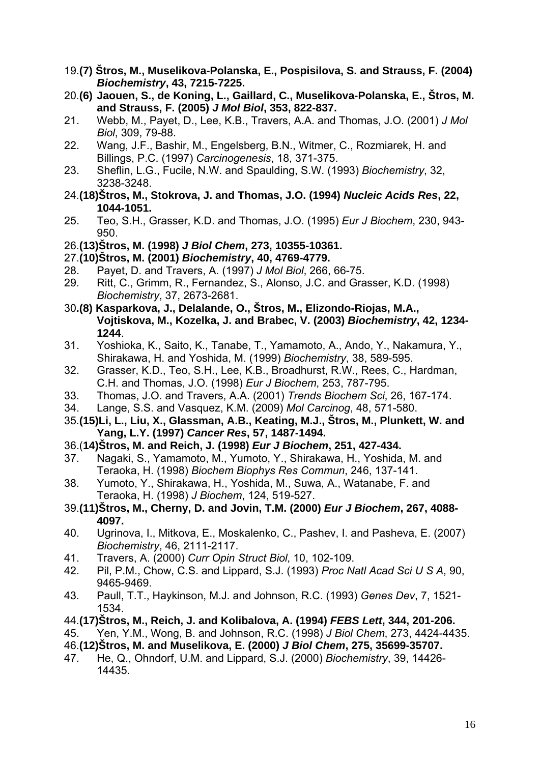- 19.**(7) Štros, M., Muselikova-Polanska, E., Pospisilova, S. and Strauss, F. (2004)**  *Biochemistry***, 43, 7215-7225.**
- 20.**(6) Jaouen, S., de Koning, L., Gaillard, C., Muselikova-Polanska, E., Štros, M. and Strauss, F. (2005)** *J Mol Biol***, 353, 822-837.**
- 21. Webb, M., Payet, D., Lee, K.B., Travers, A.A. and Thomas, J.O. (2001) *J Mol Biol*, 309, 79-88.
- 22. Wang, J.F., Bashir, M., Engelsberg, B.N., Witmer, C., Rozmiarek, H. and Billings, P.C. (1997) *Carcinogenesis*, 18, 371-375.
- 23. Sheflin, L.G., Fucile, N.W. and Spaulding, S.W. (1993) *Biochemistry*, 32, 3238-3248.
- 24.**(18)Štros, M., Stokrova, J. and Thomas, J.O. (1994)** *Nucleic Acids Res***, 22, 1044-1051.**
- 25. Teo, S.H., Grasser, K.D. and Thomas, J.O. (1995) *Eur J Biochem*, 230, 943- 950.
- 26.**(13)Štros, M. (1998)** *J Biol Chem***, 273, 10355-10361.**
- 27.**(10)Štros, M. (2001)** *Biochemistry***, 40, 4769-4779.**
- 28. Payet, D. and Travers, A. (1997) *J Mol Biol*, 266, 66-75.
- 29. Ritt, C., Grimm, R., Fernandez, S., Alonso, J.C. and Grasser, K.D. (1998) *Biochemistry*, 37, 2673-2681.
- 30**.(8) Kasparkova, J., Delalande, O., Štros, M., Elizondo-Riojas, M.A., Vojtiskova, M., Kozelka, J. and Brabec, V. (2003)** *Biochemistry***, 42, 1234- 1244**.
- 31. Yoshioka, K., Saito, K., Tanabe, T., Yamamoto, A., Ando, Y., Nakamura, Y., Shirakawa, H. and Yoshida, M. (1999) *Biochemistry*, 38, 589-595.
- 32. Grasser, K.D., Teo, S.H., Lee, K.B., Broadhurst, R.W., Rees, C., Hardman, C.H. and Thomas, J.O. (1998) *Eur J Biochem*, 253, 787-795.
- 33. Thomas, J.O. and Travers, A.A. (2001) *Trends Biochem Sci*, 26, 167-174.
- 34. Lange, S.S. and Vasquez, K.M. (2009) *Mol Carcinog*, 48, 571-580.
- 35.**(15)Li, L., Liu, X., Glassman, A.B., Keating, M.J., Štros, M., Plunkett, W. and Yang, L.Y. (1997)** *Cancer Res***, 57, 1487-1494.**
- 36.(**14)Štros, M. and Reich, J. (1998)** *Eur J Biochem***, 251, 427-434.**
- 37. Nagaki, S., Yamamoto, M., Yumoto, Y., Shirakawa, H., Yoshida, M. and Teraoka, H. (1998) *Biochem Biophys Res Commun*, 246, 137-141.
- 38. Yumoto, Y., Shirakawa, H., Yoshida, M., Suwa, A., Watanabe, F. and Teraoka, H. (1998) *J Biochem*, 124, 519-527.
- 39.**(11)Štros, M., Cherny, D. and Jovin, T.M. (2000)** *Eur J Biochem***, 267, 4088- 4097.**
- 40. Ugrinova, I., Mitkova, E., Moskalenko, C., Pashev, I. and Pasheva, E. (2007) *Biochemistry*, 46, 2111-2117.
- 41. Travers, A. (2000) *Curr Opin Struct Biol*, 10, 102-109.
- 42. Pil, P.M., Chow, C.S. and Lippard, S.J. (1993) *Proc Natl Acad Sci U S A*, 90, 9465-9469.
- 43. Paull, T.T., Haykinson, M.J. and Johnson, R.C. (1993) *Genes Dev*, 7, 1521- 1534.
- 44.**(17)Štros, M., Reich, J. and Kolibalova, A. (1994)** *FEBS Lett***, 344, 201-206.**
- 45. Yen, Y.M., Wong, B. and Johnson, R.C. (1998) *J Biol Chem*, 273, 4424-4435.

46.**(12)Štros, M. and Muselikova, E. (2000)** *J Biol Chem***, 275, 35699-35707.**

47. He, Q., Ohndorf, U.M. and Lippard, S.J. (2000) *Biochemistry*, 39, 14426- 14435.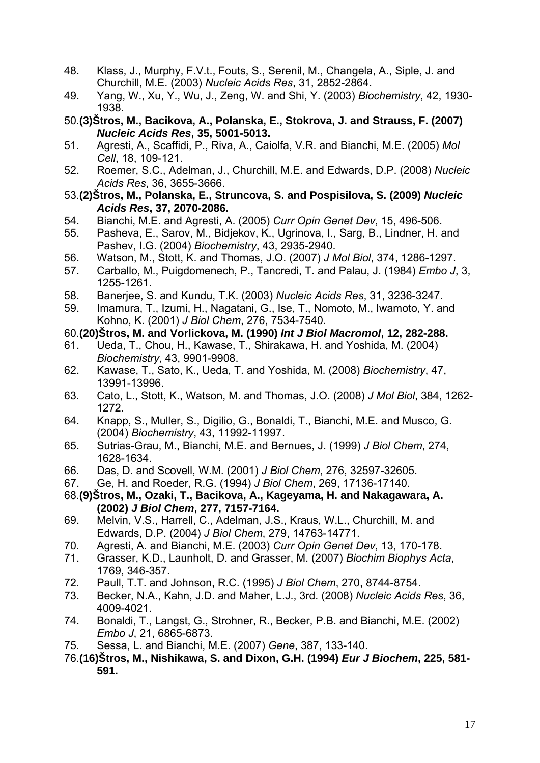- 48. Klass, J., Murphy, F.V.t., Fouts, S., Serenil, M., Changela, A., Siple, J. and Churchill, M.E. (2003) *Nucleic Acids Res*, 31, 2852-2864.
- 49. Yang, W., Xu, Y., Wu, J., Zeng, W. and Shi, Y. (2003) *Biochemistry*, 42, 1930- 1938.
- 50.**(3)Štros, M., Bacikova, A., Polanska, E., Stokrova, J. and Strauss, F. (2007)**  *Nucleic Acids Res***, 35, 5001-5013.**
- 51. Agresti, A., Scaffidi, P., Riva, A., Caiolfa, V.R. and Bianchi, M.E. (2005) *Mol Cell*, 18, 109-121.
- 52. Roemer, S.C., Adelman, J., Churchill, M.E. and Edwards, D.P. (2008) *Nucleic Acids Res*, 36, 3655-3666.
- 53.**(2)Štros, M., Polanska, E., Struncova, S. and Pospisilova, S. (2009)** *Nucleic Acids Res***, 37, 2070-2086.**
- 54. Bianchi, M.E. and Agresti, A. (2005) *Curr Opin Genet Dev*, 15, 496-506.
- 55. Pasheva, E., Sarov, M., Bidjekov, K., Ugrinova, I., Sarg, B., Lindner, H. and Pashev, I.G. (2004) *Biochemistry*, 43, 2935-2940.
- 56. Watson, M., Stott, K. and Thomas, J.O. (2007) *J Mol Biol*, 374, 1286-1297.
- 57. Carballo, M., Puigdomenech, P., Tancredi, T. and Palau, J. (1984) *Embo J*, 3, 1255-1261.
- 58. Banerjee, S. and Kundu, T.K. (2003) *Nucleic Acids Res*, 31, 3236-3247.
- 59. Imamura, T., Izumi, H., Nagatani, G., Ise, T., Nomoto, M., Iwamoto, Y. and Kohno, K. (2001) *J Biol Chem*, 276, 7534-7540.
- 60.**(20)Štros, M. and Vorlickova, M. (1990)** *Int J Biol Macromol***, 12, 282-288.**
- 61. Ueda, T., Chou, H., Kawase, T., Shirakawa, H. and Yoshida, M. (2004) *Biochemistry*, 43, 9901-9908.
- 62. Kawase, T., Sato, K., Ueda, T. and Yoshida, M. (2008) *Biochemistry*, 47, 13991-13996.
- 63. Cato, L., Stott, K., Watson, M. and Thomas, J.O. (2008) *J Mol Biol*, 384, 1262- 1272.
- 64. Knapp, S., Muller, S., Digilio, G., Bonaldi, T., Bianchi, M.E. and Musco, G. (2004) *Biochemistry*, 43, 11992-11997.
- 65. Sutrias-Grau, M., Bianchi, M.E. and Bernues, J. (1999) *J Biol Chem*, 274, 1628-1634.
- 66. Das, D. and Scovell, W.M. (2001) *J Biol Chem*, 276, 32597-32605.
- 67. Ge, H. and Roeder, R.G. (1994) *J Biol Chem*, 269, 17136-17140.
- 68.**(9)Štros, M., Ozaki, T., Bacikova, A., Kageyama, H. and Nakagawara, A. (2002)** *J Biol Chem***, 277, 7157-7164.**
- 69. Melvin, V.S., Harrell, C., Adelman, J.S., Kraus, W.L., Churchill, M. and Edwards, D.P. (2004) *J Biol Chem*, 279, 14763-14771.
- 70. Agresti, A. and Bianchi, M.E. (2003) *Curr Opin Genet Dev*, 13, 170-178.
- 71. Grasser, K.D., Launholt, D. and Grasser, M. (2007) *Biochim Biophys Acta*, 1769, 346-357.
- 72. Paull, T.T. and Johnson, R.C. (1995) *J Biol Chem*, 270, 8744-8754.
- 73. Becker, N.A., Kahn, J.D. and Maher, L.J., 3rd. (2008) *Nucleic Acids Res*, 36, 4009-4021.
- 74. Bonaldi, T., Langst, G., Strohner, R., Becker, P.B. and Bianchi, M.E. (2002) *Embo J*, 21, 6865-6873.
- 75. Sessa, L. and Bianchi, M.E. (2007) *Gene*, 387, 133-140.
- 76.**(16)Štros, M., Nishikawa, S. and Dixon, G.H. (1994)** *Eur J Biochem***, 225, 581- 591.**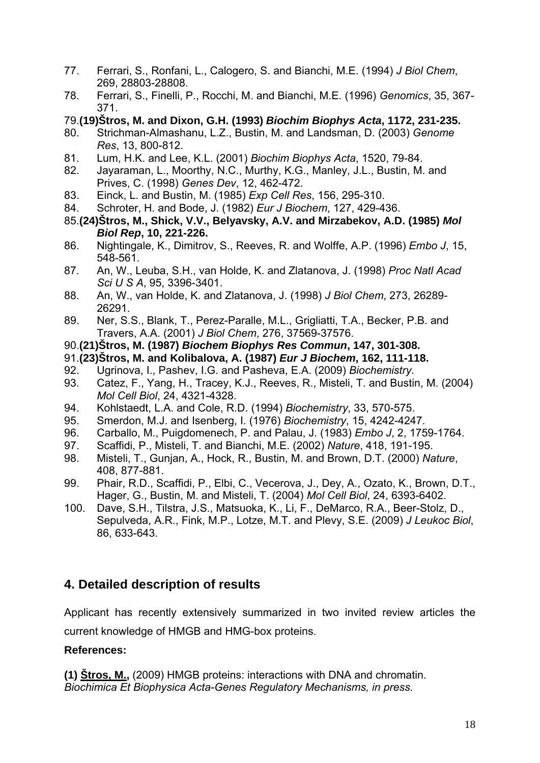- 77. Ferrari, S., Ronfani, L., Calogero, S. and Bianchi, M.E. (1994) *J Biol Chem*, 269, 28803-28808.
- 78. Ferrari, S., Finelli, P., Rocchi, M. and Bianchi, M.E. (1996) *Genomics*, 35, 367- 371.
- 79.**(19)Štros, M. and Dixon, G.H. (1993)** *Biochim Biophys Acta***, 1172, 231-235.**
- 80. Strichman-Almashanu, L.Z., Bustin, M. and Landsman, D. (2003) *Genome Res*, 13, 800-812.
- 81. Lum, H.K. and Lee, K.L. (2001) *Biochim Biophys Acta*, 1520, 79-84.
- 82. Jayaraman, L., Moorthy, N.C., Murthy, K.G., Manley, J.L., Bustin, M. and Prives, C. (1998) *Genes Dev*, 12, 462-472.
- 83. Einck, L. and Bustin, M. (1985) *Exp Cell Res*, 156, 295-310.
- 84. Schroter, H. and Bode, J. (1982) *Eur J Biochem*, 127, 429-436.
- 85.**(24)Štros, M., Shick, V.V., Belyavsky, A.V. and Mirzabekov, A.D. (1985)** *Mol Biol Rep***, 10, 221-226.**
- 86. Nightingale, K., Dimitrov, S., Reeves, R. and Wolffe, A.P. (1996) *Embo J*, 15, 548-561.
- 87. An, W., Leuba, S.H., van Holde, K. and Zlatanova, J. (1998) *Proc Natl Acad Sci U S A*, 95, 3396-3401.
- 88. An, W., van Holde, K. and Zlatanova, J. (1998) *J Biol Chem*, 273, 26289- 26291.
- 89. Ner, S.S., Blank, T., Perez-Paralle, M.L., Grigliatti, T.A., Becker, P.B. and Travers, A.A. (2001) *J Biol Chem*, 276, 37569-37576.
- 90.**(21)Štros, M. (1987)** *Biochem Biophys Res Commun***, 147, 301-308.**
- 91.**(23)Štros, M. and Kolibalova, A. (1987)** *Eur J Biochem***, 162, 111-118.**
- 92. Ugrinova, I., Pashev, I.G. and Pasheva, E.A. (2009) *Biochemistry*.
- 93. Catez, F., Yang, H., Tracey, K.J., Reeves, R., Misteli, T. and Bustin, M. (2004) *Mol Cell Biol*, 24, 4321-4328.
- 94. Kohlstaedt, L.A. and Cole, R.D. (1994) *Biochemistry*, 33, 570-575.
- 95. Smerdon, M.J. and Isenberg, I. (1976) *Biochemistry*, 15, 4242-4247.
- 96. Carballo, M., Puigdomenech, P. and Palau, J. (1983) *Embo J*, 2, 1759-1764.
- 97. Scaffidi, P., Misteli, T. and Bianchi, M.E. (2002) *Nature*, 418, 191-195.
- 98. Misteli, T., Gunjan, A., Hock, R., Bustin, M. and Brown, D.T. (2000) *Nature*, 408, 877-881.
- 99. Phair, R.D., Scaffidi, P., Elbi, C., Vecerova, J., Dey, A., Ozato, K., Brown, D.T., Hager, G., Bustin, M. and Misteli, T. (2004) *Mol Cell Biol*, 24, 6393-6402.
- 100. Dave, S.H., Tilstra, J.S., Matsuoka, K., Li, F., DeMarco, R.A., Beer-Stolz, D., Sepulveda, A.R., Fink, M.P., Lotze, M.T. and Plevy, S.E. (2009) *J Leukoc Biol*, 86, 633-643.

## **4. Detailed description of results**

Applicant has recently extensively summarized in two invited review articles the current knowledge of HMGB and HMG-box proteins.

## **References:**

**(1) Štros, M.,** (2009) HMGB proteins: interactions with DNA and chromatin. *Biochimica Et Biophysica Acta-Genes Regulatory Mechanisms, in press.*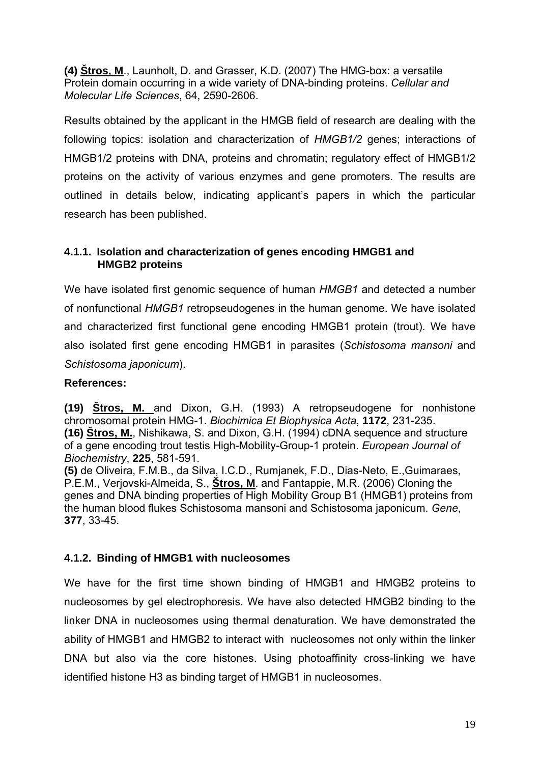**(4) Štros, M**., Launholt, D. and Grasser, K.D. (2007) The HMG-box: a versatile Protein domain occurring in a wide variety of DNA-binding proteins. *Cellular and Molecular Life Sciences*, 64, 2590-2606.

Results obtained by the applicant in the HMGB field of research are dealing with the following topics: isolation and characterization of *HMGB1/2* genes; interactions of HMGB1/2 proteins with DNA, proteins and chromatin; regulatory effect of HMGB1/2 proteins on the activity of various enzymes and gene promoters. The results are outlined in details below, indicating applicant's papers in which the particular research has been published.

#### **4.1.1. Isolation and characterization of genes encoding HMGB1 and HMGB2 proteins**

We have isolated first genomic sequence of human *HMGB1* and detected a number of nonfunctional *HMGB1* retropseudogenes in the human genome. We have isolated and characterized first functional gene encoding HMGB1 protein (trout). We have also isolated first gene encoding HMGB1 in parasites (*Schistosoma mansoni* and *Schistosoma japonicum*).

#### **References:**

**(19) Štros, M.** and Dixon, G.H. (1993) A retropseudogene for nonhistone chromosomal protein HMG-1. *Biochimica Et Biophysica Acta*, **1172**, 231-235. **(16) Štros, M.**, Nishikawa, S. and Dixon, G.H. (1994) cDNA sequence and structure of a gene encoding trout testis High-Mobility-Group-1 protein. *European Journal of Biochemistry*, **225**, 581-591.

**(5)** de Oliveira, F.M.B., da Silva, I.C.D., Rumjanek, F.D., Dias-Neto, E.,Guimaraes, P.E.M., Verjovski-Almeida, S., **Štros, M**. and Fantappie, M.R. (2006) Cloning the genes and DNA binding properties of High Mobility Group B1 (HMGB1) proteins from the human blood flukes Schistosoma mansoni and Schistosoma japonicum. *Gene*, **377**, 33-45.

#### **4.1.2. Binding of HMGB1 with nucleosomes**

We have for the first time shown binding of HMGB1 and HMGB2 proteins to nucleosomes by gel electrophoresis. We have also detected HMGB2 binding to the linker DNA in nucleosomes using thermal denaturation. We have demonstrated the ability of HMGB1 and HMGB2 to interact with nucleosomes not only within the linker DNA but also via the core histones. Using photoaffinity cross-linking we have identified histone H3 as binding target of HMGB1 in nucleosomes.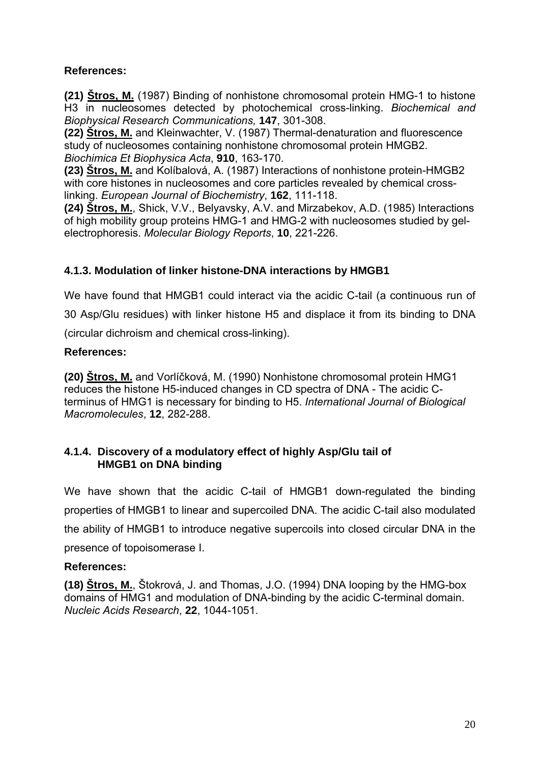#### **References:**

**(21) Štros, M.** (1987) Binding of nonhistone chromosomal protein HMG-1 to histone H3 in nucleosomes detected by photochemical cross-linking. *Biochemical and Biophysical Research Communications,* **147**, 301-308.

**(22) Štros, M.** and Kleinwachter, V. (1987) Thermal-denaturation and fluorescence study of nucleosomes containing nonhistone chromosomal protein HMGB2. *Biochimica Et Biophysica Acta*, **910**, 163-170.

**(23) Štros, M.** and Kolíbalová, A. (1987) Interactions of nonhistone protein-HMGB2 with core histones in nucleosomes and core particles revealed by chemical crosslinking. *European Journal of Biochemistry*, **162**, 111-118.

**(24) Štros, M.**, Shick, V.V., Belyavsky, A.V. and Mirzabekov, A.D. (1985) Interactions of high mobility group proteins HMG-1 and HMG-2 with nucleosomes studied by gelelectrophoresis. *Molecular Biology Reports*, **10**, 221-226.

#### **4.1.3. Modulation of linker histone-DNA interactions by HMGB1**

We have found that HMGB1 could interact via the acidic C-tail (a continuous run of 30 Asp/Glu residues) with linker histone H5 and displace it from its binding to DNA (circular dichroism and chemical cross-linking).

#### **References:**

**(20) Štros, M.** and Vorlíčková, M. (1990) Nonhistone chromosomal protein HMG1 reduces the histone H5-induced changes in CD spectra of DNA - The acidic Cterminus of HMG1 is necessary for binding to H5. *International Journal of Biological Macromolecules*, **12**, 282-288.

#### **4.1.4. Discovery of a modulatory effect of highly Asp/Glu tail of HMGB1 on DNA binding**

We have shown that the acidic C-tail of HMGB1 down-regulated the binding properties of HMGB1 to linear and supercoiled DNA. The acidic C-tail also modulated the ability of HMGB1 to introduce negative supercoils into closed circular DNA in the presence of topoisomerase I.

#### **References:**

**(18) Štros, M.**, Štokrová, J. and Thomas, J.O. (1994) DNA looping by the HMG-box domains of HMG1 and modulation of DNA-binding by the acidic C-terminal domain. *Nucleic Acids Research*, **22**, 1044-1051.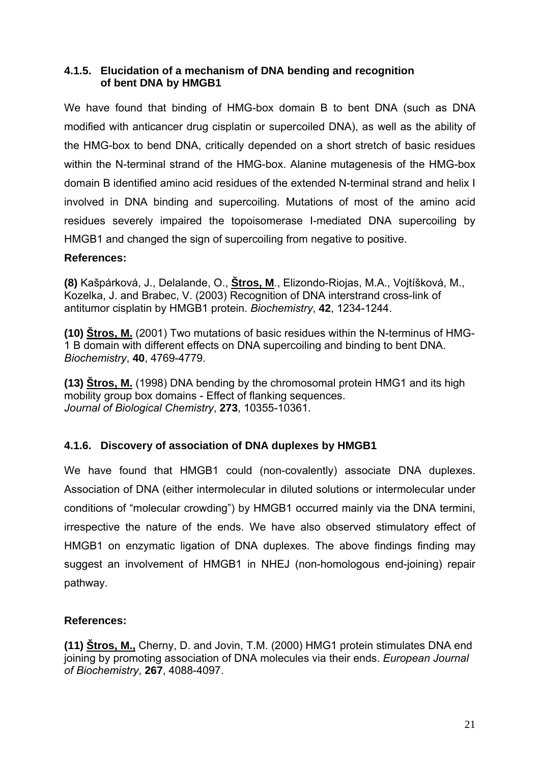#### **4.1.5. Elucidation of a mechanism of DNA bending and recognition of bent DNA by HMGB1**

We have found that binding of HMG-box domain B to bent DNA (such as DNA modified with anticancer drug cisplatin or supercoiled DNA), as well as the ability of the HMG-box to bend DNA, critically depended on a short stretch of basic residues within the N-terminal strand of the HMG-box. Alanine mutagenesis of the HMG-box domain B identified amino acid residues of the extended N-terminal strand and helix I involved in DNA binding and supercoiling. Mutations of most of the amino acid residues severely impaired the topoisomerase I-mediated DNA supercoiling by HMGB1 and changed the sign of supercoiling from negative to positive.

#### **References:**

**(8)** Kašpárková, J., Delalande, O., **Štros, M**., Elizondo-Riojas, M.A., Vojtíšková, M., Kozelka, J. and Brabec, V. (2003) Recognition of DNA interstrand cross-link of antitumor cisplatin by HMGB1 protein. *Biochemistry*, **42**, 1234-1244.

**(10) Štros, M.** (2001) Two mutations of basic residues within the N-terminus of HMG-1 B domain with different effects on DNA supercoiling and binding to bent DNA. *Biochemistry*, **40**, 4769-4779.

**(13) Štros, M.** (1998) DNA bending by the chromosomal protein HMG1 and its high mobility group box domains - Effect of flanking sequences. *Journal of Biological Chemistry*, **273**, 10355-10361.

#### **4.1.6. Discovery of association of DNA duplexes by HMGB1**

We have found that HMGB1 could (non-covalently) associate DNA duplexes. Association of DNA (either intermolecular in diluted solutions or intermolecular under conditions of "molecular crowding") by HMGB1 occurred mainly via the DNA termini, irrespective the nature of the ends. We have also observed stimulatory effect of HMGB1 on enzymatic ligation of DNA duplexes. The above findings finding may suggest an involvement of HMGB1 in NHEJ (non-homologous end-joining) repair pathway.

#### **References:**

**(11) Štros, M.,** Cherny, D. and Jovin, T.M. (2000) HMG1 protein stimulates DNA end joining by promoting association of DNA molecules via their ends. *European Journal of Biochemistry*, **267**, 4088-4097.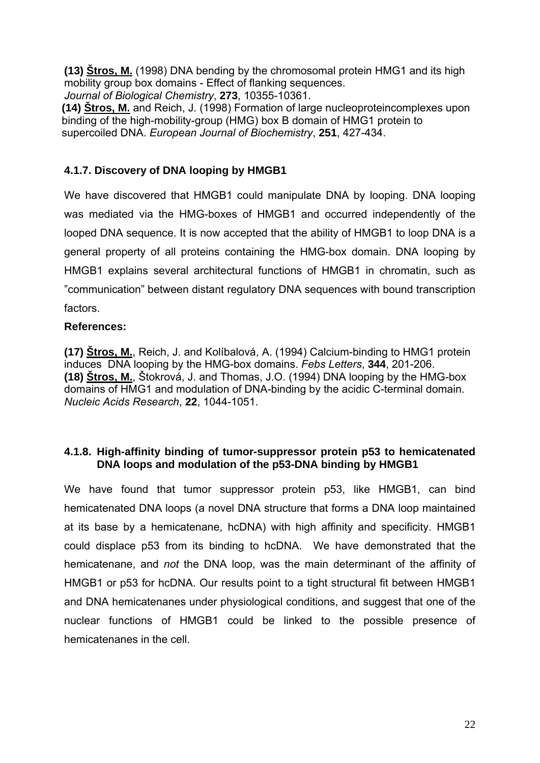**(13) Štros, M.** (1998) DNA bending by the chromosomal protein HMG1 and its high mobility group box domains - Effect of flanking sequences.

*Journal of Biological Chemistry*, **273**, 10355-10361.

 **(14) Štros, M.** and Reich, J. (1998) Formation of large nucleoproteincomplexes upon binding of the high-mobility-group (HMG) box B domain of HMG1 protein to supercoiled DNA. *European Journal of Biochemistry*, **251**, 427-434.

## **4.1.7. Discovery of DNA looping by HMGB1**

We have discovered that HMGB1 could manipulate DNA by looping. DNA looping was mediated via the HMG-boxes of HMGB1 and occurred independently of the looped DNA sequence. It is now accepted that the ability of HMGB1 to loop DNA is a general property of all proteins containing the HMG-box domain. DNA looping by HMGB1 explains several architectural functions of HMGB1 in chromatin, such as "communication" between distant regulatory DNA sequences with bound transcription factors.

#### **References:**

**(17) Štros, M.**, Reich, J. and Kolíbalová, A. (1994) Calcium-binding to HMG1 protein induces DNA looping by the HMG-box domains. *Febs Letters*, **344**, 201-206. **(18) Štros, M.**, Štokrová, J. and Thomas, J.O. (1994) DNA looping by the HMG-box domains of HMG1 and modulation of DNA-binding by the acidic C-terminal domain. *Nucleic Acids Research*, **22**, 1044-1051.

#### **4.1.8. High-affinity binding of tumor-suppressor protein p53 to hemicatenated DNA loops and modulation of the p53-DNA binding by HMGB1**

We have found that tumor suppressor protein p53, like HMGB1, can bind hemicatenated DNA loops (a novel DNA structure that forms a DNA loop maintained at its base by a hemicatenane, hcDNA) with high affinity and specificity. HMGB1 could displace p53 from its binding to hcDNA. We have demonstrated that the hemicatenane, and *not* the DNA loop, was the main determinant of the affinity of HMGB1 or p53 for hcDNA. Our results point to a tight structural fit between HMGB1 and DNA hemicatenanes under physiological conditions, and suggest that one of the nuclear functions of HMGB1 could be linked to the possible presence of hemicatenanes in the cell.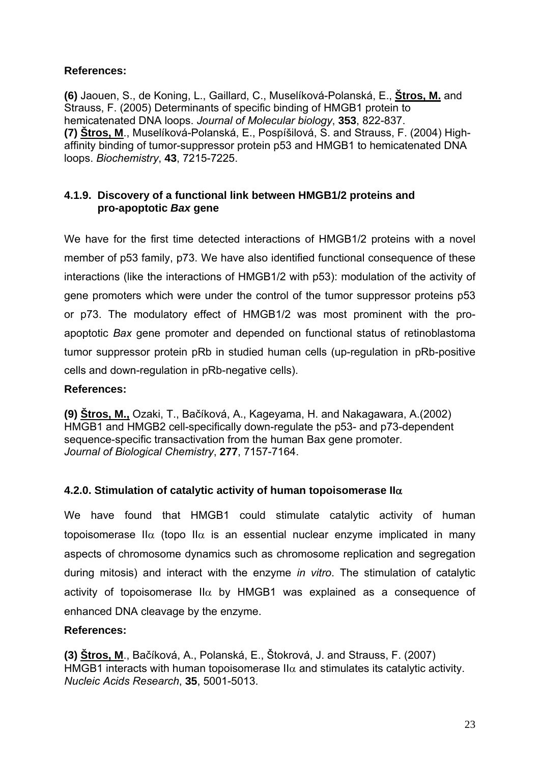#### **References:**

**(6)** Jaouen, S., de Koning, L., Gaillard, C., Muselíková-Polanská, E., **Štros, M.** and Strauss, F. (2005) Determinants of specific binding of HMGB1 protein to hemicatenated DNA loops. *Journal of Molecular biology*, **353**, 822-837. **(7) Štros, M**., Muselíková-Polanská, E., Pospíšilová, S. and Strauss, F. (2004) Highaffinity binding of tumor-suppressor protein p53 and HMGB1 to hemicatenated DNA loops. *Biochemistry*, **43**, 7215-7225.

#### **4.1.9. Discovery of a functional link between HMGB1/2 proteins and pro-apoptotic** *Bax* **gene**

We have for the first time detected interactions of HMGB1/2 proteins with a novel member of p53 family, p73. We have also identified functional consequence of these interactions (like the interactions of HMGB1/2 with p53): modulation of the activity of gene promoters which were under the control of the tumor suppressor proteins p53 or p73. The modulatory effect of HMGB1/2 was most prominent with the proapoptotic *Bax* gene promoter and depended on functional status of retinoblastoma tumor suppressor protein pRb in studied human cells (up-regulation in pRb-positive cells and down-regulation in pRb-negative cells).

#### **References:**

**(9) Štros, M.,** Ozaki, T., Bačíková, A., Kageyama, H. and Nakagawara, A.(2002) HMGB1 and HMGB2 cell-specifically down-regulate the p53- and p73-dependent sequence-specific transactivation from the human Bax gene promoter. *Journal of Biological Chemistry*, **277**, 7157-7164.

#### **4.2.0. Stimulation of catalytic activity of human topoisomerase II**α

We have found that HMGB1 could stimulate catalytic activity of human topoisomerase II $\alpha$  (topo II $\alpha$  is an essential nuclear enzyme implicated in many aspects of chromosome dynamics such as chromosome replication and segregation during mitosis) and interact with the enzyme *in vitro*. The stimulation of catalytic activity of topoisomerase  $II\alpha$  by HMGB1 was explained as a consequence of enhanced DNA cleavage by the enzyme.

#### **References:**

**(3) Štros, M**., Bačíková, A., Polanská, E., Štokrová, J. and Strauss, F. (2007) HMGB1 interacts with human topoisomerase II $\alpha$  and stimulates its catalytic activity. *Nucleic Acids Research*, **35**, 5001-5013.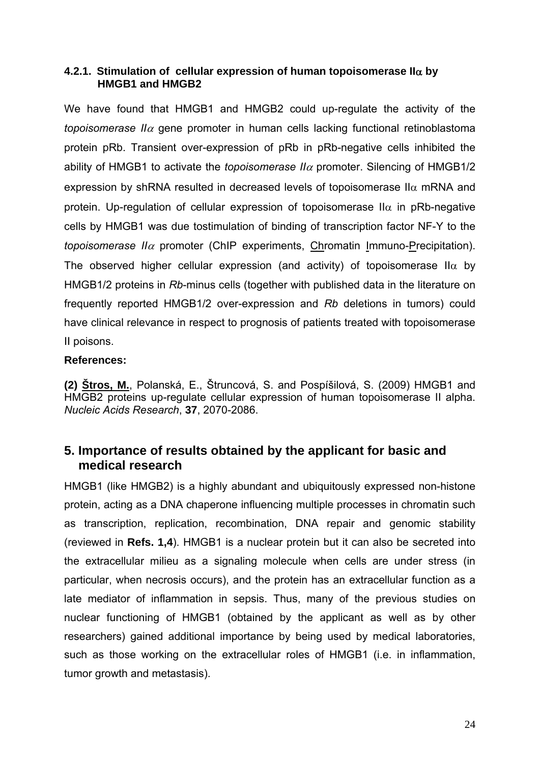#### **4.2.1. Stimulation of cellular expression of human topoisomerase II**α **by HMGB1 and HMGB2**

We have found that HMGB1 and HMGB2 could up-regulate the activity of the *topoisomerase II* $\alpha$  gene promoter in human cells lacking functional retinoblastoma protein pRb. Transient over-expression of pRb in pRb-negative cells inhibited the ability of HMGB1 to activate the *topoisomerase II* $\alpha$  promoter. Silencing of HMGB1/2 expression by shRNA resulted in decreased levels of topoisomerase II $\alpha$  mRNA and protein. Up-regulation of cellular expression of topoisomerase II $\alpha$  in pRb-negative cells by HMGB1 was due tostimulation of binding of transcription factor NF-Y to the *topoisomerase II*<sup>α</sup> promoter (ChIP experiments, Chromatin Immuno-Precipitation). The observed higher cellular expression (and activity) of topoisomerase II $\alpha$  by HMGB1/2 proteins in *Rb*-minus cells (together with published data in the literature on frequently reported HMGB1/2 over-expression and *Rb* deletions in tumors) could have clinical relevance in respect to prognosis of patients treated with topoisomerase II poisons.

#### **References:**

**(2) Štros, M.**, Polanská, E., Štruncová, S. and Pospíšilová, S. (2009) HMGB1 and HMGB2 proteins up-regulate cellular expression of human topoisomerase II alpha. *Nucleic Acids Research*, **37**, 2070-2086.

## **5. Importance of results obtained by the applicant for basic and medical research**

HMGB1 (like HMGB2) is a highly abundant and ubiquitously expressed non-histone protein, acting as a DNA chaperone influencing multiple processes in chromatin such as transcription, replication, recombination, DNA repair and genomic stability (reviewed in **Refs. 1,4**). HMGB1 is a nuclear protein but it can also be secreted into the extracellular milieu as a signaling molecule when cells are under stress (in particular, when necrosis occurs), and the protein has an extracellular function as a late mediator of inflammation in sepsis. Thus, many of the previous studies on nuclear functioning of HMGB1 (obtained by the applicant as well as by other researchers) gained additional importance by being used by medical laboratories, such as those working on the extracellular roles of HMGB1 (i.e. in inflammation, tumor growth and metastasis).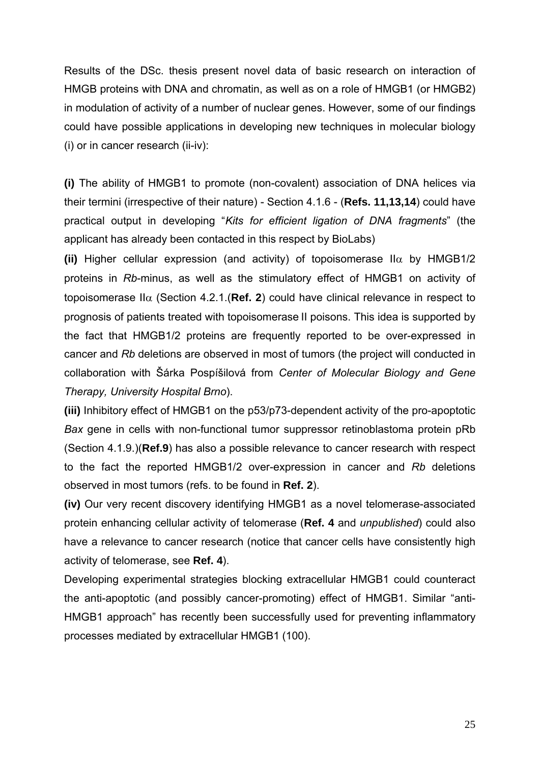Results of the DSc. thesis present novel data of basic research on interaction of HMGB proteins with DNA and chromatin, as well as on a role of HMGB1 (or HMGB2) in modulation of activity of a number of nuclear genes. However, some of our findings could have possible applications in developing new techniques in molecular biology (i) or in cancer research (ii-iv):

**(i)** The ability of HMGB1 to promote (non-covalent) association of DNA helices via their termini (irrespective of their nature) - Section 4.1.6 - (**Refs. 11,13,14**) could have practical output in developing "*Kits for efficient ligation of DNA fragments*" (the applicant has already been contacted in this respect by BioLabs)

**(ii)** Higher cellular expression (and activity) of topoisomerase II $\alpha$  by HMGB1/2 proteins in *Rb*-minus, as well as the stimulatory effect of HMGB1 on activity of topoisomerase  $II\alpha$  (Section 4.2.1. (**Ref. 2**) could have clinical relevance in respect to prognosis of patients treated with topoisomerase II poisons. This idea is supported by the fact that HMGB1/2 proteins are frequently reported to be over-expressed in cancer and *Rb* deletions are observed in most of tumors (the project will conducted in collaboration with Šárka Pospíšilová from *Center of Molecular Biology and Gene Therapy, University Hospital Brno*).

**(iii)** Inhibitory effect of HMGB1 on the p53/p73-dependent activity of the pro-apoptotic *Bax* gene in cells with non-functional tumor suppressor retinoblastoma protein pRb (Section 4.1.9.)(**Ref.9**) has also a possible relevance to cancer research with respect to the fact the reported HMGB1/2 over-expression in cancer and *Rb* deletions observed in most tumors (refs. to be found in **Ref. 2**).

**(iv)** Our very recent discovery identifying HMGB1 as a novel telomerase-associated protein enhancing cellular activity of telomerase (**Ref. 4** and *unpublished*) could also have a relevance to cancer research (notice that cancer cells have consistently high activity of telomerase, see **Ref. 4**).

Developing experimental strategies blocking extracellular HMGB1 could counteract the anti-apoptotic (and possibly cancer-promoting) effect of HMGB1. Similar "anti-HMGB1 approach" has recently been successfully used for preventing inflammatory processes mediated by extracellular HMGB1 (100).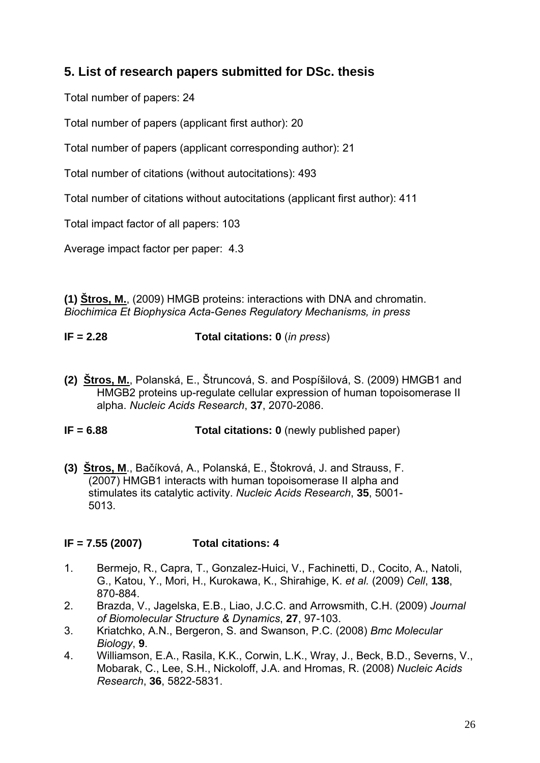## **5. List of research papers submitted for DSc. thesis**

Total number of papers: 24

Total number of papers (applicant first author): 20

Total number of papers (applicant corresponding author): 21

Total number of citations (without autocitations): 493

Total number of citations without autocitations (applicant first author): 411

Total impact factor of all papers: 103

Average impact factor per paper: 4.3

**(1) Štros, M.**, (2009) HMGB proteins: interactions with DNA and chromatin. *Biochimica Et Biophysica Acta-Genes Regulatory Mechanisms, in press*

## **IF = 2.28 Total citations: 0** (*in press*)

**(2) Štros, M.**, Polanská, E., Štruncová, S. and Pospíšilová, S. (2009) HMGB1 and HMGB2 proteins up-regulate cellular expression of human topoisomerase II alpha. *Nucleic Acids Research*, **37**, 2070-2086.

**IF = 6.88** Total citations: 0 (newly published paper)

**(3) Štros, M**., Bačíková, A., Polanská, E., Štokrová, J. and Strauss, F. (2007) HMGB1 interacts with human topoisomerase II alpha and stimulates its catalytic activity. *Nucleic Acids Research*, **35**, 5001- 5013.

## **IF = 7.55 (2007) Total citations: 4**

- 1. Bermejo, R., Capra, T., Gonzalez-Huici, V., Fachinetti, D., Cocito, A., Natoli, G., Katou, Y., Mori, H., Kurokawa, K., Shirahige, K. *et al.* (2009) *Cell*, **138**, 870-884.
- 2. Brazda, V., Jagelska, E.B., Liao, J.C.C. and Arrowsmith, C.H. (2009) *Journal of Biomolecular Structure & Dynamics*, **27**, 97-103.
- 3. Kriatchko, A.N., Bergeron, S. and Swanson, P.C. (2008) *Bmc Molecular Biology*, **9**.
- 4. Williamson, E.A., Rasila, K.K., Corwin, L.K., Wray, J., Beck, B.D., Severns, V., Mobarak, C., Lee, S.H., Nickoloff, J.A. and Hromas, R. (2008) *Nucleic Acids Research*, **36**, 5822-5831.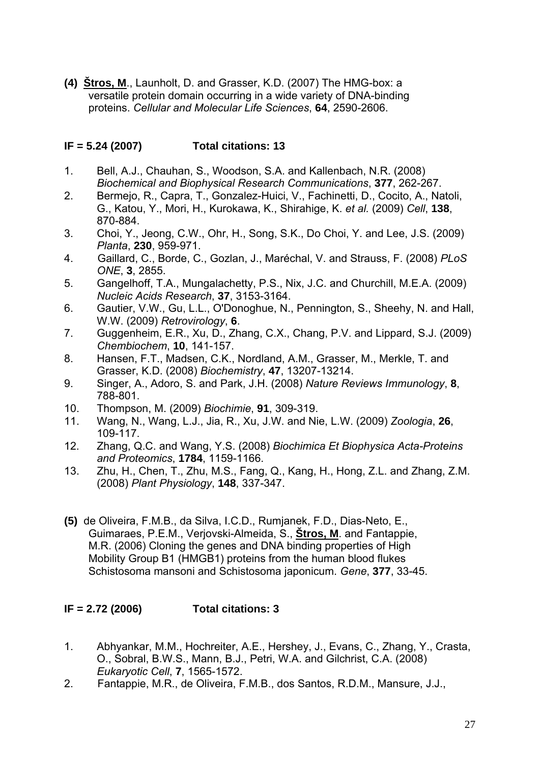**(4) Štros, M**., Launholt, D. and Grasser, K.D. (2007) The HMG-box: a versatile protein domain occurring in a wide variety of DNA-binding proteins. *Cellular and Molecular Life Sciences*, **64**, 2590-2606.

#### **IF = 5.24 (2007) Total citations: 13**

- 1. Bell, A.J., Chauhan, S., Woodson, S.A. and Kallenbach, N.R. (2008) *Biochemical and Biophysical Research Communications*, **377**, 262-267.
- 2. Bermejo, R., Capra, T., Gonzalez-Huici, V., Fachinetti, D., Cocito, A., Natoli, G., Katou, Y., Mori, H., Kurokawa, K., Shirahige, K. *et al.* (2009) *Cell*, **138**, 870-884.
- 3. Choi, Y., Jeong, C.W., Ohr, H., Song, S.K., Do Choi, Y. and Lee, J.S. (2009) *Planta*, **230**, 959-971.
- 4. Gaillard, C., Borde, C., Gozlan, J., Maréchal, V. and Strauss, F. (2008) *PLoS ONE*, **3**, 2855.
- 5. Gangelhoff, T.A., Mungalachetty, P.S., Nix, J.C. and Churchill, M.E.A. (2009) *Nucleic Acids Research*, **37**, 3153-3164.
- 6. Gautier, V.W., Gu, L.L., O'Donoghue, N., Pennington, S., Sheehy, N. and Hall, W.W. (2009) *Retrovirology*, **6**.
- 7. Guggenheim, E.R., Xu, D., Zhang, C.X., Chang, P.V. and Lippard, S.J. (2009) *Chembiochem*, **10**, 141-157.
- 8. Hansen, F.T., Madsen, C.K., Nordland, A.M., Grasser, M., Merkle, T. and Grasser, K.D. (2008) *Biochemistry*, **47**, 13207-13214.
- 9. Singer, A., Adoro, S. and Park, J.H. (2008) *Nature Reviews Immunology*, **8**, 788-801.
- 10. Thompson, M. (2009) *Biochimie*, **91**, 309-319.
- 11. Wang, N., Wang, L.J., Jia, R., Xu, J.W. and Nie, L.W. (2009) *Zoologia*, **26**, 109-117.
- 12. Zhang, Q.C. and Wang, Y.S. (2008) *Biochimica Et Biophysica Acta-Proteins and Proteomics*, **1784**, 1159-1166.
- 13. Zhu, H., Chen, T., Zhu, M.S., Fang, Q., Kang, H., Hong, Z.L. and Zhang, Z.M. (2008) *Plant Physiology*, **148**, 337-347.
- **(5)** de Oliveira, F.M.B., da Silva, I.C.D., Rumjanek, F.D., Dias-Neto, E., Guimaraes, P.E.M., Verjovski-Almeida, S., **Štros, M**. and Fantappie, M.R. (2006) Cloning the genes and DNA binding properties of High Mobility Group B1 (HMGB1) proteins from the human blood flukes Schistosoma mansoni and Schistosoma japonicum. *Gene*, **377**, 33-45.

#### **IF = 2.72 (2006) Total citations: 3**

- 1. Abhyankar, M.M., Hochreiter, A.E., Hershey, J., Evans, C., Zhang, Y., Crasta, O., Sobral, B.W.S., Mann, B.J., Petri, W.A. and Gilchrist, C.A. (2008) *Eukaryotic Cell*, **7**, 1565-1572.
- 2. Fantappie, M.R., de Oliveira, F.M.B., dos Santos, R.D.M., Mansure, J.J.,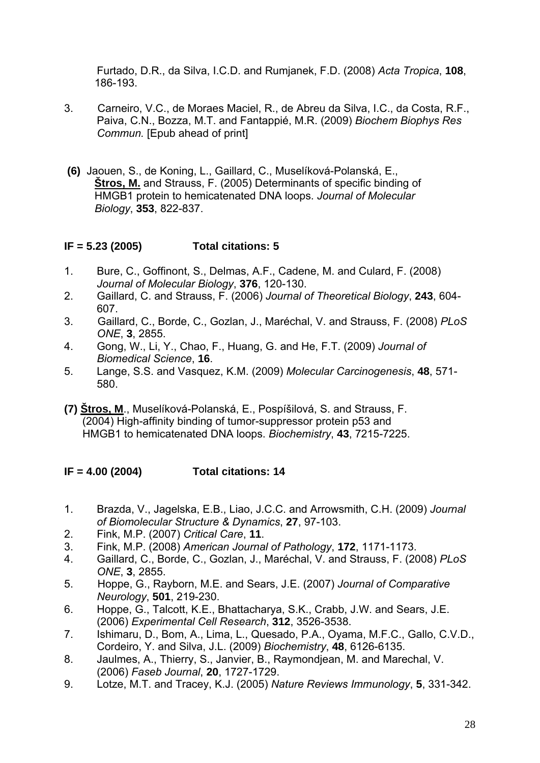Furtado, D.R., da Silva, I.C.D. and Rumjanek, F.D. (2008) *Acta Tropica*, **108**, 186-193.

- 3. Carneiro, V.C., de Moraes Maciel, R., de Abreu da Silva, I.C., da Costa, R.F., Paiva, C.N., Bozza, M.T. and Fantappié, M.R. (2009) *Biochem Biophys Res Commun.* [Epub ahead of print]
- **(6)** Jaouen, S., de Koning, L., Gaillard, C., Muselíková-Polanská, E., **Štros, M.** and Strauss, F. (2005) Determinants of specific binding of HMGB1 protein to hemicatenated DNA loops. *Journal of Molecular Biology*, **353**, 822-837.

#### **IF = 5.23 (2005) Total citations: 5**

- 1. Bure, C., Goffinont, S., Delmas, A.F., Cadene, M. and Culard, F. (2008) *Journal of Molecular Biology*, **376**, 120-130.
- 2. Gaillard, C. and Strauss, F. (2006) *Journal of Theoretical Biology*, **243**, 604- 607.
- 3. Gaillard, C., Borde, C., Gozlan, J., Maréchal, V. and Strauss, F. (2008) *PLoS ONE*, **3**, 2855.
- 4. Gong, W., Li, Y., Chao, F., Huang, G. and He, F.T. (2009) *Journal of Biomedical Science*, **16**.
- 5. Lange, S.S. and Vasquez, K.M. (2009) *Molecular Carcinogenesis*, **48**, 571- 580.
- **(7) Štros, M**., Muselíková-Polanská, E., Pospíšilová, S. and Strauss, F. (2004) High-affinity binding of tumor-suppressor protein p53 and HMGB1 to hemicatenated DNA loops. *Biochemistry*, **43**, 7215-7225.

#### **IF = 4.00 (2004) Total citations: 14**

- 1. Brazda, V., Jagelska, E.B., Liao, J.C.C. and Arrowsmith, C.H. (2009) *Journal of Biomolecular Structure & Dynamics*, **27**, 97-103.
- 2. Fink, M.P. (2007) *Critical Care*, **11**.
- 3. Fink, M.P. (2008) *American Journal of Pathology*, **172**, 1171-1173.
- 4. Gaillard, C., Borde, C., Gozlan, J., Maréchal, V. and Strauss, F. (2008) *PLoS ONE*, **3**, 2855.
- 5. Hoppe, G., Rayborn, M.E. and Sears, J.E. (2007) *Journal of Comparative Neurology*, **501**, 219-230.
- 6. Hoppe, G., Talcott, K.E., Bhattacharya, S.K., Crabb, J.W. and Sears, J.E. (2006) *Experimental Cell Research*, **312**, 3526-3538.
- 7. Ishimaru, D., Bom, A., Lima, L., Quesado, P.A., Oyama, M.F.C., Gallo, C.V.D., Cordeiro, Y. and Silva, J.L. (2009) *Biochemistry*, **48**, 6126-6135.
- 8. Jaulmes, A., Thierry, S., Janvier, B., Raymondjean, M. and Marechal, V. (2006) *Faseb Journal*, **20**, 1727-1729.
- 9. Lotze, M.T. and Tracey, K.J. (2005) *Nature Reviews Immunology*, **5**, 331-342.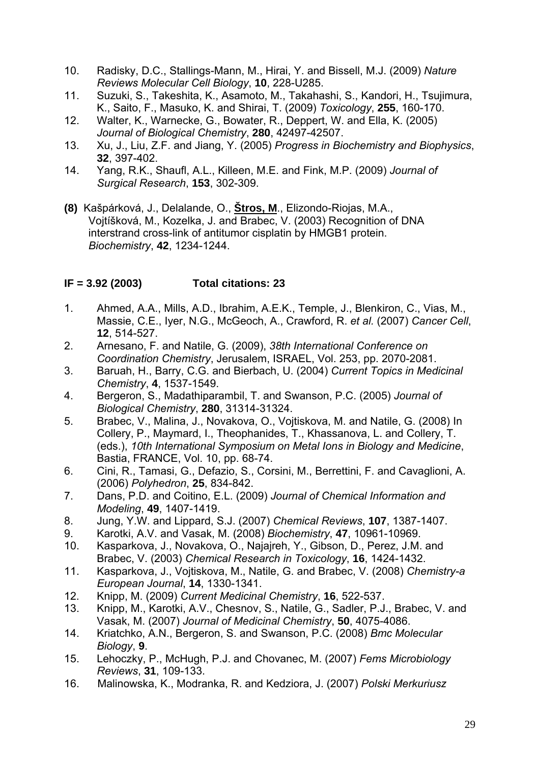- 10. Radisky, D.C., Stallings-Mann, M., Hirai, Y. and Bissell, M.J. (2009) *Nature Reviews Molecular Cell Biology*, **10**, 228-U285.
- 11. Suzuki, S., Takeshita, K., Asamoto, M., Takahashi, S., Kandori, H., Tsujimura, K., Saito, F., Masuko, K. and Shirai, T. (2009) *Toxicology*, **255**, 160-170.
- 12. Walter, K., Warnecke, G., Bowater, R., Deppert, W. and Ella, K. (2005) *Journal of Biological Chemistry*, **280**, 42497-42507.
- 13. Xu, J., Liu, Z.F. and Jiang, Y. (2005) *Progress in Biochemistry and Biophysics*, **32**, 397-402.
- 14. Yang, R.K., Shaufl, A.L., Killeen, M.E. and Fink, M.P. (2009) *Journal of Surgical Research*, **153**, 302-309.
- **(8)** Kašpárková, J., Delalande, O., **Štros, M**., Elizondo-Riojas, M.A., Vojtíšková, M., Kozelka, J. and Brabec, V. (2003) Recognition of DNA interstrand cross-link of antitumor cisplatin by HMGB1 protein. *Biochemistry*, **42**, 1234-1244.

#### **IF = 3.92 (2003) Total citations: 23**

- 1. Ahmed, A.A., Mills, A.D., Ibrahim, A.E.K., Temple, J., Blenkiron, C., Vias, M., Massie, C.E., Iyer, N.G., McGeoch, A., Crawford, R. *et al.* (2007) *Cancer Cell*, **12**, 514-527.
- 2. Arnesano, F. and Natile, G. (2009), *38th International Conference on Coordination Chemistry*, Jerusalem, ISRAEL, Vol. 253, pp. 2070-2081.
- 3. Baruah, H., Barry, C.G. and Bierbach, U. (2004) *Current Topics in Medicinal Chemistry*, **4**, 1537-1549.
- 4. Bergeron, S., Madathiparambil, T. and Swanson, P.C. (2005) *Journal of Biological Chemistry*, **280**, 31314-31324.
- 5. Brabec, V., Malina, J., Novakova, O., Vojtiskova, M. and Natile, G. (2008) In Collery, P., Maymard, I., Theophanides, T., Khassanova, L. and Collery, T. (eds.), *10th International Symposium on Metal Ions in Biology and Medicine*, Bastia, FRANCE, Vol. 10, pp. 68-74.
- 6. Cini, R., Tamasi, G., Defazio, S., Corsini, M., Berrettini, F. and Cavaglioni, A. (2006) *Polyhedron*, **25**, 834-842.
- 7. Dans, P.D. and Coitino, E.L. (2009) *Journal of Chemical Information and Modeling*, **49**, 1407-1419.
- 8. Jung, Y.W. and Lippard, S.J. (2007) *Chemical Reviews*, **107**, 1387-1407.
- 9. Karotki, A.V. and Vasak, M. (2008) *Biochemistry*, **47**, 10961-10969.
- 10. Kasparkova, J., Novakova, O., Najajreh, Y., Gibson, D., Perez, J.M. and Brabec, V. (2003) *Chemical Research in Toxicology*, **16**, 1424-1432.
- 11. Kasparkova, J., Vojtiskova, M., Natile, G. and Brabec, V. (2008) *Chemistry-a European Journal*, **14**, 1330-1341.
- 12. Knipp, M. (2009) *Current Medicinal Chemistry*, **16**, 522-537.
- 13. Knipp, M., Karotki, A.V., Chesnov, S., Natile, G., Sadler, P.J., Brabec, V. and Vasak, M. (2007) *Journal of Medicinal Chemistry*, **50**, 4075-4086.
- 14. Kriatchko, A.N., Bergeron, S. and Swanson, P.C. (2008) *Bmc Molecular Biology*, **9**.
- 15. Lehoczky, P., McHugh, P.J. and Chovanec, M. (2007) *Fems Microbiology Reviews*, **31**, 109-133.
- 16. [Malinowska, K.](http://www.scopus.com/search/submit/author.url?author=Malinowska%2c+K.&origin=resultslist&authorId=22958100900&src=s), [Modranka, R.](http://www.scopus.com/search/submit/author.url?author=Modranka%2c+R.&origin=resultslist&authorId=6507021428&src=s) and [Kedziora, J.](http://www.scopus.com/search/submit/author.url?author=Kedziora%2c+J.&origin=resultslist&authorId=7005426447&src=s) (2007) *Polski Merkuriusz*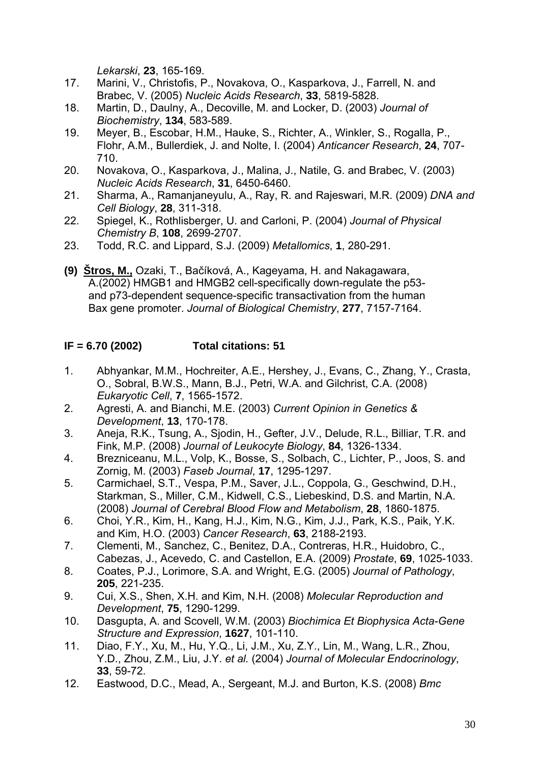*Lekarski*, **23**, 165-169.

- 17. Marini, V., Christofis, P., Novakova, O., Kasparkova, J., Farrell, N. and Brabec, V. (2005) *Nucleic Acids Research*, **33**, 5819-5828.
- 18. Martin, D., Daulny, A., Decoville, M. and Locker, D. (2003) *Journal of Biochemistry*, **134**, 583-589.
- 19. Meyer, B., Escobar, H.M., Hauke, S., Richter, A., Winkler, S., Rogalla, P., Flohr, A.M., Bullerdiek, J. and Nolte, I. (2004) *Anticancer Research*, **24**, 707- 710.
- 20. Novakova, O., Kasparkova, J., Malina, J., Natile, G. and Brabec, V. (2003) *Nucleic Acids Research*, **31**, 6450-6460.
- 21. Sharma, A., Ramanjaneyulu, A., Ray, R. and Rajeswari, M.R. (2009) *DNA and Cell Biology*, **28**, 311-318.
- 22. Spiegel, K., Rothlisberger, U. and Carloni, P. (2004) *Journal of Physical Chemistry B*, **108**, 2699-2707.
- 23. Todd, R.C. and Lippard, S.J. (2009) *Metallomics*, **1**, 280-291.
- **(9) Štros, M.,** Ozaki, T., Bačíková, A., Kageyama, H. and Nakagawara, A.(2002) HMGB1 and HMGB2 cell-specifically down-regulate the p53 and p73-dependent sequence-specific transactivation from the human Bax gene promoter. *Journal of Biological Chemistry*, **277**, 7157-7164.

## **IF = 6.70 (2002) Total citations: 51**

- 1. Abhyankar, M.M., Hochreiter, A.E., Hershey, J., Evans, C., Zhang, Y., Crasta, O., Sobral, B.W.S., Mann, B.J., Petri, W.A. and Gilchrist, C.A. (2008) *Eukaryotic Cell*, **7**, 1565-1572.
- 2. Agresti, A. and Bianchi, M.E. (2003) *Current Opinion in Genetics & Development*, **13**, 170-178.
- 3. Aneja, R.K., Tsung, A., Sjodin, H., Gefter, J.V., Delude, R.L., Billiar, T.R. and Fink, M.P. (2008) *Journal of Leukocyte Biology*, **84**, 1326-1334.
- 4. Brezniceanu, M.L., Volp, K., Bosse, S., Solbach, C., Lichter, P., Joos, S. and Zornig, M. (2003) *Faseb Journal*, **17**, 1295-1297.
- 5. Carmichael, S.T., Vespa, P.M., Saver, J.L., Coppola, G., Geschwind, D.H., Starkman, S., Miller, C.M., Kidwell, C.S., Liebeskind, D.S. and Martin, N.A. (2008) *Journal of Cerebral Blood Flow and Metabolism*, **28**, 1860-1875.
- 6. Choi, Y.R., Kim, H., Kang, H.J., Kim, N.G., Kim, J.J., Park, K.S., Paik, Y.K. and Kim, H.O. (2003) *Cancer Research*, **63**, 2188-2193.
- 7. Clementi, M., Sanchez, C., Benitez, D.A., Contreras, H.R., Huidobro, C., Cabezas, J., Acevedo, C. and Castellon, E.A. (2009) *Prostate*, **69**, 1025-1033.
- 8. Coates, P.J., Lorimore, S.A. and Wright, E.G. (2005) *Journal of Pathology*, **205**, 221-235.
- 9. Cui, X.S., Shen, X.H. and Kim, N.H. (2008) *Molecular Reproduction and Development*, **75**, 1290-1299.
- 10. Dasgupta, A. and Scovell, W.M. (2003) *Biochimica Et Biophysica Acta-Gene Structure and Expression*, **1627**, 101-110.
- 11. Diao, F.Y., Xu, M., Hu, Y.Q., Li, J.M., Xu, Z.Y., Lin, M., Wang, L.R., Zhou, Y.D., Zhou, Z.M., Liu, J.Y. *et al.* (2004) *Journal of Molecular Endocrinology*, **33**, 59-72.
- 12. Eastwood, D.C., Mead, A., Sergeant, M.J. and Burton, K.S. (2008) *Bmc*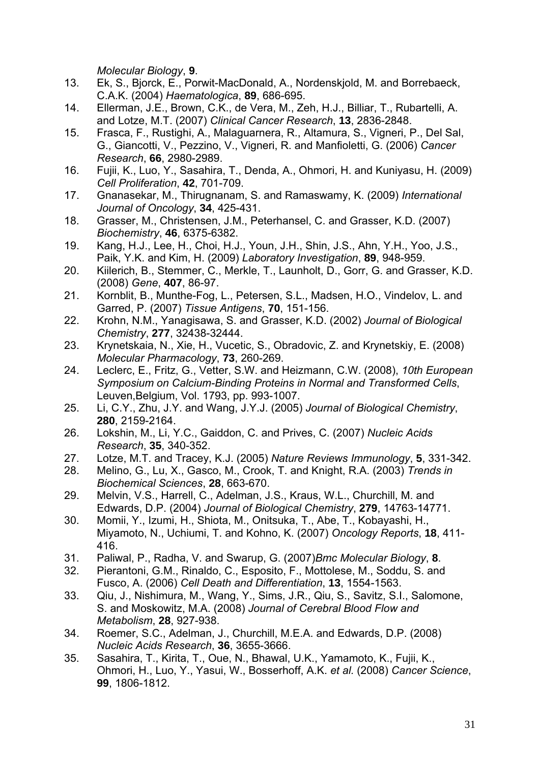*Molecular Biology*, **9**.

- 13. Ek, S., Bjorck, E., Porwit-MacDonald, A., Nordenskjold, M. and Borrebaeck, C.A.K. (2004) *Haematologica*, **89**, 686-695.
- 14. Ellerman, J.E., Brown, C.K., de Vera, M., Zeh, H.J., Billiar, T., Rubartelli, A. and Lotze, M.T. (2007) *Clinical Cancer Research*, **13**, 2836-2848.
- 15. Frasca, F., Rustighi, A., Malaguarnera, R., Altamura, S., Vigneri, P., Del Sal, G., Giancotti, V., Pezzino, V., Vigneri, R. and Manfioletti, G. (2006) *Cancer Research*, **66**, 2980-2989.
- 16. Fujii, K., Luo, Y., Sasahira, T., Denda, A., Ohmori, H. and Kuniyasu, H. (2009) *Cell Proliferation*, **42**, 701-709.
- 17. Gnanasekar, M., Thirugnanam, S. and Ramaswamy, K. (2009) *International Journal of Oncology*, **34**, 425-431.
- 18. Grasser, M., Christensen, J.M., Peterhansel, C. and Grasser, K.D. (2007) *Biochemistry*, **46**, 6375-6382.
- 19. Kang, H.J., Lee, H., Choi, H.J., Youn, J.H., Shin, J.S., Ahn, Y.H., Yoo, J.S., Paik, Y.K. and Kim, H. (2009) *Laboratory Investigation*, **89**, 948-959.
- 20. Kiilerich, B., Stemmer, C., Merkle, T., Launholt, D., Gorr, G. and Grasser, K.D. (2008) *Gene*, **407**, 86-97.
- 21. Kornblit, B., Munthe-Fog, L., Petersen, S.L., Madsen, H.O., Vindelov, L. and Garred, P. (2007) *Tissue Antigens*, **70**, 151-156.
- 22. Krohn, N.M., Yanagisawa, S. and Grasser, K.D. (2002) *Journal of Biological Chemistry*, **277**, 32438-32444.
- 23. Krynetskaia, N., Xie, H., Vucetic, S., Obradovic, Z. and Krynetskiy, E. (2008) *Molecular Pharmacology*, **73**, 260-269.
- 24. Leclerc, E., Fritz, G., Vetter, S.W. and Heizmann, C.W. (2008), *10th European Symposium on Calcium-Binding Proteins in Normal and Transformed Cells*, Leuven,Belgium, Vol. 1793, pp. 993-1007.
- 25. Li, C.Y., Zhu, J.Y. and Wang, J.Y.J. (2005) *Journal of Biological Chemistry*, **280**, 2159-2164.
- 26. Lokshin, M., Li, Y.C., Gaiddon, C. and Prives, C. (2007) *Nucleic Acids Research*, **35**, 340-352.
- 27. Lotze, M.T. and Tracey, K.J. (2005) *Nature Reviews Immunology*, **5**, 331-342.
- 28. Melino, G., Lu, X., Gasco, M., Crook, T. and Knight, R.A. (2003) *Trends in Biochemical Sciences*, **28**, 663-670.
- 29. Melvin, V.S., Harrell, C., Adelman, J.S., Kraus, W.L., Churchill, M. and Edwards, D.P. (2004) *Journal of Biological Chemistry*, **279**, 14763-14771.
- 30. Momii, Y., Izumi, H., Shiota, M., Onitsuka, T., Abe, T., Kobayashi, H., Miyamoto, N., Uchiumi, T. and Kohno, K. (2007) *Oncology Reports*, **18**, 411- 416.
- 31. Paliwal, P., Radha, V. and Swarup, G. (2007)*Bmc Molecular Biology*, **8**.
- 32. Pierantoni, G.M., Rinaldo, C., Esposito, F., Mottolese, M., Soddu, S. and Fusco, A. (2006) *Cell Death and Differentiation*, **13**, 1554-1563.
- 33. Qiu, J., Nishimura, M., Wang, Y., Sims, J.R., Qiu, S., Savitz, S.I., Salomone, S. and Moskowitz, M.A. (2008) *Journal of Cerebral Blood Flow and Metabolism*, **28**, 927-938.
- 34. Roemer, S.C., Adelman, J., Churchill, M.E.A. and Edwards, D.P. (2008) *Nucleic Acids Research*, **36**, 3655-3666.
- 35. Sasahira, T., Kirita, T., Oue, N., Bhawal, U.K., Yamamoto, K., Fujii, K., Ohmori, H., Luo, Y., Yasui, W., Bosserhoff, A.K. *et al.* (2008) *Cancer Science*, **99**, 1806-1812.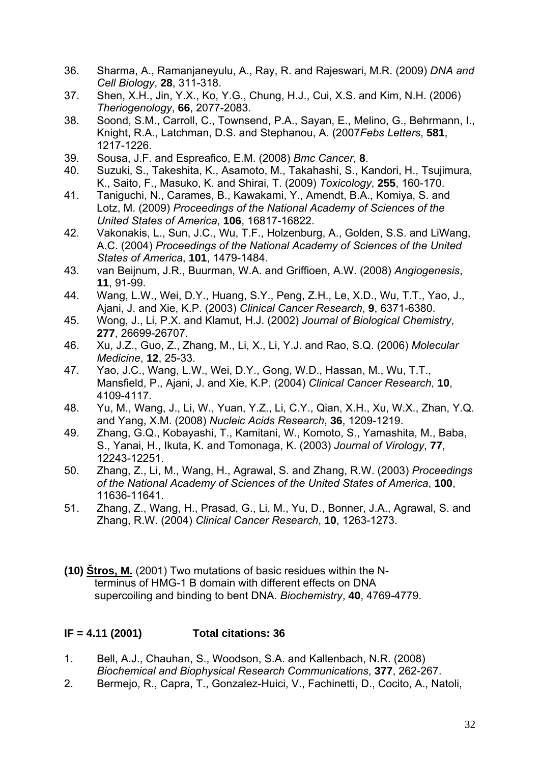- 36. Sharma, A., Ramanjaneyulu, A., Ray, R. and Rajeswari, M.R. (2009) *DNA and Cell Biology*, **28**, 311-318.
- 37. Shen, X.H., Jin, Y.X., Ko, Y.G., Chung, H.J., Cui, X.S. and Kim, N.H. (2006) *Theriogenology*, **66**, 2077-2083.
- 38. Soond, S.M., Carroll, C., Townsend, P.A., Sayan, E., Melino, G., Behrmann, I., Knight, R.A., Latchman, D.S. and Stephanou, A. (2007*Febs Letters*, **581**, 1217-1226.
- 39. Sousa, J.F. and Espreafico, E.M. (2008) *Bmc Cancer*, **8**.
- 40. Suzuki, S., Takeshita, K., Asamoto, M., Takahashi, S., Kandori, H., Tsujimura, K., Saito, F., Masuko, K. and Shirai, T. (2009) *Toxicology*, **255**, 160-170.
- 41. Taniguchi, N., Carames, B., Kawakami, Y., Amendt, B.A., Komiya, S. and Lotz, M. (2009) *Proceedings of the National Academy of Sciences of the United States of America*, **106**, 16817-16822.
- 42. Vakonakis, L., Sun, J.C., Wu, T.F., Holzenburg, A., Golden, S.S. and LiWang, A.C. (2004) *Proceedings of the National Academy of Sciences of the United States of America*, **101**, 1479-1484.
- 43. van Beijnum, J.R., Buurman, W.A. and Griffioen, A.W. (2008) *Angiogenesis*, **11**, 91-99.
- 44. Wang, L.W., Wei, D.Y., Huang, S.Y., Peng, Z.H., Le, X.D., Wu, T.T., Yao, J., Ajani, J. and Xie, K.P. (2003) *Clinical Cancer Research*, **9**, 6371-6380.
- 45. Wong, J., Li, P.X. and Klamut, H.J. (2002) *Journal of Biological Chemistry*, **277**, 26699-26707.
- 46. Xu, J.Z., Guo, Z., Zhang, M., Li, X., Li, Y.J. and Rao, S.Q. (2006) *Molecular Medicine*, **12**, 25-33.
- 47. Yao, J.C., Wang, L.W., Wei, D.Y., Gong, W.D., Hassan, M., Wu, T.T., Mansfield, P., Ajani, J. and Xie, K.P. (2004) *Clinical Cancer Research*, **10**, 4109-4117.
- 48. Yu, M., Wang, J., Li, W., Yuan, Y.Z., Li, C.Y., Qian, X.H., Xu, W.X., Zhan, Y.Q. and Yang, X.M. (2008) *Nucleic Acids Research*, **36**, 1209-1219.
- 49. Zhang, G.Q., Kobayashi, T., Kamitani, W., Komoto, S., Yamashita, M., Baba, S., Yanai, H., Ikuta, K. and Tomonaga, K. (2003) *Journal of Virology*, **77**, 12243-12251.
- 50. Zhang, Z., Li, M., Wang, H., Agrawal, S. and Zhang, R.W. (2003) *Proceedings of the National Academy of Sciences of the United States of America*, **100**, 11636-11641.
- 51. Zhang, Z., Wang, H., Prasad, G., Li, M., Yu, D., Bonner, J.A., Agrawal, S. and Zhang, R.W. (2004) *Clinical Cancer Research*, **10**, 1263-1273.
- **(10) Štros, M.** (2001) Two mutations of basic residues within the N terminus of HMG-1 B domain with different effects on DNA supercoiling and binding to bent DNA. *Biochemistry*, **40**, 4769-4779.

## **IF = 4.11 (2001) Total citations: 36**

- 1. Bell, A.J., Chauhan, S., Woodson, S.A. and Kallenbach, N.R. (2008) *Biochemical and Biophysical Research Communications*, **377**, 262-267.
- 2. Bermejo, R., Capra, T., Gonzalez-Huici, V., Fachinetti, D., Cocito, A., Natoli,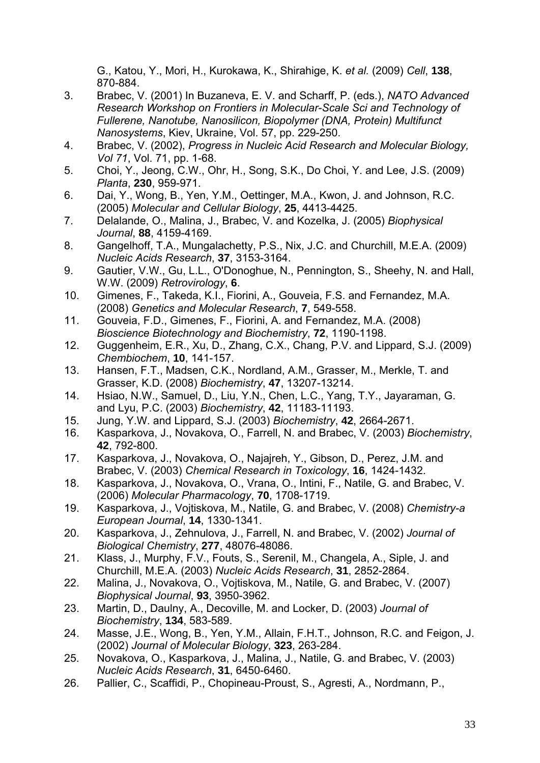G., Katou, Y., Mori, H., Kurokawa, K., Shirahige, K. *et al.* (2009) *Cell*, **138**, 870-884.

- 3. Brabec, V. (2001) In Buzaneva, E. V. and Scharff, P. (eds.), *NATO Advanced Research Workshop on Frontiers in Molecular-Scale Sci and Technology of Fullerene, Nanotube, Nanosilicon, Biopolymer (DNA, Protein) Multifunct Nanosystems*, Kiev, Ukraine, Vol. 57, pp. 229-250.
- 4. Brabec, V. (2002), *Progress in Nucleic Acid Research and Molecular Biology, Vol 71*, Vol. 71, pp. 1-68.
- 5. Choi, Y., Jeong, C.W., Ohr, H., Song, S.K., Do Choi, Y. and Lee, J.S. (2009) *Planta*, **230**, 959-971.
- 6. Dai, Y., Wong, B., Yen, Y.M., Oettinger, M.A., Kwon, J. and Johnson, R.C. (2005) *Molecular and Cellular Biology*, **25**, 4413-4425.
- 7. Delalande, O., Malina, J., Brabec, V. and Kozelka, J. (2005) *Biophysical Journal*, **88**, 4159-4169.
- 8. Gangelhoff, T.A., Mungalachetty, P.S., Nix, J.C. and Churchill, M.E.A. (2009) *Nucleic Acids Research*, **37**, 3153-3164.
- 9. Gautier, V.W., Gu, L.L., O'Donoghue, N., Pennington, S., Sheehy, N. and Hall, W.W. (2009) *Retrovirology*, **6**.
- 10. Gimenes, F., Takeda, K.I., Fiorini, A., Gouveia, F.S. and Fernandez, M.A. (2008) *Genetics and Molecular Research*, **7**, 549-558.
- 11. Gouveia, F.D., Gimenes, F., Fiorini, A. and Fernandez, M.A. (2008) *Bioscience Biotechnology and Biochemistry*, **72**, 1190-1198.
- 12. Guggenheim, E.R., Xu, D., Zhang, C.X., Chang, P.V. and Lippard, S.J. (2009) *Chembiochem*, **10**, 141-157.
- 13. Hansen, F.T., Madsen, C.K., Nordland, A.M., Grasser, M., Merkle, T. and Grasser, K.D. (2008) *Biochemistry*, **47**, 13207-13214.
- 14. Hsiao, N.W., Samuel, D., Liu, Y.N., Chen, L.C., Yang, T.Y., Jayaraman, G. and Lyu, P.C. (2003) *Biochemistry*, **42**, 11183-11193.
- 15. Jung, Y.W. and Lippard, S.J. (2003) *Biochemistry*, **42**, 2664-2671.
- 16. Kasparkova, J., Novakova, O., Farrell, N. and Brabec, V. (2003) *Biochemistry*, **42**, 792-800.
- 17. Kasparkova, J., Novakova, O., Najajreh, Y., Gibson, D., Perez, J.M. and Brabec, V. (2003) *Chemical Research in Toxicology*, **16**, 1424-1432.
- 18. Kasparkova, J., Novakova, O., Vrana, O., Intini, F., Natile, G. and Brabec, V. (2006) *Molecular Pharmacology*, **70**, 1708-1719.
- 19. Kasparkova, J., Vojtiskova, M., Natile, G. and Brabec, V. (2008) *Chemistry-a European Journal*, **14**, 1330-1341.
- 20. Kasparkova, J., Zehnulova, J., Farrell, N. and Brabec, V. (2002) *Journal of Biological Chemistry*, **277**, 48076-48086.
- 21. Klass, J., Murphy, F.V., Fouts, S., Serenil, M., Changela, A., Siple, J. and Churchill, M.E.A. (2003) *Nucleic Acids Research*, **31**, 2852-2864.
- 22. Malina, J., Novakova, O., Vojtiskova, M., Natile, G. and Brabec, V. (2007) *Biophysical Journal*, **93**, 3950-3962.
- 23. Martin, D., Daulny, A., Decoville, M. and Locker, D. (2003) *Journal of Biochemistry*, **134**, 583-589.
- 24. Masse, J.E., Wong, B., Yen, Y.M., Allain, F.H.T., Johnson, R.C. and Feigon, J. (2002) *Journal of Molecular Biology*, **323**, 263-284.
- 25. Novakova, O., Kasparkova, J., Malina, J., Natile, G. and Brabec, V. (2003) *Nucleic Acids Research*, **31**, 6450-6460.
- 26. Pallier, C., Scaffidi, P., Chopineau-Proust, S., Agresti, A., Nordmann, P.,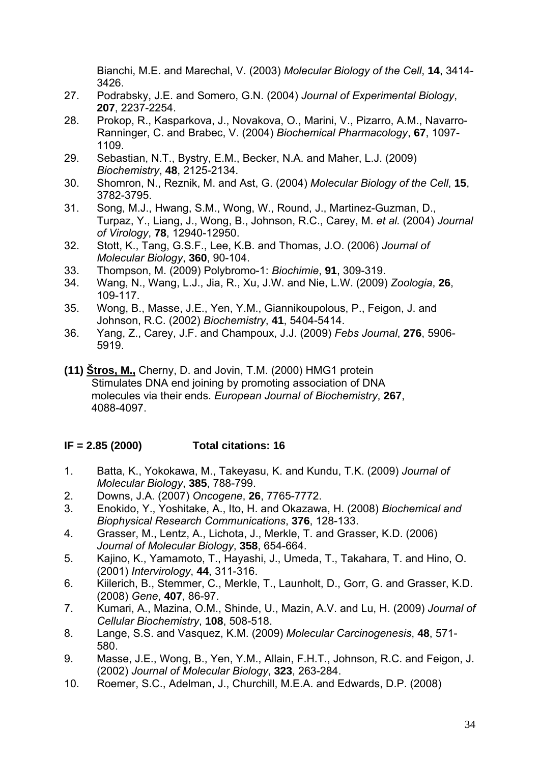Bianchi, M.E. and Marechal, V. (2003) *Molecular Biology of the Cell*, **14**, 3414- 3426.

- 27. Podrabsky, J.E. and Somero, G.N. (2004) *Journal of Experimental Biology*, **207**, 2237-2254.
- 28. Prokop, R., Kasparkova, J., Novakova, O., Marini, V., Pizarro, A.M., Navarro-Ranninger, C. and Brabec, V. (2004) *Biochemical Pharmacology*, **67**, 1097- 1109.
- 29. Sebastian, N.T., Bystry, E.M., Becker, N.A. and Maher, L.J. (2009) *Biochemistry*, **48**, 2125-2134.
- 30. Shomron, N., Reznik, M. and Ast, G. (2004) *Molecular Biology of the Cell*, **15**, 3782-3795.
- 31. Song, M.J., Hwang, S.M., Wong, W., Round, J., Martinez-Guzman, D., Turpaz, Y., Liang, J., Wong, B., Johnson, R.C., Carey, M. *et al.* (2004) *Journal of Virology*, **78**, 12940-12950.
- 32. Stott, K., Tang, G.S.F., Lee, K.B. and Thomas, J.O. (2006) *Journal of Molecular Biology*, **360**, 90-104.
- 33. Thompson, M. (2009) Polybromo-1: *Biochimie*, **91**, 309-319.
- 34. Wang, N., Wang, L.J., Jia, R., Xu, J.W. and Nie, L.W. (2009) *Zoologia*, **26**, 109-117.
- 35. Wong, B., Masse, J.E., Yen, Y.M., Giannikoupolous, P., Feigon, J. and Johnson, R.C. (2002) *Biochemistry*, **41**, 5404-5414.
- 36. Yang, Z., Carey, J.F. and Champoux, J.J. (2009) *Febs Journal*, **276**, 5906- 5919.
- **(11) Štros, M.,** Cherny, D. and Jovin, T.M. (2000) HMG1 protein Stimulates DNA end joining by promoting association of DNA molecules via their ends. *European Journal of Biochemistry*, **267**, 4088-4097.

## **IF = 2.85 (2000) Total citations: 16**

- 1. Batta, K., Yokokawa, M., Takeyasu, K. and Kundu, T.K. (2009) *Journal of Molecular Biology*, **385**, 788-799.
- 2. Downs, J.A. (2007) *Oncogene*, **26**, 7765-7772.
- 3. Enokido, Y., Yoshitake, A., Ito, H. and Okazawa, H. (2008) *Biochemical and Biophysical Research Communications*, **376**, 128-133.
- 4. Grasser, M., Lentz, A., Lichota, J., Merkle, T. and Grasser, K.D. (2006) *Journal of Molecular Biology*, **358**, 654-664.
- 5. Kajino, K., Yamamoto, T., Hayashi, J., Umeda, T., Takahara, T. and Hino, O. (2001) *Intervirology*, **44**, 311-316.
- 6. Kiilerich, B., Stemmer, C., Merkle, T., Launholt, D., Gorr, G. and Grasser, K.D. (2008) *Gene*, **407**, 86-97.
- 7. Kumari, A., Mazina, O.M., Shinde, U., Mazin, A.V. and Lu, H. (2009) *Journal of Cellular Biochemistry*, **108**, 508-518.
- 8. Lange, S.S. and Vasquez, K.M. (2009) *Molecular Carcinogenesis*, **48**, 571- 580.
- 9. Masse, J.E., Wong, B., Yen, Y.M., Allain, F.H.T., Johnson, R.C. and Feigon, J. (2002) *Journal of Molecular Biology*, **323**, 263-284.
- 10. Roemer, S.C., Adelman, J., Churchill, M.E.A. and Edwards, D.P. (2008)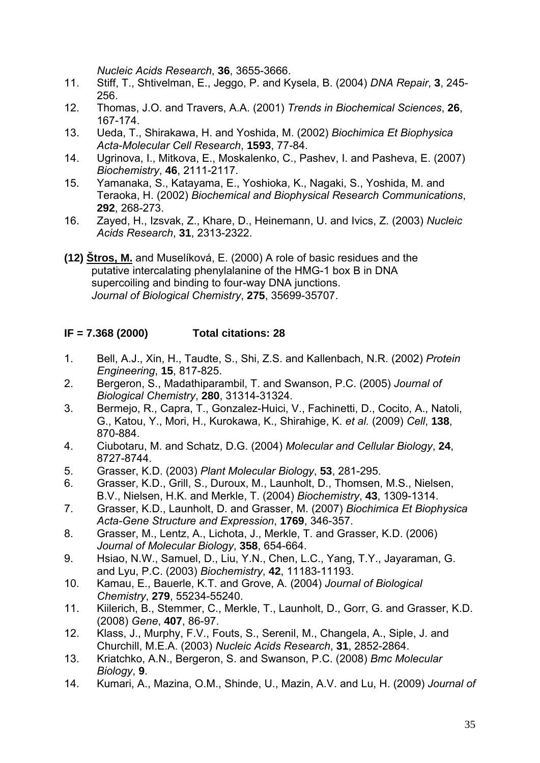*Nucleic Acids Research*, **36**, 3655-3666.

- 11. Stiff, T., Shtivelman, E., Jeggo, P. and Kysela, B. (2004) *DNA Repair*, **3**, 245- 256.
- 12. Thomas, J.O. and Travers, A.A. (2001) *Trends in Biochemical Sciences*, **26**, 167-174.
- 13. Ueda, T., Shirakawa, H. and Yoshida, M. (2002) *Biochimica Et Biophysica Acta-Molecular Cell Research*, **1593**, 77-84.
- 14. Ugrinova, I., Mitkova, E., Moskalenko, C., Pashev, I. and Pasheva, E. (2007) *Biochemistry*, **46**, 2111-2117.
- 15. Yamanaka, S., Katayama, E., Yoshioka, K., Nagaki, S., Yoshida, M. and Teraoka, H. (2002) *Biochemical and Biophysical Research Communications*, **292**, 268-273.
- 16. Zayed, H., Izsvak, Z., Khare, D., Heinemann, U. and Ivics, Z. (2003) *Nucleic Acids Research*, **31**, 2313-2322.
- **(12) Štros, M.** and Muselíková, E. (2000) A role of basic residues and the putative intercalating phenylalanine of the HMG-1 box B in DNA supercoiling and binding to four-way DNA junctions.  *Journal of Biological Chemistry*, **275**, 35699-35707.

#### **IF = 7.368 (2000) Total citations: 28**

- 1. Bell, A.J., Xin, H., Taudte, S., Shi, Z.S. and Kallenbach, N.R. (2002) *Protein Engineering*, **15**, 817-825.
- 2. Bergeron, S., Madathiparambil, T. and Swanson, P.C. (2005) *Journal of Biological Chemistry*, **280**, 31314-31324.
- 3. Bermejo, R., Capra, T., Gonzalez-Huici, V., Fachinetti, D., Cocito, A., Natoli, G., Katou, Y., Mori, H., Kurokawa, K., Shirahige, K. *et al.* (2009) *Cell*, **138**, 870-884.
- 4. Ciubotaru, M. and Schatz, D.G. (2004) *Molecular and Cellular Biology*, **24**, 8727-8744.
- 5. Grasser, K.D. (2003) *Plant Molecular Biology*, **53**, 281-295.
- 6. Grasser, K.D., Grill, S., Duroux, M., Launholt, D., Thomsen, M.S., Nielsen, B.V., Nielsen, H.K. and Merkle, T. (2004) *Biochemistry*, **43**, 1309-1314.
- 7. Grasser, K.D., Launholt, D. and Grasser, M. (2007) *Biochimica Et Biophysica Acta-Gene Structure and Expression*, **1769**, 346-357.
- 8. Grasser, M., Lentz, A., Lichota, J., Merkle, T. and Grasser, K.D. (2006) *Journal of Molecular Biology*, **358**, 654-664.
- 9. Hsiao, N.W., Samuel, D., Liu, Y.N., Chen, L.C., Yang, T.Y., Jayaraman, G. and Lyu, P.C. (2003) *Biochemistry*, **42**, 11183-11193.
- 10. Kamau, E., Bauerle, K.T. and Grove, A. (2004) *Journal of Biological Chemistry*, **279**, 55234-55240.
- 11. Kiilerich, B., Stemmer, C., Merkle, T., Launholt, D., Gorr, G. and Grasser, K.D. (2008) *Gene*, **407**, 86-97.
- 12. Klass, J., Murphy, F.V., Fouts, S., Serenil, M., Changela, A., Siple, J. and Churchill, M.E.A. (2003) *Nucleic Acids Research*, **31**, 2852-2864.
- 13. Kriatchko, A.N., Bergeron, S. and Swanson, P.C. (2008) *Bmc Molecular Biology*, **9**.
- 14. Kumari, A., Mazina, O.M., Shinde, U., Mazin, A.V. and Lu, H. (2009) *Journal of*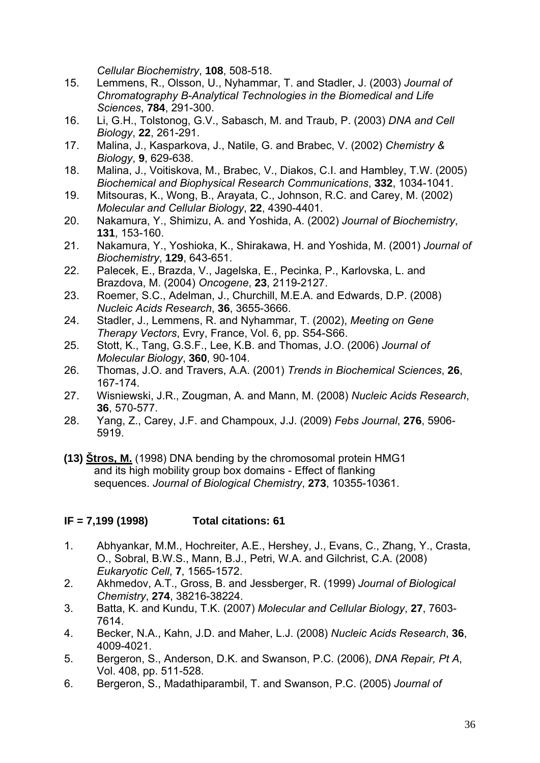*Cellular Biochemistry*, **108**, 508-518.

- 15. Lemmens, R., Olsson, U., Nyhammar, T. and Stadler, J. (2003) *Journal of Chromatography B-Analytical Technologies in the Biomedical and Life Sciences*, **784**, 291-300.
- 16. Li, G.H., Tolstonog, G.V., Sabasch, M. and Traub, P. (2003) *DNA and Cell Biology*, **22**, 261-291.
- 17. Malina, J., Kasparkova, J., Natile, G. and Brabec, V. (2002) *Chemistry & Biology*, **9**, 629-638.
- 18. Malina, J., Voitiskova, M., Brabec, V., Diakos, C.I. and Hambley, T.W. (2005) *Biochemical and Biophysical Research Communications*, **332**, 1034-1041.
- 19. Mitsouras, K., Wong, B., Arayata, C., Johnson, R.C. and Carey, M. (2002) *Molecular and Cellular Biology*, **22**, 4390-4401.
- 20. Nakamura, Y., Shimizu, A. and Yoshida, A. (2002) *Journal of Biochemistry*, **131**, 153-160.
- 21. Nakamura, Y., Yoshioka, K., Shirakawa, H. and Yoshida, M. (2001) *Journal of Biochemistry*, **129**, 643-651.
- 22. Palecek, E., Brazda, V., Jagelska, E., Pecinka, P., Karlovska, L. and Brazdova, M. (2004) *Oncogene*, **23**, 2119-2127.
- 23. Roemer, S.C., Adelman, J., Churchill, M.E.A. and Edwards, D.P. (2008) *Nucleic Acids Research*, **36**, 3655-3666.
- 24. Stadler, J., Lemmens, R. and Nyhammar, T. (2002), *Meeting on Gene Therapy Vectors*, Evry, France, Vol. 6, pp. S54-S66.
- 25. Stott, K., Tang, G.S.F., Lee, K.B. and Thomas, J.O. (2006) *Journal of Molecular Biology*, **360**, 90-104.
- 26. Thomas, J.O. and Travers, A.A. (2001) *Trends in Biochemical Sciences*, **26**, 167-174.
- 27. Wisniewski, J.R., Zougman, A. and Mann, M. (2008) *Nucleic Acids Research*, **36**, 570-577.
- 28. Yang, Z., Carey, J.F. and Champoux, J.J. (2009) *Febs Journal*, **276**, 5906- 5919.
- **(13) Štros, M.** (1998) DNA bending by the chromosomal protein HMG1 and its high mobility group box domains - Effect of flanking sequences. *Journal of Biological Chemistry*, **273**, 10355-10361.

#### **IF = 7,199 (1998) Total citations: 61**

- 1. Abhyankar, M.M., Hochreiter, A.E., Hershey, J., Evans, C., Zhang, Y., Crasta, O., Sobral, B.W.S., Mann, B.J., Petri, W.A. and Gilchrist, C.A. (2008) *Eukaryotic Cell*, **7**, 1565-1572.
- 2. Akhmedov, A.T., Gross, B. and Jessberger, R. (1999) *Journal of Biological Chemistry*, **274**, 38216-38224.
- 3. Batta, K. and Kundu, T.K. (2007) *Molecular and Cellular Biology*, **27**, 7603- 7614.
- 4. Becker, N.A., Kahn, J.D. and Maher, L.J. (2008) *Nucleic Acids Research*, **36**, 4009-4021.
- 5. Bergeron, S., Anderson, D.K. and Swanson, P.C. (2006), *DNA Repair, Pt A*, Vol. 408, pp. 511-528.
- 6. Bergeron, S., Madathiparambil, T. and Swanson, P.C. (2005) *Journal of*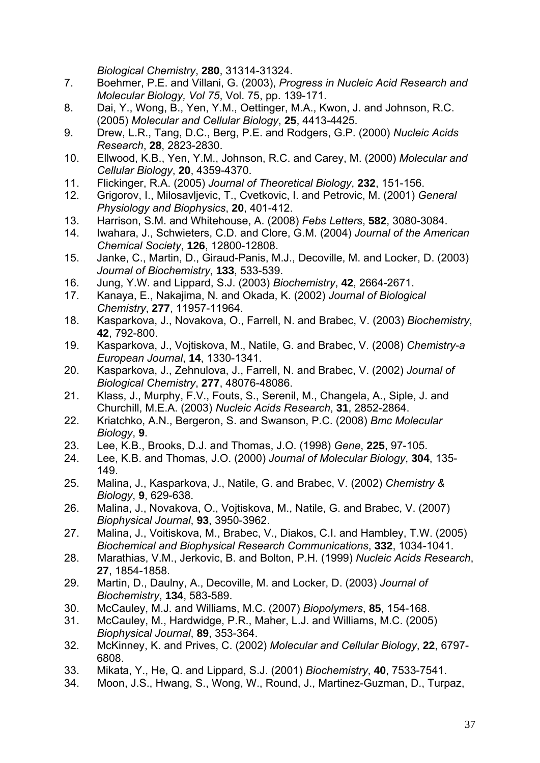*Biological Chemistry*, **280**, 31314-31324.

- 7. Boehmer, P.E. and Villani, G. (2003), *Progress in Nucleic Acid Research and Molecular Biology, Vol 75*, Vol. 75, pp. 139-171.
- 8. Dai, Y., Wong, B., Yen, Y.M., Oettinger, M.A., Kwon, J. and Johnson, R.C. (2005) *Molecular and Cellular Biology*, **25**, 4413-4425.
- 9. Drew, L.R., Tang, D.C., Berg, P.E. and Rodgers, G.P. (2000) *Nucleic Acids Research*, **28**, 2823-2830.
- 10. Ellwood, K.B., Yen, Y.M., Johnson, R.C. and Carey, M. (2000) *Molecular and Cellular Biology*, **20**, 4359-4370.
- 11. Flickinger, R.A. (2005) *Journal of Theoretical Biology*, **232**, 151-156.
- 12. Grigorov, I., Milosavljevic, T., Cvetkovic, I. and Petrovic, M. (2001) *General Physiology and Biophysics*, **20**, 401-412.
- 13. Harrison, S.M. and Whitehouse, A. (2008) *Febs Letters*, **582**, 3080-3084.
- 14. Iwahara, J., Schwieters, C.D. and Clore, G.M. (2004) *Journal of the American Chemical Society*, **126**, 12800-12808.
- 15. Janke, C., Martin, D., Giraud-Panis, M.J., Decoville, M. and Locker, D. (2003) *Journal of Biochemistry*, **133**, 533-539.
- 16. Jung, Y.W. and Lippard, S.J. (2003) *Biochemistry*, **42**, 2664-2671.
- 17. Kanaya, E., Nakajima, N. and Okada, K. (2002) *Journal of Biological Chemistry*, **277**, 11957-11964.
- 18. Kasparkova, J., Novakova, O., Farrell, N. and Brabec, V. (2003) *Biochemistry*, **42**, 792-800.
- 19. Kasparkova, J., Vojtiskova, M., Natile, G. and Brabec, V. (2008) *Chemistry-a European Journal*, **14**, 1330-1341.
- 20. Kasparkova, J., Zehnulova, J., Farrell, N. and Brabec, V. (2002) *Journal of Biological Chemistry*, **277**, 48076-48086.
- 21. Klass, J., Murphy, F.V., Fouts, S., Serenil, M., Changela, A., Siple, J. and Churchill, M.E.A. (2003) *Nucleic Acids Research*, **31**, 2852-2864.
- 22. Kriatchko, A.N., Bergeron, S. and Swanson, P.C. (2008) *Bmc Molecular Biology*, **9**.
- 23. Lee, K.B., Brooks, D.J. and Thomas, J.O. (1998) *Gene*, **225**, 97-105.
- 24. Lee, K.B. and Thomas, J.O. (2000) *Journal of Molecular Biology*, **304**, 135- 149.
- 25. Malina, J., Kasparkova, J., Natile, G. and Brabec, V. (2002) *Chemistry & Biology*, **9**, 629-638.
- 26. Malina, J., Novakova, O., Vojtiskova, M., Natile, G. and Brabec, V. (2007) *Biophysical Journal*, **93**, 3950-3962.
- 27. Malina, J., Voitiskova, M., Brabec, V., Diakos, C.I. and Hambley, T.W. (2005) *Biochemical and Biophysical Research Communications*, **332**, 1034-1041.
- 28. Marathias, V.M., Jerkovic, B. and Bolton, P.H. (1999) *Nucleic Acids Research*, **27**, 1854-1858.
- 29. Martin, D., Daulny, A., Decoville, M. and Locker, D. (2003) *Journal of Biochemistry*, **134**, 583-589.
- 30. McCauley, M.J. and Williams, M.C. (2007) *Biopolymers*, **85**, 154-168.
- 31. McCauley, M., Hardwidge, P.R., Maher, L.J. and Williams, M.C. (2005) *Biophysical Journal*, **89**, 353-364.
- 32. McKinney, K. and Prives, C. (2002) *Molecular and Cellular Biology*, **22**, 6797- 6808.
- 33. Mikata, Y., He, Q. and Lippard, S.J. (2001) *Biochemistry*, **40**, 7533-7541.
- 34. [Moon, J.S.,](http://www.scopus.com/search/submit/author.url?author=Moon%2c+J.S.&origin=resultslist&authorId=7401474489&src=s) [Hwang, S.,](http://www.scopus.com/search/submit/author.url?author=Hwang%2c+S.&origin=resultslist&authorId=7404626305&src=s) [Wong, W.](http://www.scopus.com/search/submit/author.url?author=Wong%2c+W.&origin=resultslist&authorId=14521616100&src=s), [Round, J.](http://www.scopus.com/search/submit/author.url?author=Round%2c+J.&origin=resultslist&authorId=7003340890&src=s), [Martinez-Guzman, D.](http://www.scopus.com/search/submit/author.url?author=Martinez-Guzman%2c+D.&origin=resultslist&authorId=6506268320&src=s), [Turpaz,](http://www.scopus.com/search/submit/author.url?author=Turpaz%2c+Y.&origin=resultslist&authorId=11839305500&src=s)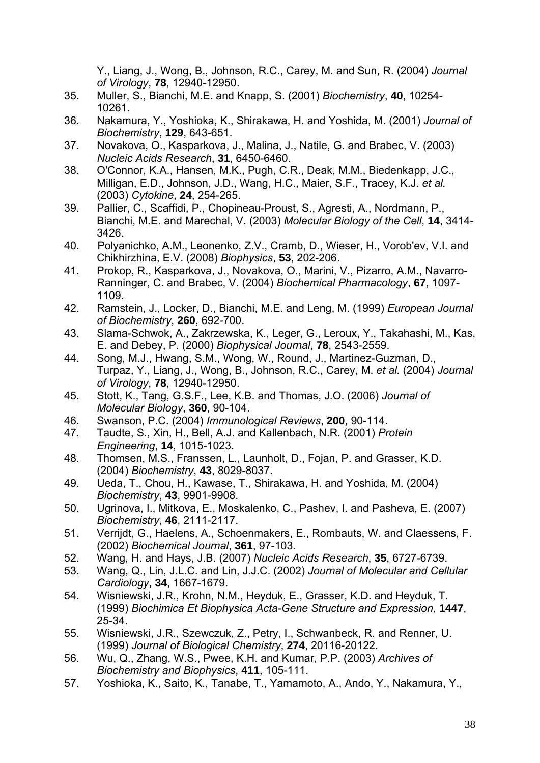[Y.](http://www.scopus.com/search/submit/author.url?author=Turpaz%2c+Y.&origin=resultslist&authorId=11839305500&src=s), [Liang, J.](http://www.scopus.com/search/submit/author.url?author=Liang%2c+J.&origin=resultslist&authorId=24802395600&src=s), Wong, B., Johnson, R.C., Carey, M. and [Sun, R.](http://www.scopus.com/search/submit/author.url?author=Sun%2c+R.&origin=resultslist&authorId=7401619603&src=s) (2004) *Journal of Virology*, **78**, 12940-12950.

- 35. Muller, S., Bianchi, M.E. and Knapp, S. (2001) *Biochemistry*, **40**, 10254- 10261.
- 36. Nakamura, Y., Yoshioka, K., Shirakawa, H. and Yoshida, M. (2001) *Journal of Biochemistry*, **129**, 643-651.
- 37. Novakova, O., Kasparkova, J., Malina, J., Natile, G. and Brabec, V. (2003) *Nucleic Acids Research*, **31**, 6450-6460.
- 38. O'Connor, K.A., Hansen, M.K., Pugh, C.R., Deak, M.M., Biedenkapp, J.C., Milligan, E.D., Johnson, J.D., Wang, H.C., Maier, S.F., Tracey, K.J. *et al.* (2003) *Cytokine*, **24**, 254-265.
- 39. Pallier, C., Scaffidi, P., Chopineau-Proust, S., Agresti, A., Nordmann, P., Bianchi, M.E. and Marechal, V. (2003) *Molecular Biology of the Cell*, **14**, 3414- 3426.
- 40. [Polyanichko, A.M.,](http://www.scopus.com/search/submit/author.url?author=Polyanichko%2c+A.M.&origin=resultslist&authorId=6602405202&src=s) [Leonenko, Z.V.,](http://www.scopus.com/search/submit/author.url?author=Leonenko%2c+Z.V.&origin=resultslist&authorId=6602782946&src=s) [Cramb, D.,](http://www.scopus.com/search/submit/author.url?author=Cramb%2c+D.&origin=resultslist&authorId=6701588880&src=s) [Wieser, H.,](http://www.scopus.com/search/submit/author.url?author=Wieser%2c+H.&origin=resultslist&authorId=7102966884&src=s) [Vorob'ev, V.I.](http://www.scopus.com/search/submit/author.url?author=Vorob%27ev%2c+V.I.&origin=resultslist&authorId=16036703300&src=s) and [Chikhirzhina, E.V.](http://www.scopus.com/search/submit/author.url?author=Chikhirzhina%2c+E.V.&origin=resultslist&authorId=6603011607&src=s) (2008) *Biophysics*, **53**, 202-206.
- 41. Prokop, R., Kasparkova, J., Novakova, O., Marini, V., Pizarro, A.M., Navarro-Ranninger, C. and Brabec, V. (2004) *Biochemical Pharmacology*, **67**, 1097- 1109.
- 42. Ramstein, J., Locker, D., Bianchi, M.E. and Leng, M. (1999) *European Journal of Biochemistry*, **260**, 692-700.
- 43. Slama-Schwok, A., Zakrzewska, K., Leger, G., Leroux, Y., Takahashi, M., Kas, E. and Debey, P. (2000) *Biophysical Journal*, **78**, 2543-2559.
- 44. Song, M.J., Hwang, S.M., Wong, W., Round, J., Martinez-Guzman, D., Turpaz, Y., Liang, J., Wong, B., Johnson, R.C., Carey, M. *et al.* (2004) *Journal of Virology*, **78**, 12940-12950.
- 45. Stott, K., Tang, G.S.F., Lee, K.B. and Thomas, J.O. (2006) *Journal of Molecular Biology*, **360**, 90-104.
- 46. Swanson, P.C. (2004) *Immunological Reviews*, **200**, 90-114.
- 47. Taudte, S., Xin, H., Bell, A.J. and Kallenbach, N.R. (2001) *Protein Engineering*, **14**, 1015-1023.
- 48. Thomsen, M.S., Franssen, L., Launholt, D., Fojan, P. and Grasser, K.D. (2004) *Biochemistry*, **43**, 8029-8037.
- 49. Ueda, T., Chou, H., Kawase, T., Shirakawa, H. and Yoshida, M. (2004) *Biochemistry*, **43**, 9901-9908.
- 50. Ugrinova, I., Mitkova, E., Moskalenko, C., Pashev, I. and Pasheva, E. (2007) *Biochemistry*, **46**, 2111-2117.
- 51. Verrijdt, G., Haelens, A., Schoenmakers, E., Rombauts, W. and Claessens, F. (2002) *Biochemical Journal*, **361**, 97-103.
- 52. Wang, H. and Hays, J.B. (2007) *Nucleic Acids Research*, **35**, 6727-6739.
- 53. Wang, Q., Lin, J.L.C. and Lin, J.J.C. (2002) *Journal of Molecular and Cellular Cardiology*, **34**, 1667-1679.
- 54. Wisniewski, J.R., Krohn, N.M., Heyduk, E., Grasser, K.D. and Heyduk, T. (1999) *Biochimica Et Biophysica Acta-Gene Structure and Expression*, **1447**, 25-34.
- 55. Wisniewski, J.R., Szewczuk, Z., Petry, I., Schwanbeck, R. and Renner, U. (1999) *Journal of Biological Chemistry*, **274**, 20116-20122.
- 56. Wu, Q., Zhang, W.S., Pwee, K.H. and Kumar, P.P. (2003) *Archives of Biochemistry and Biophysics*, **411**, 105-111.
- 57. Yoshioka, K., Saito, K., Tanabe, T., Yamamoto, A., Ando, Y., Nakamura, Y.,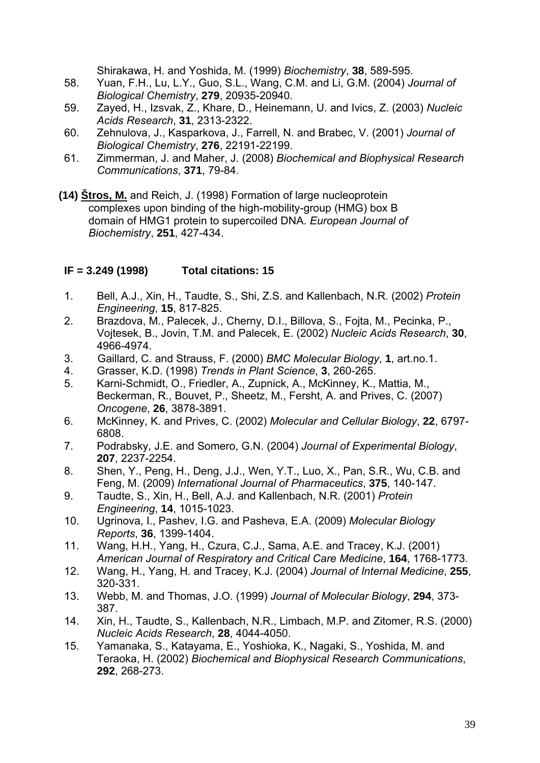Shirakawa, H. and Yoshida, M. (1999) *Biochemistry*, **38**, 589-595.

- 58. Yuan, F.H., Lu, L.Y., Guo, S.L., Wang, C.M. and Li, G.M. (2004) *Journal of Biological Chemistry*, **279**, 20935-20940.
- 59. Zayed, H., Izsvak, Z., Khare, D., Heinemann, U. and Ivics, Z. (2003) *Nucleic Acids Research*, **31**, 2313-2322.
- 60. Zehnulova, J., Kasparkova, J., Farrell, N. and Brabec, V. (2001) *Journal of Biological Chemistry*, **276**, 22191-22199.
- 61. Zimmerman, J. and Maher, J. (2008) *Biochemical and Biophysical Research Communications*, **371**, 79-84.
- **(14) Štros, M.** and Reich, J. (1998) Formation of large nucleoprotein complexes upon binding of the high-mobility-group (HMG) box B domain of HMG1 protein to supercoiled DNA. *European Journal of Biochemistry*, **251**, 427-434.

#### **IF = 3.249 (1998) Total citations: 15**

- 1. Bell, A.J., Xin, H., Taudte, S., Shi, Z.S. and Kallenbach, N.R. (2002) *Protein Engineering*, **15**, 817-825.
- 2. Brazdova, M., Palecek, J., Cherny, D.I., Billova, S., Fojta, M., Pecinka, P., Vojtesek, B., Jovin, T.M. and Palecek, E. (2002) *Nucleic Acids Research*, **30**, 4966-4974.
- 3. Gaillard, C. and Strauss, F. (2000) *BMC Molecular Biology*, **1**, art.no.1.
- 4. Grasser, K.D. (1998) *Trends in Plant Science*, **3**, 260-265.
- 5. Karni-Schmidt, O., Friedler, A., Zupnick, A., McKinney, K., Mattia, M., Beckerman, R., Bouvet, P., Sheetz, M., Fersht, A. and Prives, C. (2007) *Oncogene*, **26**, 3878-3891.
- 6. McKinney, K. and Prives, C. (2002) *Molecular and Cellular Biology*, **22**, 6797- 6808.
- 7. Podrabsky, J.E. and Somero, G.N. (2004) *Journal of Experimental Biology*, **207**, 2237-2254.
- 8. Shen, Y., Peng, H., Deng, J.J., Wen, Y.T., Luo, X., Pan, S.R., Wu, C.B. and Feng, M. (2009) *International Journal of Pharmaceutics*, **375**, 140-147.
- 9. Taudte, S., Xin, H., Bell, A.J. and Kallenbach, N.R. (2001) *Protein Engineering*, **14**, 1015-1023.
- 10. Ugrinova, I., Pashev, I.G. and Pasheva, E.A. (2009) *Molecular Biology Reports*, **36**, 1399-1404.
- 11. Wang, H.H., Yang, H., Czura, C.J., Sama, A.E. and Tracey, K.J. (2001) *American Journal of Respiratory and Critical Care Medicine*, **164**, 1768-1773.
- 12. Wang, H., Yang, H. and Tracey, K.J. (2004) *Journal of Internal Medicine*, **255**, 320-331.
- 13. Webb, M. and Thomas, J.O. (1999) *Journal of Molecular Biology*, **294**, 373- 387.
- 14. Xin, H., Taudte, S., Kallenbach, N.R., Limbach, M.P. and Zitomer, R.S. (2000) *Nucleic Acids Research*, **28**, 4044-4050.
- 15. Yamanaka, S., Katayama, E., Yoshioka, K., Nagaki, S., Yoshida, M. and Teraoka, H. (2002) *Biochemical and Biophysical Research Communications*, **292**, 268-273.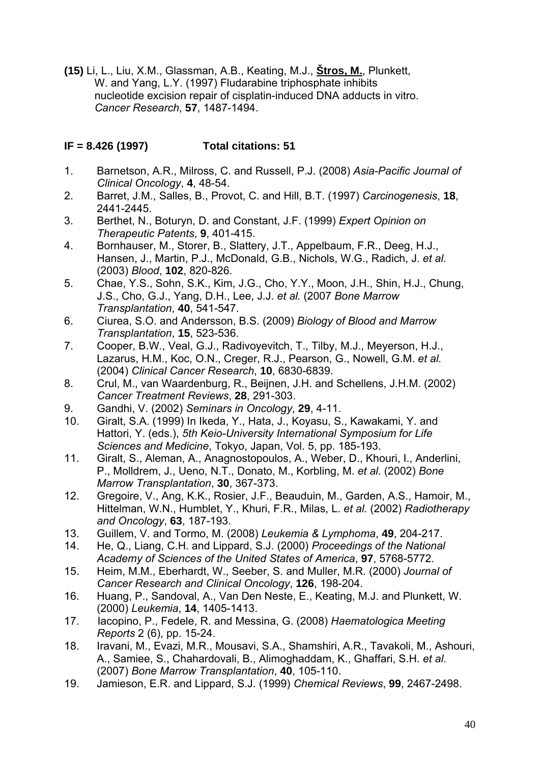**(15)** Li, L., Liu, X.M., Glassman, A.B., Keating, M.J., **Štros, M.**, Plunkett, W. and Yang, L.Y. (1997) Fludarabine triphosphate inhibits nucleotide excision repair of cisplatin-induced DNA adducts in vitro. *Cancer Research*, **57**, 1487-1494.

## **IF = 8.426 (1997) Total citations: 51**

- 1. Barnetson, A.R., Milross, C. and Russell, P.J. (2008) *Asia-Pacific Journal of Clinical Oncology*, **4**, 48-54.
- 2. Barret, J.M., Salles, B., Provot, C. and Hill, B.T. (1997) *Carcinogenesis*, **18**, 2441-2445.
- 3. Berthet, N., Boturyn, D. and Constant, J.F. (1999) *Expert Opinion on Therapeutic Patents*, **9**, 401-415.
- 4. Bornhauser, M., Storer, B., Slattery, J.T., Appelbaum, F.R., Deeg, H.J., Hansen, J., Martin, P.J., McDonald, G.B., Nichols, W.G., Radich, J. *et al.* (2003) *Blood*, **102**, 820-826.
- 5. Chae, Y.S., Sohn, S.K., Kim, J.G., Cho, Y.Y., Moon, J.H., Shin, H.J., Chung, J.S., Cho, G.J., Yang, D.H., Lee, J.J. *et al.* (2007 *Bone Marrow Transplantation*, **40**, 541-547.
- 6. Ciurea, S.O. and Andersson, B.S. (2009) *Biology of Blood and Marrow Transplantation*, **15**, 523-536.
- 7. Cooper, B.W., Veal, G.J., Radivoyevitch, T., Tilby, M.J., Meyerson, H.J., Lazarus, H.M., Koc, O.N., Creger, R.J., Pearson, G., Nowell, G.M. *et al.* (2004) *Clinical Cancer Research*, **10**, 6830-6839.
- 8. Crul, M., van Waardenburg, R., Beijnen, J.H. and Schellens, J.H.M. (2002) *Cancer Treatment Reviews*, **28**, 291-303.
- 9. Gandhi, V. (2002) *Seminars in Oncology*, **29**, 4-11.
- 10. Giralt, S.A. (1999) In Ikeda, Y., Hata, J., Koyasu, S., Kawakami, Y. and Hattori, Y. (eds.), *5th Keio-University International Symposium for Life Sciences and Medicine*, Tokyo, Japan, Vol. 5, pp. 185-193.
- 11. Giralt, S., Aleman, A., Anagnostopoulos, A., Weber, D., Khouri, I., Anderlini, P., Molldrem, J., Ueno, N.T., Donato, M., Korbling, M. *et al.* (2002) *Bone Marrow Transplantation*, **30**, 367-373.
- 12. Gregoire, V., Ang, K.K., Rosier, J.F., Beauduin, M., Garden, A.S., Hamoir, M., Hittelman, W.N., Humblet, Y., Khuri, F.R., Milas, L. *et al.* (2002) *Radiotherapy and Oncology*, **63**, 187-193.
- 13. Guillem, V. and Tormo, M. (2008) *Leukemia & Lymphoma*, **49**, 204-217.
- 14. He, Q., Liang, C.H. and Lippard, S.J. (2000) *Proceedings of the National Academy of Sciences of the United States of America*, **97**, 5768-5772.
- 15. Heim, M.M., Eberhardt, W., Seeber, S. and Muller, M.R. (2000) *Journal of Cancer Research and Clinical Oncology*, **126**, 198-204.
- 16. Huang, P., Sandoval, A., Van Den Neste, E., Keating, M.J. and Plunkett, W. (2000) *Leukemia*, **14**, 1405-1413.
- 17. [Iacopino, P.,](http://www.scopus.com/search/submit/author.url?author=Iacopino%2c+P.&origin=resultslist&authorId=7003389248&src=s) [Fedele, R.](http://www.scopus.com/search/submit/author.url?author=Fedele%2c+R.&origin=resultslist&authorId=25929141100&src=s) and [Messina, G.](http://www.scopus.com/search/submit/author.url?author=Messina%2c+G.&origin=resultslist&authorId=7103136100&src=s) (2008) *Haematologica Meeting Reports* 2 (6), pp. 15-24.
- 18. Iravani, M., Evazi, M.R., Mousavi, S.A., Shamshiri, A.R., Tavakoli, M., Ashouri, A., Samiee, S., Chahardovali, B., Alimoghaddam, K., Ghaffari, S.H. *et al.* (2007) *Bone Marrow Transplantation*, **40**, 105-110.
- 19. Jamieson, E.R. and Lippard, S.J. (1999) *Chemical Reviews*, **99**, 2467-2498.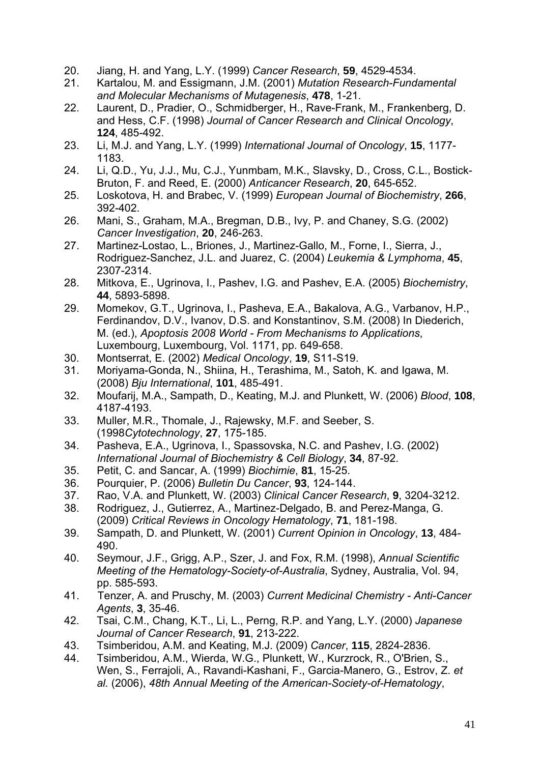- 20. Jiang, H. and Yang, L.Y. (1999) *Cancer Research*, **59**, 4529-4534.
- 21. Kartalou, M. and Essigmann, J.M. (2001) *Mutation Research-Fundamental and Molecular Mechanisms of Mutagenesis*, **478**, 1-21.
- 22. Laurent, D., Pradier, O., Schmidberger, H., Rave-Frank, M., Frankenberg, D. and Hess, C.F. (1998) *Journal of Cancer Research and Clinical Oncology*, **124**, 485-492.
- 23. Li, M.J. and Yang, L.Y. (1999) *International Journal of Oncology*, **15**, 1177- 1183.
- 24. Li, Q.D., Yu, J.J., Mu, C.J., Yunmbam, M.K., Slavsky, D., Cross, C.L., Bostick-Bruton, F. and Reed, E. (2000) *Anticancer Research*, **20**, 645-652.
- 25. Loskotova, H. and Brabec, V. (1999) *European Journal of Biochemistry*, **266**, 392-402.
- 26. Mani, S., Graham, M.A., Bregman, D.B., Ivy, P. and Chaney, S.G. (2002) *Cancer Investigation*, **20**, 246-263.
- 27. Martinez-Lostao, L., Briones, J., Martinez-Gallo, M., Forne, I., Sierra, J., Rodriguez-Sanchez, J.L. and Juarez, C. (2004) *Leukemia & Lymphoma*, **45**, 2307-2314.
- 28. Mitkova, E., Ugrinova, I., Pashev, I.G. and Pashev, E.A. (2005) *Biochemistry*, **44**, 5893-5898.
- 29. Momekov, G.T., Ugrinova, I., Pasheva, E.A., Bakalova, A.G., Varbanov, H.P., Ferdinandov, D.V., Ivanov, D.S. and Konstantinov, S.M. (2008) In Diederich, M. (ed.), *Apoptosis 2008 World - From Mechanisms to Applications*, Luxembourg, Luxembourg, Vol. 1171, pp. 649-658.
- 30. Montserrat, E. (2002) *Medical Oncology*, **19**, S11-S19.
- 31. Moriyama-Gonda, N., Shiina, H., Terashima, M., Satoh, K. and Igawa, M. (2008) *Bju International*, **101**, 485-491.
- 32. Moufarij, M.A., Sampath, D., Keating, M.J. and Plunkett, W. (2006) *Blood*, **108**, 4187-4193.
- 33. Muller, M.R., Thomale, J., Rajewsky, M.F. and Seeber, S. (1998*Cytotechnology*, **27**, 175-185.
- 34. Pasheva, E.A., Ugrinova, I., Spassovska, N.C. and Pashev, I.G. (2002) *International Journal of Biochemistry & Cell Biology*, **34**, 87-92.
- 35. Petit, C. and Sancar, A. (1999) *Biochimie*, **81**, 15-25.
- 36. Pourquier, P. (2006) *Bulletin Du Cancer*, **93**, 124-144.
- 37. Rao, V.A. and Plunkett, W. (2003) *Clinical Cancer Research*, **9**, 3204-3212.
- 38. Rodriguez, J., Gutierrez, A., Martinez-Delgado, B. and Perez-Manga, G. (2009) *Critical Reviews in Oncology Hematology*, **71**, 181-198.
- 39. Sampath, D. and Plunkett, W. (2001) *Current Opinion in Oncology*, **13**, 484- 490.
- 40. Seymour, J.F., Grigg, A.P., Szer, J. and Fox, R.M. (1998), *Annual Scientific Meeting of the Hematology-Society-of-Australia*, Sydney, Australia, Vol. 94, pp. 585-593.
- 41. [Tenzer, A.](http://www.scopus.com/search/submit/author.url?author=Tenzer%2c+A.&origin=resultslist&authorId=6602270907&src=s) and [Pruschy, M.](http://www.scopus.com/search/submit/author.url?author=Pruschy%2c+M.&origin=resultslist&authorId=6701797642&src=s) (2003) *Current Medicinal Chemistry Anti-Cancer Agents*, **3**, 35-46.
- 42. Tsai, C.M., Chang, K.T., Li, L., Perng, R.P. and Yang, L.Y. (2000) *Japanese Journal of Cancer Research*, **91**, 213-222.
- 43. Tsimberidou, A.M. and Keating, M.J. (2009) *Cancer*, **115**, 2824-2836.
- 44. Tsimberidou, A.M., Wierda, W.G., Plunkett, W., Kurzrock, R., O'Brien, S., Wen, S., Ferrajoli, A., Ravandi-Kashani, F., Garcia-Manero, G., Estrov, Z. *et al.* (2006), *48th Annual Meeting of the American-Society-of-Hematology*,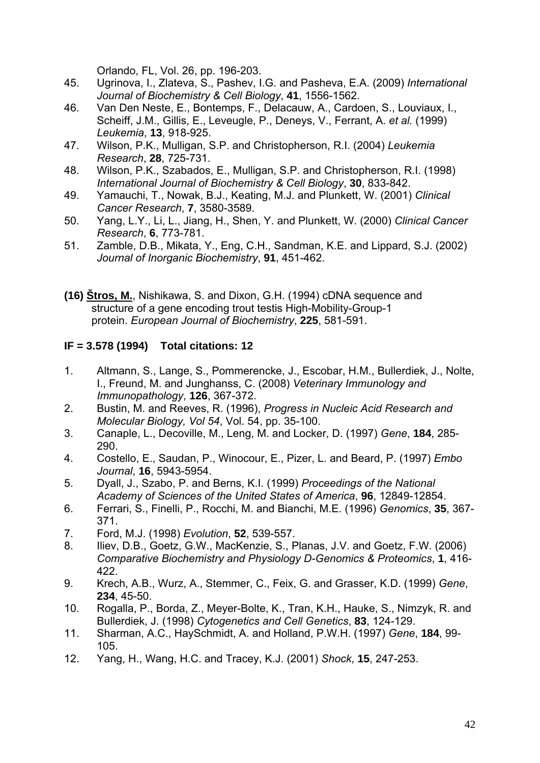Orlando, FL, Vol. 26, pp. 196-203.

- 45. Ugrinova, I., Zlateva, S., Pashev, I.G. and Pasheva, E.A. (2009) *International Journal of Biochemistry & Cell Biology*, **41**, 1556-1562.
- 46. Van Den Neste, E., Bontemps, F., Delacauw, A., Cardoen, S., Louviaux, I., Scheiff, J.M., Gillis, E., Leveugle, P., Deneys, V., Ferrant, A. *et al.* (1999) *Leukemia*, **13**, 918-925.
- 47. Wilson, P.K., Mulligan, S.P. and Christopherson, R.I. (2004) *Leukemia Research*, **28**, 725-731.
- 48. Wilson, P.K., Szabados, E., Mulligan, S.P. and Christopherson, R.I. (1998) *International Journal of Biochemistry & Cell Biology*, **30**, 833-842.
- 49. Yamauchi, T., Nowak, B.J., Keating, M.J. and Plunkett, W. (2001) *Clinical Cancer Research*, **7**, 3580-3589.
- 50. Yang, L.Y., Li, L., Jiang, H., Shen, Y. and Plunkett, W. (2000) *Clinical Cancer Research*, **6**, 773-781.
- 51. Zamble, D.B., Mikata, Y., Eng, C.H., Sandman, K.E. and Lippard, S.J. (2002) *Journal of Inorganic Biochemistry*, **91**, 451-462.
- **(16) Štros, M.**, Nishikawa, S. and Dixon, G.H. (1994) cDNA sequence and structure of a gene encoding trout testis High-Mobility-Group-1 protein. *European Journal of Biochemistry*, **225**, 581-591.

#### **IF = 3.578 (1994) Total citations: 12**

- 1. Altmann, S., Lange, S., Pommerencke, J., Escobar, H.M., Bullerdiek, J., Nolte, I., Freund, M. and Junghanss, C. (2008) *Veterinary Immunology and Immunopathology*, **126**, 367-372.
- 2. Bustin, M. and Reeves, R. (1996), *Progress in Nucleic Acid Research and Molecular Biology, Vol 54*, Vol. 54, pp. 35-100.
- 3. Canaple, L., Decoville, M., Leng, M. and Locker, D. (1997) *Gene*, **184**, 285- 290.
- 4. Costello, E., Saudan, P., Winocour, E., Pizer, L. and Beard, P. (1997) *Embo Journal*, **16**, 5943-5954.
- 5. Dyall, J., Szabo, P. and Berns, K.I. (1999) *Proceedings of the National Academy of Sciences of the United States of America*, **96**, 12849-12854.
- 6. Ferrari, S., Finelli, P., Rocchi, M. and Bianchi, M.E. (1996) *Genomics*, **35**, 367- 371.
- 7. Ford, M.J. (1998) *Evolution*, **52**, 539-557.
- 8. Iliev, D.B., Goetz, G.W., MacKenzie, S., Planas, J.V. and Goetz, F.W. (2006) *Comparative Biochemistry and Physiology D-Genomics & Proteomics*, **1**, 416- 422.
- 9. Krech, A.B., Wurz, A., Stemmer, C., Feix, G. and Grasser, K.D. (1999) *Gene*, **234**, 45-50.
- 10. Rogalla, P., Borda, Z., Meyer-Bolte, K., Tran, K.H., Hauke, S., Nimzyk, R. and Bullerdiek, J. (1998) *Cytogenetics and Cell Genetics*, **83**, 124-129.
- 11. Sharman, A.C., HaySchmidt, A. and Holland, P.W.H. (1997) *Gene*, **184**, 99- 105.
- 12. Yang, H., Wang, H.C. and Tracey, K.J. (2001) *Shock*, **15**, 247-253.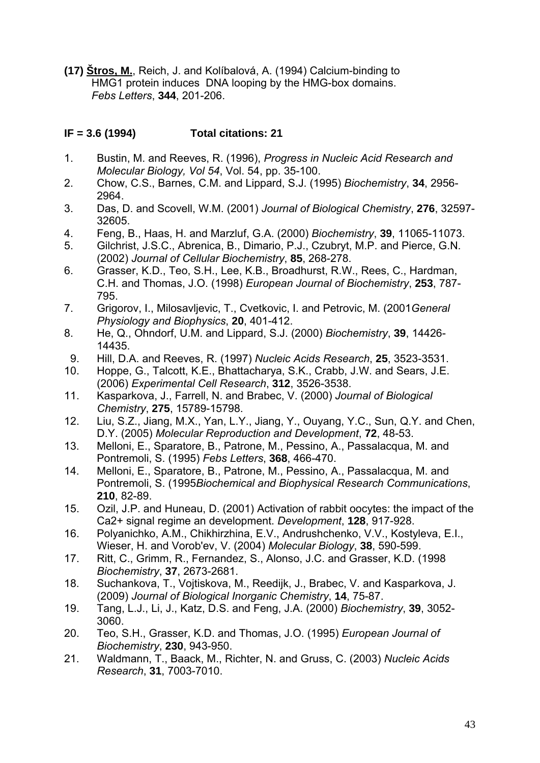**(17) Štros, M.**, Reich, J. and Kolíbalová, A. (1994) Calcium-binding to HMG1 protein induces DNA looping by the HMG-box domains. *Febs Letters*, **344**, 201-206.

#### **IF = 3.6 (1994) Total citations: 21**

- 1. Bustin, M. and Reeves, R. (1996), *Progress in Nucleic Acid Research and Molecular Biology, Vol 54*, Vol. 54, pp. 35-100.
- 2. Chow, C.S., Barnes, C.M. and Lippard, S.J. (1995) *Biochemistry*, **34**, 2956- 2964.
- 3. Das, D. and Scovell, W.M. (2001) *Journal of Biological Chemistry*, **276**, 32597- 32605.
- 4. Feng, B., Haas, H. and Marzluf, G.A. (2000) *Biochemistry*, **39**, 11065-11073.
- 5. Gilchrist, J.S.C., Abrenica, B., Dimario, P.J., Czubryt, M.P. and Pierce, G.N. (2002) *Journal of Cellular Biochemistry*, **85**, 268-278.
- 6. Grasser, K.D., Teo, S.H., Lee, K.B., Broadhurst, R.W., Rees, C., Hardman, C.H. and Thomas, J.O. (1998) *European Journal of Biochemistry*, **253**, 787- 795.
- 7. Grigorov, I., Milosavljevic, T., Cvetkovic, I. and Petrovic, M. (2001*General Physiology and Biophysics*, **20**, 401-412.
- 8. He, Q., Ohndorf, U.M. and Lippard, S.J. (2000) *Biochemistry*, **39**, 14426- 14435.
- 9. Hill, D.A. and Reeves, R. (1997) *Nucleic Acids Research*, **25**, 3523-3531.
- 10. Hoppe, G., Talcott, K.E., Bhattacharya, S.K., Crabb, J.W. and Sears, J.E. (2006) *Experimental Cell Research*, **312**, 3526-3538.
- 11. Kasparkova, J., Farrell, N. and Brabec, V. (2000) *Journal of Biological Chemistry*, **275**, 15789-15798.
- 12. Liu, S.Z., Jiang, M.X., Yan, L.Y., Jiang, Y., Ouyang, Y.C., Sun, Q.Y. and Chen, D.Y. (2005) *Molecular Reproduction and Development*, **72**, 48-53.
- 13. Melloni, E., Sparatore, B., Patrone, M., Pessino, A., Passalacqua, M. and Pontremoli, S. (1995) *Febs Letters*, **368**, 466-470.
- 14. Melloni, E., Sparatore, B., Patrone, M., Pessino, A., Passalacqua, M. and Pontremoli, S. (1995*Biochemical and Biophysical Research Communications*, **210**, 82-89.
- 15. Ozil, J.P. and Huneau, D. (2001) Activation of rabbit oocytes: the impact of the Ca2+ signal regime an development. *Development*, **128**, 917-928.
- 16. Polyanichko, A.M., Chikhirzhina, E.V., Andrushchenko, V.V., Kostyleva, E.I., Wieser, H. and Vorob'ev, V. (2004) *Molecular Biology*, **38**, 590-599.
- 17. Ritt, C., Grimm, R., Fernandez, S., Alonso, J.C. and Grasser, K.D. (1998 *Biochemistry*, **37**, 2673-2681.
- 18. Suchankova, T., Vojtiskova, M., Reedijk, J., Brabec, V. and Kasparkova, J. (2009) *Journal of Biological Inorganic Chemistry*, **14**, 75-87.
- 19. Tang, L.J., Li, J., Katz, D.S. and Feng, J.A. (2000) *Biochemistry*, **39**, 3052- 3060.
- 20. Teo, S.H., Grasser, K.D. and Thomas, J.O. (1995) *European Journal of Biochemistry*, **230**, 943-950.
- 21. Waldmann, T., Baack, M., Richter, N. and Gruss, C. (2003) *Nucleic Acids Research*, **31**, 7003-7010.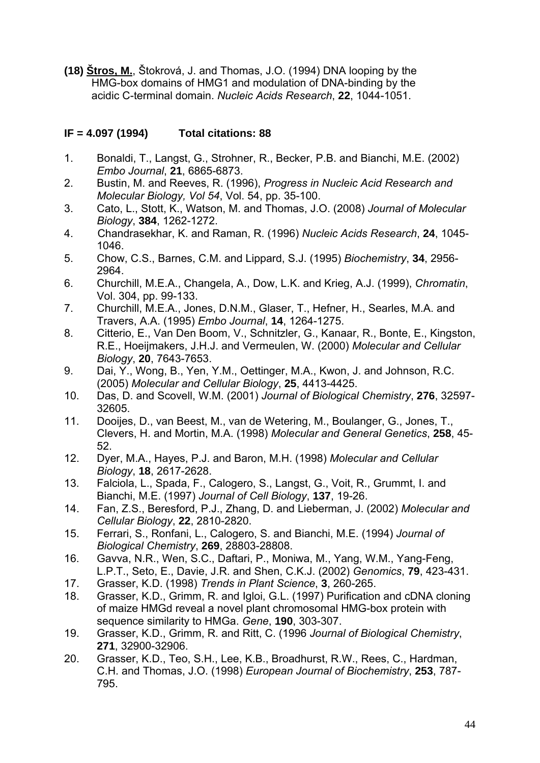**(18) Štros, M.**, Štokrová, J. and Thomas, J.O. (1994) DNA looping by the HMG-box domains of HMG1 and modulation of DNA-binding by the acidic C-terminal domain. *Nucleic Acids Research*, **22**, 1044-1051.

### **IF = 4.097 (1994) Total citations: 88**

- 1. Bonaldi, T., Langst, G., Strohner, R., Becker, P.B. and Bianchi, M.E. (2002) *Embo Journal*, **21**, 6865-6873.
- 2. Bustin, M. and Reeves, R. (1996), *Progress in Nucleic Acid Research and Molecular Biology, Vol 54*, Vol. 54, pp. 35-100.
- 3. Cato, L., Stott, K., Watson, M. and Thomas, J.O. (2008) *Journal of Molecular Biology*, **384**, 1262-1272.
- 4. [Chandrasekhar, K.](http://www.scopus.com/search/submit/author.url?author=Chandrasekhar%2c+K.&origin=resultslist&authorId=7005618221&src=s) and [Raman, R.](http://www.scopus.com/search/submit/author.url?author=Raman%2c+R.&origin=resultslist&authorId=7102586833&src=s) (1996) *Nucleic Acids Research*, **24**, 1045- 1046.
- 5. Chow, C.S., Barnes, C.M. and Lippard, S.J. (1995) *Biochemistry*, **34**, 2956- 2964.
- 6. Churchill, M.E.A., Changela, A., Dow, L.K. and Krieg, A.J. (1999), *Chromatin*, Vol. 304, pp. 99-133.
- 7. Churchill, M.E.A., Jones, D.N.M., Glaser, T., Hefner, H., Searles, M.A. and Travers, A.A. (1995) *Embo Journal*, **14**, 1264-1275.
- 8. Citterio, E., Van Den Boom, V., Schnitzler, G., Kanaar, R., Bonte, E., Kingston, R.E., Hoeijmakers, J.H.J. and Vermeulen, W. (2000) *Molecular and Cellular Biology*, **20**, 7643-7653.
- 9. Dai, Y., Wong, B., Yen, Y.M., Oettinger, M.A., Kwon, J. and Johnson, R.C. (2005) *Molecular and Cellular Biology*, **25**, 4413-4425.
- 10. Das, D. and Scovell, W.M. (2001) *Journal of Biological Chemistry*, **276**, 32597- 32605.
- 11. Dooijes, D., van Beest, M., van de Wetering, M., Boulanger, G., Jones, T., Clevers, H. and Mortin, M.A. (1998) *Molecular and General Genetics*, **258**, 45- 52.
- 12. Dyer, M.A., Hayes, P.J. and Baron, M.H. (1998) *Molecular and Cellular Biology*, **18**, 2617-2628.
- 13. Falciola, L., Spada, F., Calogero, S., Langst, G., Voit, R., Grummt, I. and Bianchi, M.E. (1997) *Journal of Cell Biology*, **137**, 19-26.
- 14. Fan, Z.S., Beresford, P.J., Zhang, D. and Lieberman, J. (2002) *Molecular and Cellular Biology*, **22**, 2810-2820.
- 15. Ferrari, S., Ronfani, L., Calogero, S. and Bianchi, M.E. (1994) *Journal of Biological Chemistry*, **269**, 28803-28808.
- 16. Gavva, N.R., Wen, S.C., Daftari, P., Moniwa, M., Yang, W.M., Yang-Feng, L.P.T., Seto, E., Davie, J.R. and Shen, C.K.J. (2002) *Genomics*, **79**, 423-431.
- 17. Grasser, K.D. (1998) *Trends in Plant Science*, **3**, 260-265.
- 18. Grasser, K.D., Grimm, R. and Igloi, G.L. (1997) Purification and cDNA cloning of maize HMGd reveal a novel plant chromosomal HMG-box protein with sequence similarity to HMGa. *Gene*, **190**, 303-307.
- 19. Grasser, K.D., Grimm, R. and Ritt, C. (1996 *Journal of Biological Chemistry*, **271**, 32900-32906.
- 20. Grasser, K.D., Teo, S.H., Lee, K.B., Broadhurst, R.W., Rees, C., Hardman, C.H. and Thomas, J.O. (1998) *European Journal of Biochemistry*, **253**, 787- 795.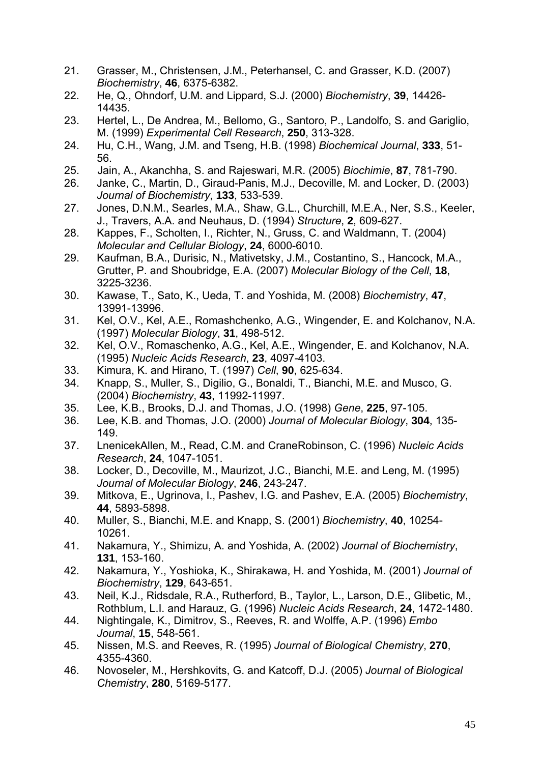- 21. Grasser, M., Christensen, J.M., Peterhansel, C. and Grasser, K.D. (2007) *Biochemistry*, **46**, 6375-6382.
- 22. He, Q., Ohndorf, U.M. and Lippard, S.J. (2000) *Biochemistry*, **39**, 14426- 14435.
- 23. Hertel, L., De Andrea, M., Bellomo, G., Santoro, P., Landolfo, S. and Gariglio, M. (1999) *Experimental Cell Research*, **250**, 313-328.
- 24. Hu, C.H., Wang, J.M. and Tseng, H.B. (1998) *Biochemical Journal*, **333**, 51- 56.
- 25. [Jain, A.,](http://www.scopus.com/search/submit/author.url?author=Jain%2c+A.&origin=resultslist&authorId=7404464051&src=s) [Akanchha, S.](http://www.scopus.com/search/submit/author.url?author=Akanchha%2c+S.&origin=resultslist&authorId=8698523000&src=s) and [Rajeswari, M.R.](http://www.scopus.com/search/submit/author.url?author=Rajeswari%2c+M.R.&origin=resultslist&authorId=7006148265&src=s) (2005) *Biochimie*, **87**, 781-790.
- 26. Janke, C., Martin, D., Giraud-Panis, M.J., Decoville, M. and Locker, D. (2003) *Journal of Biochemistry*, **133**, 533-539.
- 27. Jones, D.N.M., Searles, M.A., Shaw, G.L., Churchill, M.E.A., Ner, S.S., Keeler, J., Travers, A.A. and Neuhaus, D. (1994) *Structure*, **2**, 609-627.
- 28. Kappes, F., Scholten, I., Richter, N., Gruss, C. and Waldmann, T. (2004) *Molecular and Cellular Biology*, **24**, 6000-6010.
- 29. Kaufman, B.A., Durisic, N., Mativetsky, J.M., Costantino, S., Hancock, M.A., Grutter, P. and Shoubridge, E.A. (2007) *Molecular Biology of the Cell*, **18**, 3225-3236.
- 30. Kawase, T., Sato, K., Ueda, T. and Yoshida, M. (2008) *Biochemistry*, **47**, 13991-13996.
- 31. Kel, O.V., Kel, A.E., Romashchenko, A.G., Wingender, E. and Kolchanov, N.A. (1997) *Molecular Biology*, **31**, 498-512.
- 32. Kel, O.V., Romaschenko, A.G., Kel, A.E., Wingender, E. and Kolchanov, N.A. (1995) *Nucleic Acids Research*, **23**, 4097-4103.
- 33. Kimura, K. and Hirano, T. (1997) *Cell*, **90**, 625-634.
- 34. Knapp, S., Muller, S., Digilio, G., Bonaldi, T., Bianchi, M.E. and Musco, G. (2004) *Biochemistry*, **43**, 11992-11997.
- 35. Lee, K.B., Brooks, D.J. and Thomas, J.O. (1998) *Gene*, **225**, 97-105.
- 36. Lee, K.B. and Thomas, J.O. (2000) *Journal of Molecular Biology*, **304**, 135- 149.
- 37. LnenicekAllen, M., Read, C.M. and CraneRobinson, C. (1996) *Nucleic Acids Research*, **24**, 1047-1051.
- 38. Locker, D., Decoville, M., Maurizot, J.C., Bianchi, M.E. and Leng, M. (1995) *Journal of Molecular Biology*, **246**, 243-247.
- 39. Mitkova, E., Ugrinova, I., Pashev, I.G. and Pashev, E.A. (2005) *Biochemistry*, **44**, 5893-5898.
- 40. Muller, S., Bianchi, M.E. and Knapp, S. (2001) *Biochemistry*, **40**, 10254- 10261.
- 41. Nakamura, Y., Shimizu, A. and Yoshida, A. (2002) *Journal of Biochemistry*, **131**, 153-160.
- 42. Nakamura, Y., Yoshioka, K., Shirakawa, H. and Yoshida, M. (2001) *Journal of Biochemistry*, **129**, 643-651.
- 43. Neil, K.J., Ridsdale, R.A., Rutherford, B., Taylor, L., Larson, D.E., Glibetic, M., Rothblum, L.I. and Harauz, G. (1996) *Nucleic Acids Research*, **24**, 1472-1480.
- 44. Nightingale, K., Dimitrov, S., Reeves, R. and Wolffe, A.P. (1996) *Embo Journal*, **15**, 548-561.
- 45. Nissen, M.S. and Reeves, R. (1995) *Journal of Biological Chemistry*, **270**, 4355-4360.
- 46. Novoseler, M., Hershkovits, G. and Katcoff, D.J. (2005) *Journal of Biological Chemistry*, **280**, 5169-5177.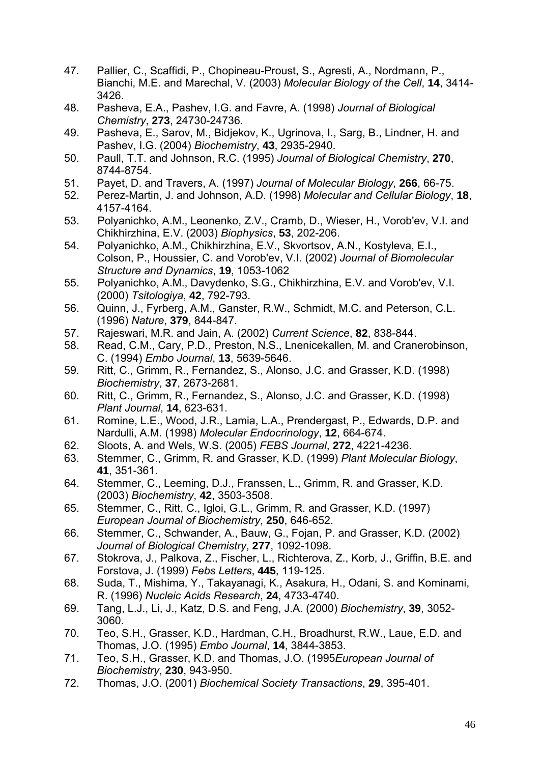- 47. Pallier, C., Scaffidi, P., Chopineau-Proust, S., Agresti, A., Nordmann, P., Bianchi, M.E. and Marechal, V. (2003) *Molecular Biology of the Cell*, **14**, 3414- 3426.
- 48. Pasheva, E.A., Pashev, I.G. and Favre, A. (1998) *Journal of Biological Chemistry*, **273**, 24730-24736.
- 49. Pasheva, E., Sarov, M., Bidjekov, K., Ugrinova, I., Sarg, B., Lindner, H. and Pashev, I.G. (2004) *Biochemistry*, **43**, 2935-2940.
- 50. Paull, T.T. and Johnson, R.C. (1995) *Journal of Biological Chemistry*, **270**, 8744-8754.
- 51. Payet, D. and Travers, A. (1997) *Journal of Molecular Biology*, **266**, 66-75.
- 52. Perez-Martin, J. and Johnson, A.D. (1998) *Molecular and Cellular Biology*, **18**, 4157-4164.
- 53. [Polyanichko, A.M.,](http://www.scopus.com/search/submit/author.url?author=Polyanichko%2c+A.M.&origin=resultslist&authorId=6602405202&src=s) [Leonenko, Z.V.,](http://www.scopus.com/search/submit/author.url?author=Leonenko%2c+Z.V.&origin=resultslist&authorId=6602782946&src=s) [Cramb, D.,](http://www.scopus.com/search/submit/author.url?author=Cramb%2c+D.&origin=resultslist&authorId=6701588880&src=s) [Wieser, H.,](http://www.scopus.com/search/submit/author.url?author=Wieser%2c+H.&origin=resultslist&authorId=7102966884&src=s) [Vorob'ev, V.I.](http://www.scopus.com/search/submit/author.url?author=Vorob%27ev%2c+V.I.&origin=resultslist&authorId=16036703300&src=s) and [Chikhirzhina, E.V.](http://www.scopus.com/search/submit/author.url?author=Chikhirzhina%2c+E.V.&origin=resultslist&authorId=6603011607&src=s) (2003) *Biophysics*, **53**, 202-206.
- 54. [Polyanichko, A.M.,](http://www.scopus.com/search/submit/author.url?author=Polyanichko%2c+A.M.&origin=resultslist&authorId=6602405202&src=s) [Chikhirzhina, E.V.,](http://www.scopus.com/search/submit/author.url?author=Chikhirzhina%2c+E.V.&origin=resultslist&authorId=6603011607&src=s) [Skvortsov, A.N.,](http://www.scopus.com/search/submit/author.url?author=Skvortsov%2c+A.N.&origin=resultslist&authorId=7102804676&src=s) [Kostyleva, E.I.](http://www.scopus.com/search/submit/author.url?author=Kostyleva%2c+E.I.&origin=resultslist&authorId=6602537733&src=s), [Colson, P.](http://www.scopus.com/search/submit/author.url?author=Colson%2c+P.&origin=resultslist&authorId=7102090602&src=s), [Houssier, C.](http://www.scopus.com/search/submit/author.url?author=Houssier%2c+C.&origin=resultslist&authorId=7005387657&src=s) and [Vorob'ev, V.I.](http://www.scopus.com/search/submit/author.url?author=Vorob%27ev%2c+V.I.&origin=resultslist&authorId=7202739886&src=s) (2002) *Journal of Biomolecular Structure and Dynamics*, **19**, 1053-1062
- 55. [Polyanichko, A.M.,](http://www.scopus.com/search/submit/author.url?author=Polyanichko%2c+A.M.&origin=resultslist&authorId=6602405202&src=s) [Davydenko, S.G.,](http://www.scopus.com/search/submit/author.url?author=Davydenko%2c+S.G.&origin=resultslist&authorId=6603440933&src=s) [Chikhirzhina, E.V.](http://www.scopus.com/search/submit/author.url?author=Chikhirzhina%2c+E.V.&origin=resultslist&authorId=6603011607&src=s) and [Vorob'ev, V.I.](http://www.scopus.com/search/submit/author.url?author=Vorob%27ev%2c+V.I.&origin=resultslist&authorId=7202739886&src=s) (2000) *Tsitologiya*, **42**, 792-793.
- 56. Quinn, J., Fyrberg, A.M., Ganster, R.W., Schmidt, M.C. and Peterson, C.L. (1996) *Nature*, **379**, 844-847.
- 57. Rajeswari, M.R. and Jain, A. (2002) *Current Science*, **82**, 838-844.
- 58. Read, C.M., Cary, P.D., Preston, N.S., Lnenicekallen, M. and Cranerobinson, C. (1994) *Embo Journal*, **13**, 5639-5646.
- 59. Ritt, C., Grimm, R., Fernandez, S., Alonso, J.C. and Grasser, K.D. (1998) *Biochemistry*, **37**, 2673-2681.
- 60. Ritt, C., Grimm, R., Fernandez, S., Alonso, J.C. and Grasser, K.D. (1998) *Plant Journal*, **14**, 623-631.
- 61. Romine, L.E., Wood, J.R., Lamia, L.A., Prendergast, P., Edwards, D.P. and Nardulli, A.M. (1998) *Molecular Endocrinology*, **12**, 664-674.
- 62. [Sloots, A.](http://www.scopus.com/search/submit/author.url?author=Sloots%2c+A.&origin=resultslist&authorId=8716096800&src=s) and [Wels, W.S.](http://www.scopus.com/search/submit/author.url?author=Wels%2c+W.S.&origin=resultslist&authorId=7004562782&src=s) (2005) *FEBS Journal*, **272**, 4221-4236.
- 63. Stemmer, C., Grimm, R. and Grasser, K.D. (1999) *Plant Molecular Biology*, **41**, 351-361.
- 64. Stemmer, C., Leeming, D.J., Franssen, L., Grimm, R. and Grasser, K.D. (2003) *Biochemistry*, **42**, 3503-3508.
- 65. Stemmer, C., Ritt, C., Igloi, G.L., Grimm, R. and Grasser, K.D. (1997) *European Journal of Biochemistry*, **250**, 646-652.
- 66. Stemmer, C., Schwander, A., Bauw, G., Fojan, P. and Grasser, K.D. (2002) *Journal of Biological Chemistry*, **277**, 1092-1098.
- 67. Stokrova, J., Palkova, Z., Fischer, L., Richterova, Z., Korb, J., Griffin, B.E. and Forstova, J. (1999) *Febs Letters*, **445**, 119-125.
- 68. Suda, T., Mishima, Y., Takayanagi, K., Asakura, H., Odani, S. and Kominami, R. (1996) *Nucleic Acids Research*, **24**, 4733-4740.
- 69. Tang, L.J., Li, J., Katz, D.S. and Feng, J.A. (2000) *Biochemistry*, **39**, 3052- 3060.
- 70. Teo, S.H., Grasser, K.D., Hardman, C.H., Broadhurst, R.W., Laue, E.D. and Thomas, J.O. (1995) *Embo Journal*, **14**, 3844-3853.
- 71. Teo, S.H., Grasser, K.D. and Thomas, J.O. (1995*European Journal of Biochemistry*, **230**, 943-950.
- 72. Thomas, J.O. (2001) *Biochemical Society Transactions*, **29**, 395-401.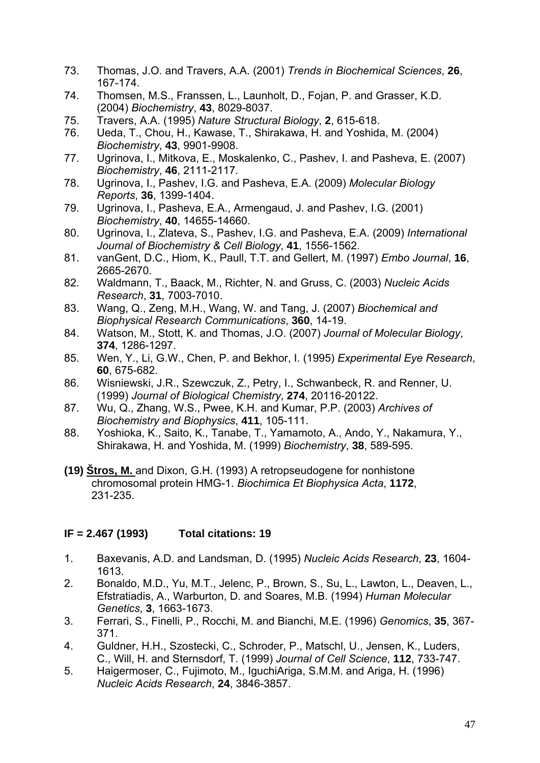- 73. Thomas, J.O. and Travers, A.A. (2001) *Trends in Biochemical Sciences*, **26**, 167-174.
- 74. Thomsen, M.S., Franssen, L., Launholt, D., Fojan, P. and Grasser, K.D. (2004) *Biochemistry*, **43**, 8029-8037.
- 75. Travers, A.A. (1995) *Nature Structural Biology*, **2**, 615-618.
- 76. Ueda, T., Chou, H., Kawase, T., Shirakawa, H. and Yoshida, M. (2004) *Biochemistry*, **43**, 9901-9908.
- 77. Ugrinova, I., Mitkova, E., Moskalenko, C., Pashev, I. and Pasheva, E. (2007) *Biochemistry*, **46**, 2111-2117.
- 78. Ugrinova, I., Pashev, I.G. and Pasheva, E.A. (2009) *Molecular Biology Reports*, **36**, 1399-1404.
- 79. Ugrinova, I., Pasheva, E.A., Armengaud, J. and Pashev, I.G. (2001) *Biochemistry*, **40**, 14655-14660.
- 80. Ugrinova, I., Zlateva, S., Pashev, I.G. and Pasheva, E.A. (2009) *International Journal of Biochemistry & Cell Biology*, **41**, 1556-1562.
- 81. vanGent, D.C., Hiom, K., Paull, T.T. and Gellert, M. (1997) *Embo Journal*, **16**, 2665-2670.
- 82. Waldmann, T., Baack, M., Richter, N. and Gruss, C. (2003) *Nucleic Acids Research*, **31**, 7003-7010.
- 83. Wang, Q., Zeng, M.H., Wang, W. and Tang, J. (2007) *Biochemical and Biophysical Research Communications*, **360**, 14-19.
- 84. Watson, M., Stott, K. and Thomas, J.O. (2007) *Journal of Molecular Biology*, **374**, 1286-1297.
- 85. Wen, Y., Li, G.W., Chen, P. and Bekhor, I. (1995) *Experimental Eye Research*, **60**, 675-682.
- 86. Wisniewski, J.R., Szewczuk, Z., Petry, I., Schwanbeck, R. and Renner, U. (1999) *Journal of Biological Chemistry*, **274**, 20116-20122.
- 87. Wu, Q., Zhang, W.S., Pwee, K.H. and Kumar, P.P. (2003) *Archives of Biochemistry and Biophysics*, **411**, 105-111.
- 88. Yoshioka, K., Saito, K., Tanabe, T., Yamamoto, A., Ando, Y., Nakamura, Y., Shirakawa, H. and Yoshida, M. (1999) *Biochemistry*, **38**, 589-595.
- **(19) Štros, M.** and Dixon, G.H. (1993) A retropseudogene for nonhistone chromosomal protein HMG-1. *Biochimica Et Biophysica Acta*, **1172**, 231-235.

#### **IF = 2.467 (1993) Total citations: 19**

- 1. Baxevanis, A.D. and Landsman, D. (1995) *Nucleic Acids Research*, **23**, 1604- 1613.
- 2. Bonaldo, M.D., Yu, M.T., Jelenc, P., Brown, S., Su, L., Lawton, L., Deaven, L., Efstratiadis, A., Warburton, D. and Soares, M.B. (1994) *Human Molecular Genetics*, **3**, 1663-1673.
- 3. Ferrari, S., Finelli, P., Rocchi, M. and Bianchi, M.E. (1996) *Genomics*, **35**, 367- 371.
- 4. Guldner, H.H., Szostecki, C., Schroder, P., Matschl, U., Jensen, K., Luders, C., Will, H. and Sternsdorf, T. (1999) *Journal of Cell Science*, **112**, 733-747.
- 5. Haigermoser, C., Fujimoto, M., IguchiAriga, S.M.M. and Ariga, H. (1996) *Nucleic Acids Research*, **24**, 3846-3857.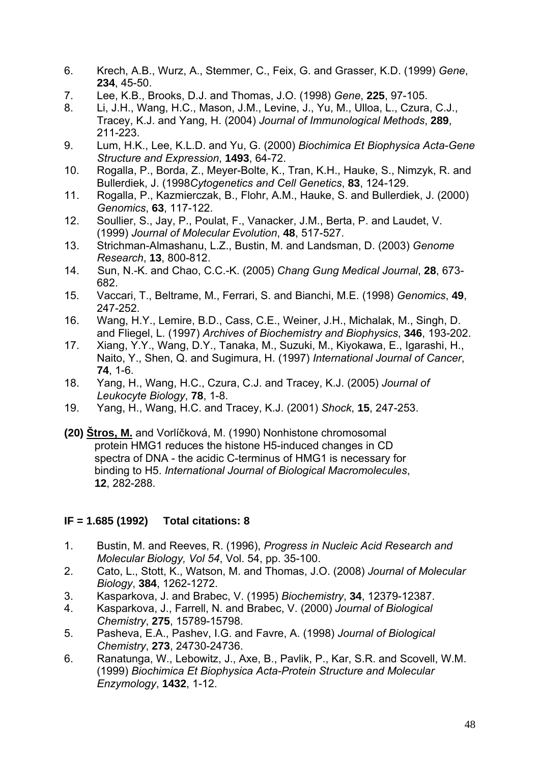- 6. Krech, A.B., Wurz, A., Stemmer, C., Feix, G. and Grasser, K.D. (1999) *Gene*, **234**, 45-50.
- 7. Lee, K.B., Brooks, D.J. and Thomas, J.O. (1998) *Gene*, **225**, 97-105.
- 8. Li, J.H., Wang, H.C., Mason, J.M., Levine, J., Yu, M., Ulloa, L., Czura, C.J., Tracey, K.J. and Yang, H. (2004) *Journal of Immunological Methods*, **289**, 211-223.
- 9. Lum, H.K., Lee, K.L.D. and Yu, G. (2000) *Biochimica Et Biophysica Acta-Gene Structure and Expression*, **1493**, 64-72.
- 10. Rogalla, P., Borda, Z., Meyer-Bolte, K., Tran, K.H., Hauke, S., Nimzyk, R. and Bullerdiek, J. (1998*Cytogenetics and Cell Genetics*, **83**, 124-129.
- 11. Rogalla, P., Kazmierczak, B., Flohr, A.M., Hauke, S. and Bullerdiek, J. (2000) *Genomics*, **63**, 117-122.
- 12. Soullier, S., Jay, P., Poulat, F., Vanacker, J.M., Berta, P. and Laudet, V. (1999) *Journal of Molecular Evolution*, **48**, 517-527.
- 13. Strichman-Almashanu, L.Z., Bustin, M. and Landsman, D. (2003) *Genome Research*, **13**, 800-812.
- 14. [Sun, N.-K.](http://www.scopus.com/search/submit/author.url?author=Sun%2c+N.-K.&origin=resultslist&authorId=7202557236&src=s) and [Chao, C.C.-K.](http://www.scopus.com/search/submit/author.url?author=Chao%2c+C.C.-K.&origin=resultslist&authorId=7403320221&src=s) (2005) *Chang Gung Medical Journal*, **28**, 673- 682.
- 15. Vaccari, T., Beltrame, M., Ferrari, S. and Bianchi, M.E. (1998) *Genomics*, **49**, 247-252.
- 16. Wang, H.Y., Lemire, B.D., Cass, C.E., Weiner, J.H., Michalak, M., Singh, D. and Fliegel, L. (1997) *Archives of Biochemistry and Biophysics*, **346**, 193-202.
- 17. Xiang, Y.Y., Wang, D.Y., Tanaka, M., Suzuki, M., Kiyokawa, E., Igarashi, H., Naito, Y., Shen, Q. and Sugimura, H. (1997) *International Journal of Cancer*, **74**, 1-6.
- 18. Yang, H., Wang, H.C., Czura, C.J. and Tracey, K.J. (2005) *Journal of Leukocyte Biology*, **78**, 1-8.
- 19. Yang, H., Wang, H.C. and Tracey, K.J. (2001) *Shock*, **15**, 247-253.
- **(20) Štros, M.** and Vorlíčková, M. (1990) Nonhistone chromosomal protein HMG1 reduces the histone H5-induced changes in CD spectra of DNA - the acidic C-terminus of HMG1 is necessary for binding to H5. *International Journal of Biological Macromolecules*, **12**, 282-288.

## **IF = 1.685 (1992) Total citations: 8**

- 1. Bustin, M. and Reeves, R. (1996), *Progress in Nucleic Acid Research and Molecular Biology, Vol 54*, Vol. 54, pp. 35-100.
- 2. Cato, L., Stott, K., Watson, M. and Thomas, J.O. (2008) *Journal of Molecular Biology*, **384**, 1262-1272.
- 3. Kasparkova, J. and Brabec, V. (1995) *Biochemistry*, **34**, 12379-12387.
- 4. Kasparkova, J., Farrell, N. and Brabec, V. (2000) *Journal of Biological Chemistry*, **275**, 15789-15798.
- 5. Pasheva, E.A., Pashev, I.G. and Favre, A. (1998) *Journal of Biological Chemistry*, **273**, 24730-24736.
- 6. Ranatunga, W., Lebowitz, J., Axe, B., Pavlik, P., Kar, S.R. and Scovell, W.M. (1999) *Biochimica Et Biophysica Acta-Protein Structure and Molecular Enzymology*, **1432**, 1-12.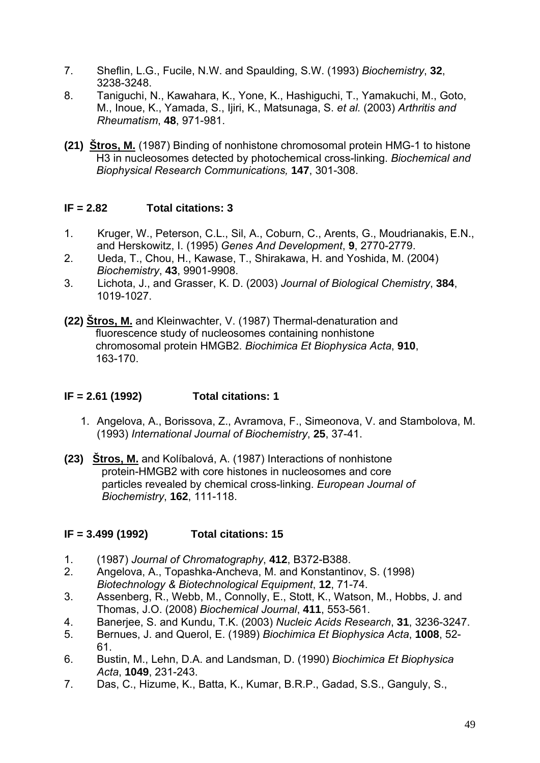- 7. Sheflin, L.G., Fucile, N.W. and Spaulding, S.W. (1993) *Biochemistry*, **32**, 3238-3248.
- 8. Taniguchi, N., Kawahara, K., Yone, K., Hashiguchi, T., Yamakuchi, M., Goto, M., Inoue, K., Yamada, S., Ijiri, K., Matsunaga, S. *et al.* (2003) *Arthritis and Rheumatism*, **48**, 971-981.
- **(21) Štros, M.** (1987) Binding of nonhistone chromosomal protein HMG-1 to histone H3 in nucleosomes detected by photochemical cross-linking. *Biochemical and Biophysical Research Communications,* **147**, 301-308.

#### **IF = 2.82 Total citations: 3**

- 1.Kruger, W., Peterson, C.L., Sil, A., Coburn, C., Arents, G., Moudrianakis, E.N., and Herskowitz, I. (1995) *Genes And Development*, **9**, 2770-2779.
- 2.Ueda, T., Chou, H., Kawase, T., Shirakawa, H. and Yoshida, M. (2004) *Biochemistry*, **43**, 9901-9908.
- 3. Lichota, J., and Grasser, K. D. (2003) *Journal of Biological Chemistry*, **384**, 1019-1027.

**(22) Štros, M.** and Kleinwachter, V. (1987) Thermal-denaturation and fluorescence study of nucleosomes containing nonhistone chromosomal protein HMGB2. *Biochimica Et Biophysica Acta*, **910**, 163-170.

#### **IF = 2.61 (1992) Total citations: 1**

- 1. Angelova, A., Borissova, Z., Avramova, F., Simeonova, V. and Stambolova, M. (1993) *International Journal of Biochemistry*, **25**, 37-41.
- **(23) Štros, M.** and Kolíbalová, A. (1987) Interactions of nonhistone protein-HMGB2 with core histones in nucleosomes and core particles revealed by chemical cross-linking. *European Journal of Biochemistry*, **162**, 111-118.

#### **IF = 3.499 (1992) Total citations: 15**

- 1. (1987) *Journal of Chromatography*, **412**, B372-B388.
- 2. Angelova, A., Topashka-Ancheva, M. and Konstantinov, S. (1998) *Biotechnology & Biotechnological Equipment*, **12**, 71-74.
- 3. Assenberg, R., Webb, M., Connolly, E., Stott, K., Watson, M., Hobbs, J. and Thomas, J.O. (2008) *Biochemical Journal*, **411**, 553-561.
- 4. Banerjee, S. and Kundu, T.K. (2003) *Nucleic Acids Research*, **31**, 3236-3247.
- 5. Bernues, J. and Querol, E. (1989) *Biochimica Et Biophysica Acta*, **1008**, 52- 61.
- 6. Bustin, M., Lehn, D.A. and Landsman, D. (1990) *Biochimica Et Biophysica Acta*, **1049**, 231-243.
- 7. Das, C., Hizume, K., Batta, K., Kumar, B.R.P., Gadad, S.S., Ganguly, S.,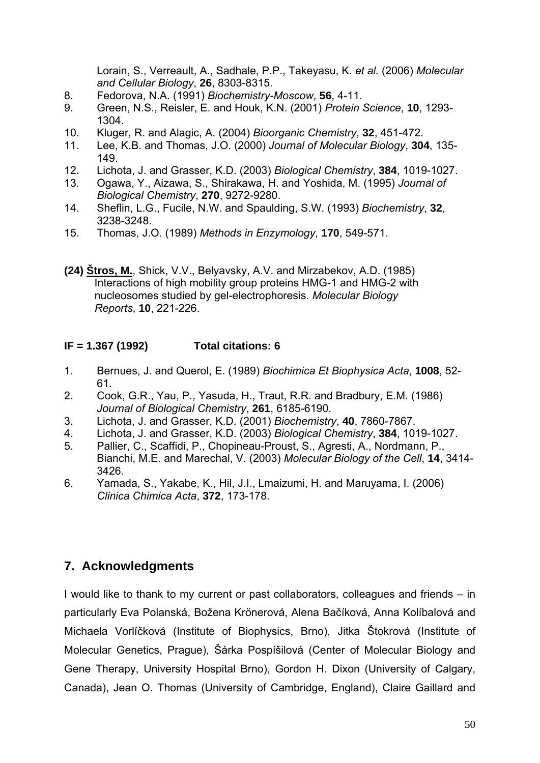Lorain, S., Verreault, A., Sadhale, P.P., Takeyasu, K. *et al.* (2006) *Molecular and Cellular Biology*, **26**, 8303-8315.

- 8. Fedorova, N.A. (1991) *Biochemistry-Moscow*, **56**, 4-11.
- 9. Green, N.S., Reisler, E. and Houk, K.N. (2001) *Protein Science*, **10**, 1293- 1304.
- 10. Kluger, R. and Alagic, A. (2004) *Bioorganic Chemistry*, **32**, 451-472.
- 11. Lee, K.B. and Thomas, J.O. (2000) *Journal of Molecular Biology*, **304**, 135- 149.
- 12. Lichota, J. and Grasser, K.D. (2003) *Biological Chemistry*, **384**, 1019-1027.
- 13. Ogawa, Y., Aizawa, S., Shirakawa, H. and Yoshida, M. (1995) *Journal of Biological Chemistry*, **270**, 9272-9280.
- 14. Sheflin, L.G., Fucile, N.W. and Spaulding, S.W. (1993) *Biochemistry*, **32**, 3238-3248.
- 15. Thomas, J.O. (1989) *Methods in Enzymology*, **170**, 549-571.
- **(24) Štros, M.**, Shick, V.V., Belyavsky, A.V. and Mirzabekov, A.D. (1985) Interactions of high mobility group proteins HMG-1 and HMG-2 with nucleosomes studied by gel-electrophoresis. *Molecular Biology Reports*, **10**, 221-226.

#### **IF = 1.367 (1992) Total citations: 6**

- 1. Bernues, J. and Querol, E. (1989) *Biochimica Et Biophysica Acta*, **1008**, 52- 61.
- 2. Cook, G.R., Yau, P., Yasuda, H., Traut, R.R. and Bradbury, E.M. (1986) *Journal of Biological Chemistry*, **261**, 6185-6190.
- 3. Lichota, J. and Grasser, K.D. (2001) *Biochemistry*, **40**, 7860-7867.
- 4. Lichota, J. and Grasser, K.D. (2003) *Biological Chemistry*, **384**, 1019-1027.
- 5. Pallier, C., Scaffidi, P., Chopineau-Proust, S., Agresti, A., Nordmann, P., Bianchi, M.E. and Marechal, V. (2003) *Molecular Biology of the Cell*, **14**, 3414- 3426.
- 6. Yamada, S., Yakabe, K., Hil, J.I., Lmaizumi, H. and Maruyama, I. (2006) *Clinica Chimica Acta*, **372**, 173-178.

## **7. Acknowledgments**

I would like to thank to my current or past collaborators, colleagues and friends – in particularly Eva Polanská, Božena Krönerová, Alena Bačíková, Anna Kolíbalová and Michaela Vorlíčková (Institute of Biophysics, Brno), Jitka Štokrová (Institute of Molecular Genetics, Prague), Šárka Pospíšilová (Center of Molecular Biology and Gene Therapy, University Hospital Brno), Gordon H. Dixon (University of Calgary, Canada), Jean O. Thomas (University of Cambridge, England), Claire Gaillard and